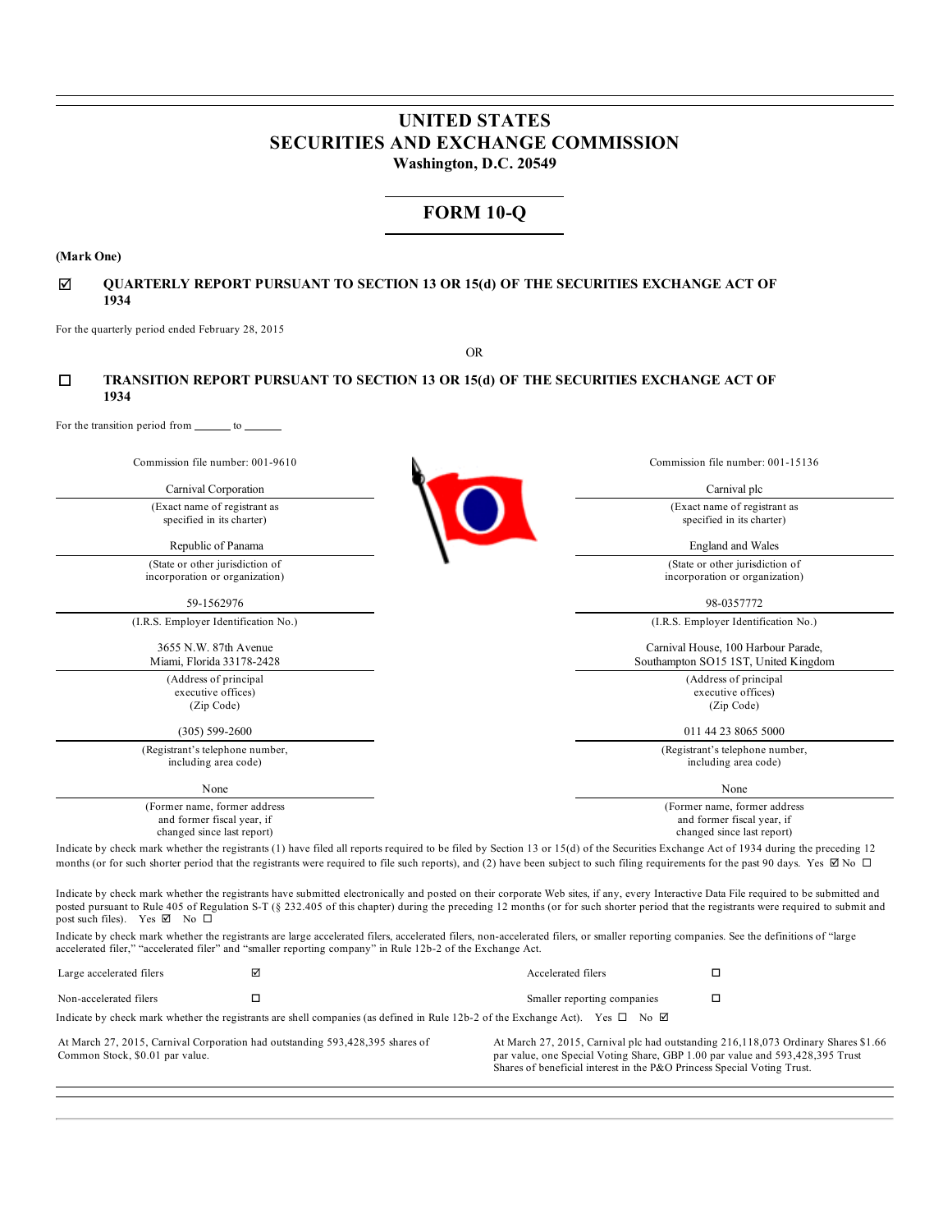# **UNITED STATES SECURITIES AND EXCHANGE COMMISSION Washington, D.C. 20549**

# **FORM 10-Q**

**(Mark One)**

# þ **QUARTERLY REPORT PURSUANT TO SECTION 13 OR 15(d) OF THE SECURITIES EXCHANGE ACT OF 1934**

For the quarterly period ended February 28, 2015

OR

# o **TRANSITION REPORT PURSUANT TO SECTION 13 OR 15(d) OF THE SECURITIES EXCHANGE ACT OF 1934**

For the transition period from \_\_\_\_\_\_\_ to \_

Commission file number: 001-9610 Commission file number: 001-15136

Carnival Corporation Carnival Corporation Carnival plc

(Exact name of registrant as specified in its charter)

Republic of Panama England and Wales (State or other jurisdiction of

incorporation or organization)

59-1562976 98-0357772

(I.R.S. Employer Identification No.) (I.R.S. Employer Identification No.)

3655 N.W. 87th Avenue Miami, Florida 33178-2428

(Address of principal executive offices) (Zip Code)

(305) 599-2600 011 44 23 8065 5000

(Registrant's telephone number, including area code)

None None

(Former name, former address and former fiscal year, if

changed since last report)

Common Stock, \$0.01 par value.

Indicate by check mark whether the registrants (1) have filed all reports required to be filed by Section 13 or 15(d) of the Securities Exchange Act of 1934 during the preceding 12 months (or for such shorter period that the registrants were required to file such reports), and (2) have been subject to such filing requirements for the past 90 days. Yes  $\boxtimes$  No  $\Box$ 

Indicate by check mark whether the registrants have submitted electronically and posted on their corporate Web sites, if any, every Interactive Data File required to be submitted and posted pursuant to Rule 405 of Regulation S-T (§ 232.405 of this chapter) during the preceding 12 months (or for such shorter period that the registrants were required to submit and post such files). Yes  $\boxtimes$  No  $\square$ 

Indicate by check mark whether the registrants are large accelerated filers, accelerated filers, non-accelerated filers, or smaller reporting companies. See the definitions of "large accelerated filer," "accelerated filer" and "smaller reporting company" in Rule 12b-2 of the Exchange Act.

| Large accelerated filers | ☑                                                                                                                                       | Accelerated filers                                  |  |
|--------------------------|-----------------------------------------------------------------------------------------------------------------------------------------|-----------------------------------------------------|--|
| Non-accelerated filers   |                                                                                                                                         | Smaller reporting companies                         |  |
|                          | Indicate by check mark whether the registrants are shell companies (as defined in Rule 12b-2 of the Exchange Act). Yes $\Box$ No $\Box$ |                                                     |  |
|                          | At March 27, 2015, Carnival Corporation had outstanding 593,428,395 shares of                                                           | At March 27, 2015, Carnival plc had outstanding 216 |  |

6, 118, 073 Ordinary Shares \$1.66 par value, one Special Voting Share, GBP 1.00 par value and 593,428,395 Trust Shares of beneficial interest in the P&O Princess Special Voting Trust.

(Exact name of registrant as specified in its charter)

(State or other jurisdiction of incorporation or organization)

Carnival House, 100 Harbour Parade, Southampton SO15 1ST, United Kingdom

> (Address of principal executive offices) (Zip Code)

(Registrant's telephone number, including area code)

(Former name, former address and former fiscal year, if changed since last report)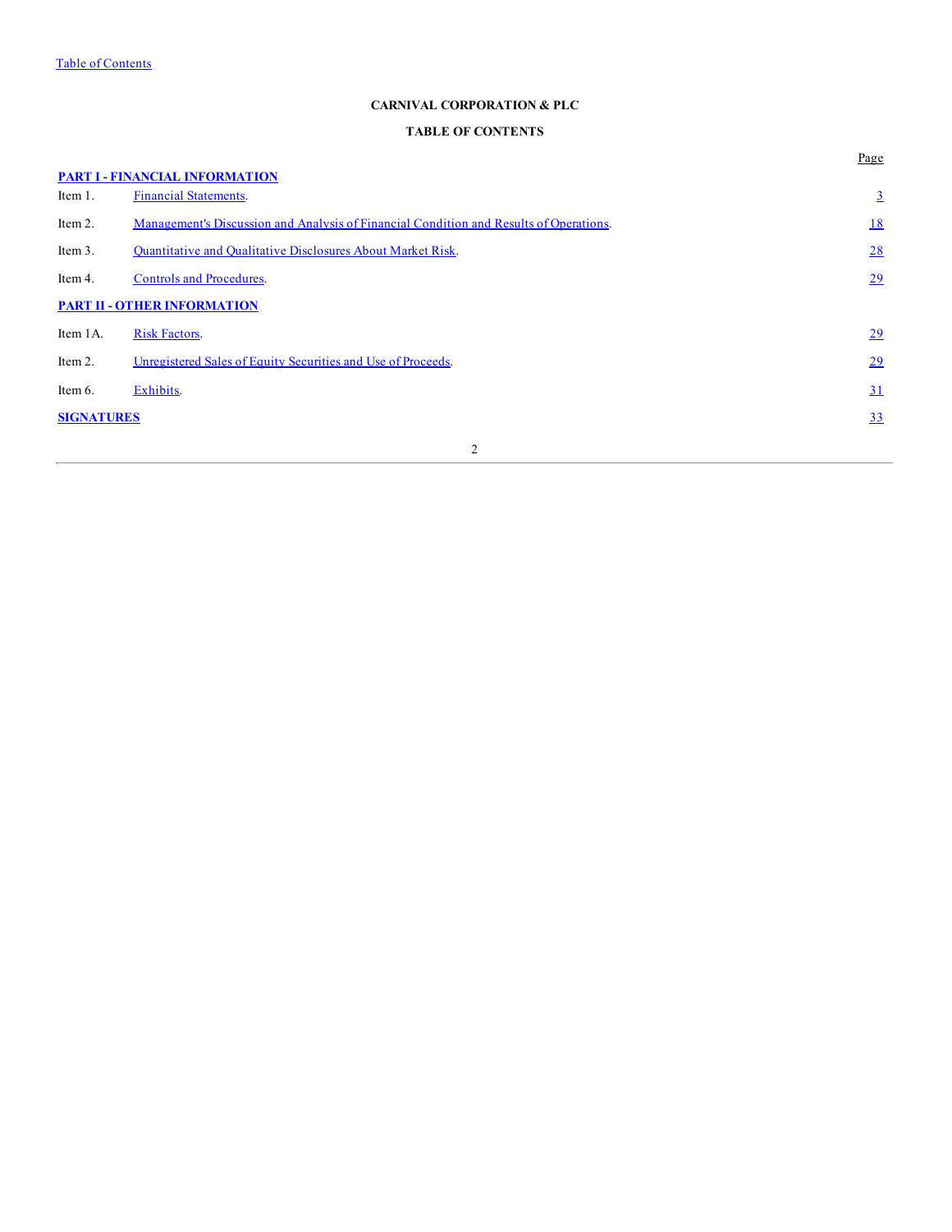# **CARNIVAL CORPORATION & PLC**

# **TABLE OF CONTENTS**

<span id="page-1-0"></span>

|                   |                                                                                        | Page           |
|-------------------|----------------------------------------------------------------------------------------|----------------|
|                   | <b>PART I - FINANCIAL INFORMATION</b>                                                  |                |
| Item 1.           | <b>Financial Statements</b>                                                            | $\overline{3}$ |
| Item 2.           | Management's Discussion and Analysis of Financial Condition and Results of Operations. | 18             |
| Item 3.           | <b>Quantitative and Qualitative Disclosures About Market Risk.</b>                     | 28             |
| Item 4.           | <b>Controls and Procedures.</b>                                                        | 29             |
|                   | <b>PART II - OTHER INFORMATION</b>                                                     |                |
| Item 1A.          | <b>Risk Factors</b>                                                                    | <u>29</u>      |
| Item 2.           | Unregistered Sales of Equity Securities and Use of Proceeds.                           | <u>29</u>      |
| Item 6.           | Exhibits.                                                                              | 31             |
| <b>SIGNATURES</b> |                                                                                        | 33             |
|                   | 2                                                                                      |                |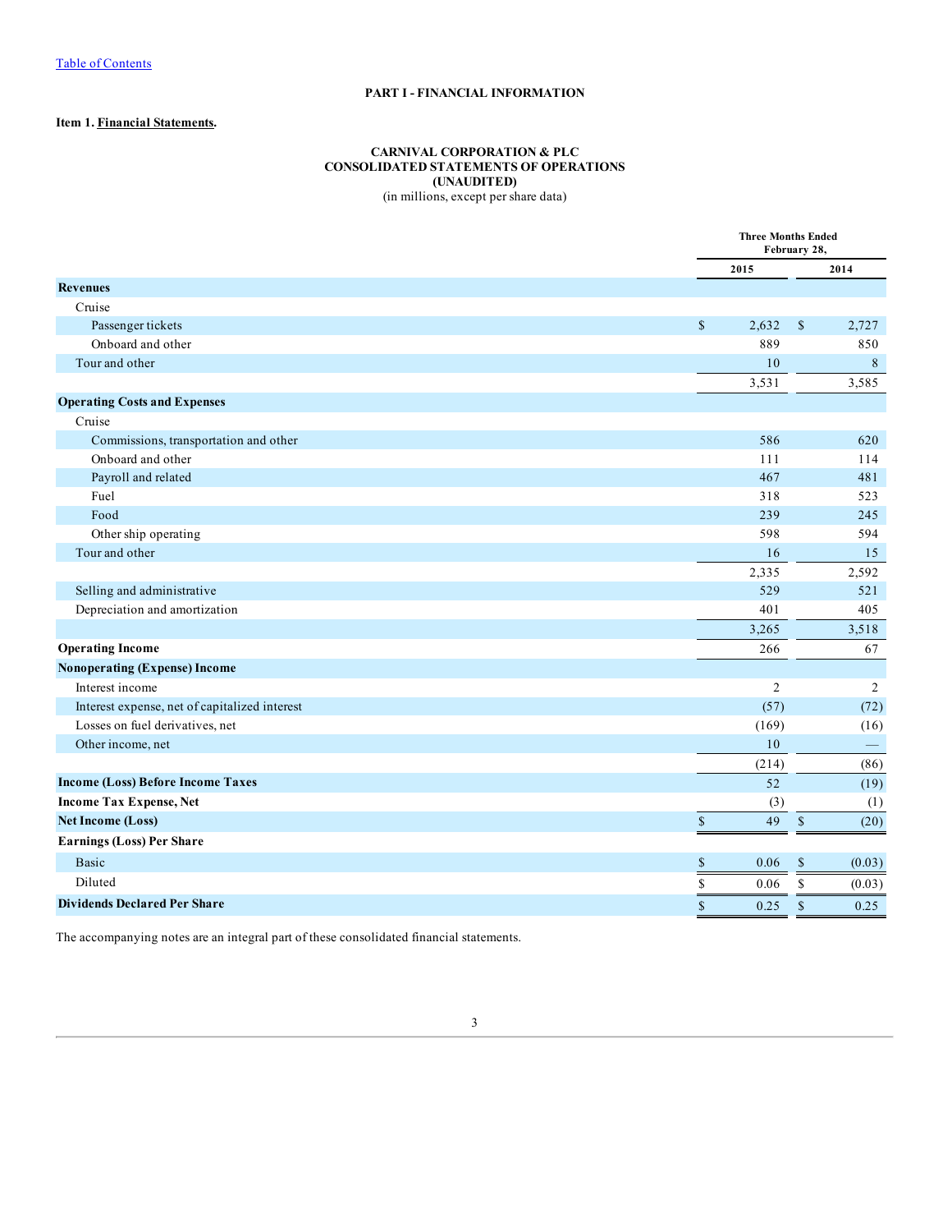# **PART I - FINANCIAL INFORMATION**

# **Item 1. Financial Statements.**

#### **CARNIVAL CORPORATION & PLC CONSOLIDATED STATEMENTS OF OPERATIONS (UNAUDITED)** (in millions, except per share data)

|                                               | <b>Three Months Ended</b> | February 28,           |
|-----------------------------------------------|---------------------------|------------------------|
|                                               | 2015                      | 2014                   |
| <b>Revenues</b>                               |                           |                        |
| Cruise                                        |                           |                        |
| Passenger tickets                             | $\mathbb{S}$<br>2,632     | $\mathbb{S}$<br>2,727  |
| Onboard and other                             | 889                       | 850                    |
| Tour and other                                | 10                        | 8                      |
|                                               | 3,531                     | 3,585                  |
| <b>Operating Costs and Expenses</b>           |                           |                        |
| Cruise                                        |                           |                        |
| Commissions, transportation and other         | 586                       | 620                    |
| Onboard and other                             | 111                       | 114                    |
| Payroll and related                           | 467                       | 481                    |
| Fuel                                          | 318                       | 523                    |
| Food                                          | 239                       | 245                    |
| Other ship operating                          | 598                       | 594                    |
| Tour and other                                | 16                        | 15                     |
|                                               | 2,335                     | 2,592                  |
| Selling and administrative                    | 529                       | 521                    |
| Depreciation and amortization                 | 401                       | 405                    |
|                                               | 3,265                     | 3,518                  |
| <b>Operating Income</b>                       | 266                       | 67                     |
| Nonoperating (Expense) Income                 |                           |                        |
| Interest income                               | $\overline{c}$            | 2                      |
| Interest expense, net of capitalized interest | (57)                      | (72)                   |
| Losses on fuel derivatives, net               | (169)                     | (16)                   |
| Other income, net                             | 10                        |                        |
|                                               | (214)                     | (86)                   |
| <b>Income (Loss) Before Income Taxes</b>      | 52                        | (19)                   |
| <b>Income Tax Expense, Net</b>                | (3)                       | (1)                    |
| <b>Net Income (Loss)</b>                      | $\mathbb S$<br>49         | $\mathbb{S}$<br>(20)   |
| <b>Earnings (Loss) Per Share</b>              |                           |                        |
| <b>Basic</b>                                  | $\$$<br>0.06              | $\mathbb{S}$<br>(0.03) |
| Diluted                                       | \$<br>0.06                | \$<br>(0.03)           |
| <b>Dividends Declared Per Share</b>           | $\mathbb{S}$<br>0.25      | $\mathbb{S}$<br>0.25   |

The accompanying notes are an integral part of these consolidated financial statements.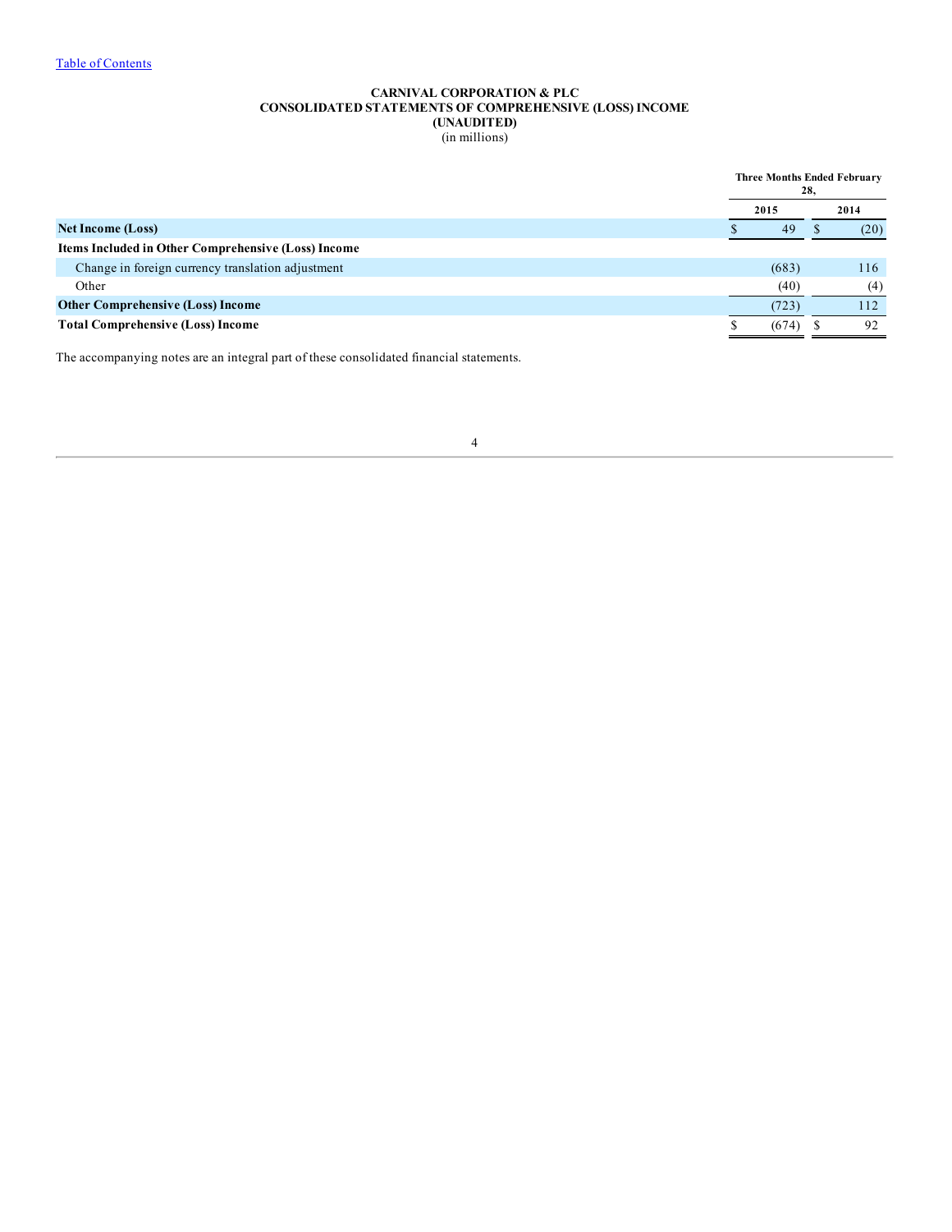#### **CARNIVAL CORPORATION & PLC CONSOLIDATED STATEMENTS OF COMPREHENSIVE (LOSS) INCOME (UNAUDITED)** (in millions)

|                                                            |       | <b>Three Months Ended February</b><br>28, |
|------------------------------------------------------------|-------|-------------------------------------------|
|                                                            | 2015  | 2014                                      |
| <b>Net Income (Loss)</b>                                   | 49    | (20)                                      |
| <b>Items Included in Other Comprehensive (Loss) Income</b> |       |                                           |
| Change in foreign currency translation adjustment          | (683) | 116                                       |
| Other                                                      | (40)  | (4)                                       |
| <b>Other Comprehensive (Loss) Income</b>                   | (723) | 112                                       |
| <b>Total Comprehensive (Loss) Income</b>                   | (674) | 92                                        |
|                                                            |       |                                           |

The accompanying notes are an integral part of these consolidated financial statements.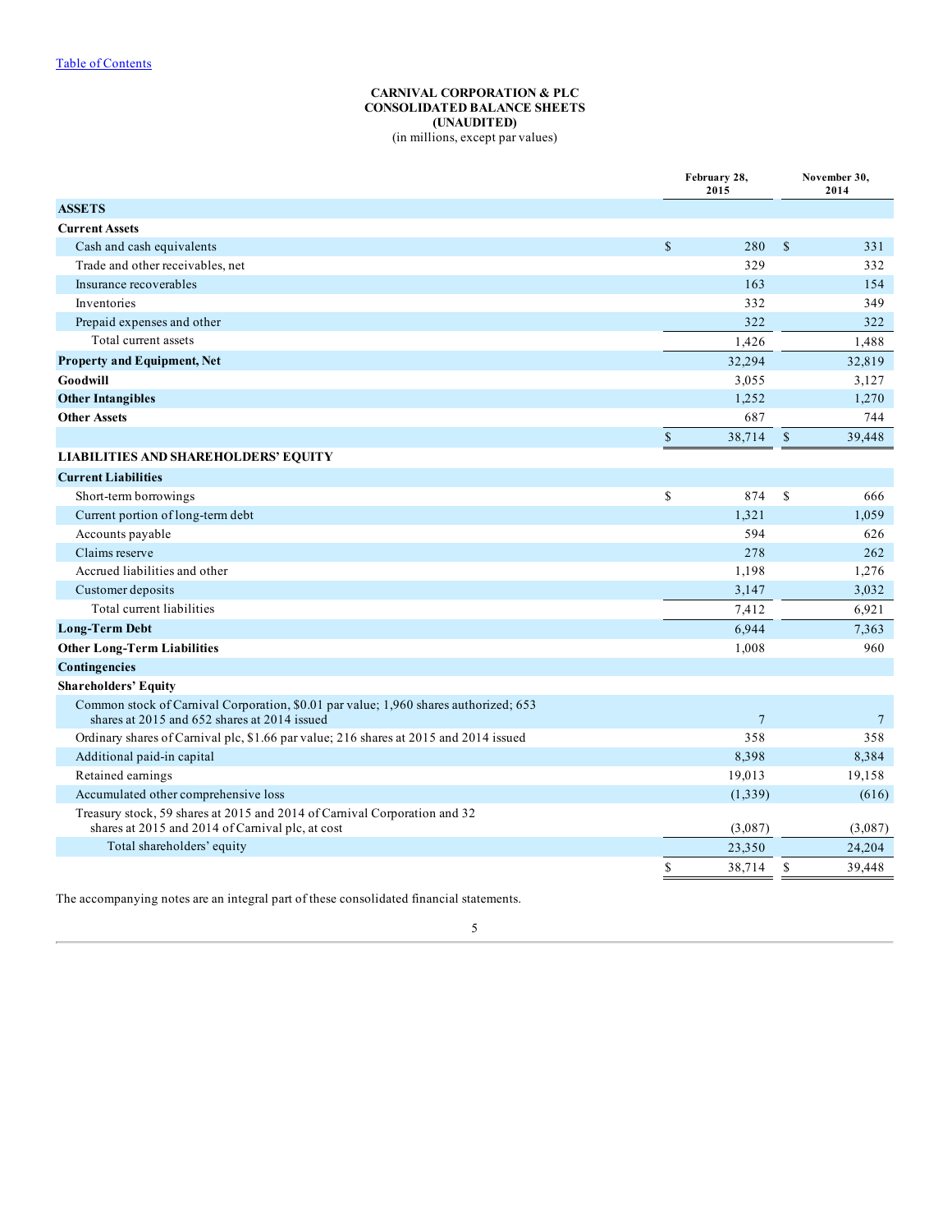#### **CARNIVAL CORPORATION & PLC CONSOLIDATED BALANCE SHEETS (UNAUDITED)** (in millions, except par values)

|                                                                                                                                      | February 28,<br>2015 |                 |               | November 30,<br>2014 |
|--------------------------------------------------------------------------------------------------------------------------------------|----------------------|-----------------|---------------|----------------------|
| <b>ASSETS</b>                                                                                                                        |                      |                 |               |                      |
| <b>Current Assets</b>                                                                                                                |                      |                 |               |                      |
| Cash and cash equivalents                                                                                                            | $\mathbb{S}$         | 280             | $\mathcal{S}$ | 331                  |
| Trade and other receivables, net                                                                                                     |                      | 329             |               | 332                  |
| Insurance recoverables                                                                                                               |                      | 163             |               | 154                  |
| Inventories                                                                                                                          |                      | 332             |               | 349                  |
| Prepaid expenses and other                                                                                                           |                      | 322             |               | 322                  |
| Total current assets                                                                                                                 |                      | 1,426           |               | 1,488                |
| <b>Property and Equipment, Net</b>                                                                                                   |                      | 32,294          |               | 32,819               |
| Goodwill                                                                                                                             |                      | 3,055           |               | 3,127                |
| <b>Other Intangibles</b>                                                                                                             |                      | 1,252           |               | 1,270                |
| <b>Other Assets</b>                                                                                                                  |                      | 687             |               | 744                  |
|                                                                                                                                      | $\mathbb{S}$         | 38,714          | $\mathcal{S}$ | 39,448               |
| <b>LIABILITIES AND SHAREHOLDERS' EQUITY</b>                                                                                          |                      |                 |               |                      |
| <b>Current Liabilities</b>                                                                                                           |                      |                 |               |                      |
| Short-term borrowings                                                                                                                | $\mathbb{S}$         | 874             | S             | 666                  |
| Current portion of long-term debt                                                                                                    |                      | 1,321           |               | 1,059                |
| Accounts payable                                                                                                                     |                      | 594             |               | 626                  |
| Claims reserve                                                                                                                       |                      | 278             |               | 262                  |
| Accrued liabilities and other                                                                                                        |                      | 1,198           |               | 1,276                |
| Customer deposits                                                                                                                    |                      | 3,147           |               | 3,032                |
| Total current liabilities                                                                                                            |                      | 7,412           |               | 6,921                |
| <b>Long-Term Debt</b>                                                                                                                |                      | 6.944           |               | 7,363                |
| <b>Other Long-Term Liabilities</b>                                                                                                   |                      | 1,008           |               | 960                  |
| Contingencies                                                                                                                        |                      |                 |               |                      |
| <b>Shareholders' Equity</b>                                                                                                          |                      |                 |               |                      |
| Common stock of Carnival Corporation, \$0.01 par value; 1,960 shares authorized; 653<br>shares at 2015 and 652 shares at 2014 issued |                      | $7\phantom{.0}$ |               | $7\phantom{.0}$      |
| Ordinary shares of Carnival plc, \$1.66 par value; 216 shares at 2015 and 2014 issued                                                |                      | 358             |               | 358                  |
| Additional paid-in capital                                                                                                           |                      | 8,398           |               | 8,384                |
| Retained earnings                                                                                                                    |                      | 19,013          |               | 19,158               |
| Accumulated other comprehensive loss                                                                                                 |                      | (1,339)         |               | (616)                |
| Treasury stock, 59 shares at 2015 and 2014 of Carnival Corporation and 32<br>shares at 2015 and 2014 of Carnival plc, at cost        |                      | (3,087)         |               | (3,087)              |
| Total shareholders' equity                                                                                                           |                      | 23,350          |               | 24,204               |
|                                                                                                                                      | $\mathbb{S}$         | 38,714          | <sup>\$</sup> | 39.448               |

The accompanying notes are an integral part of these consolidated financial statements.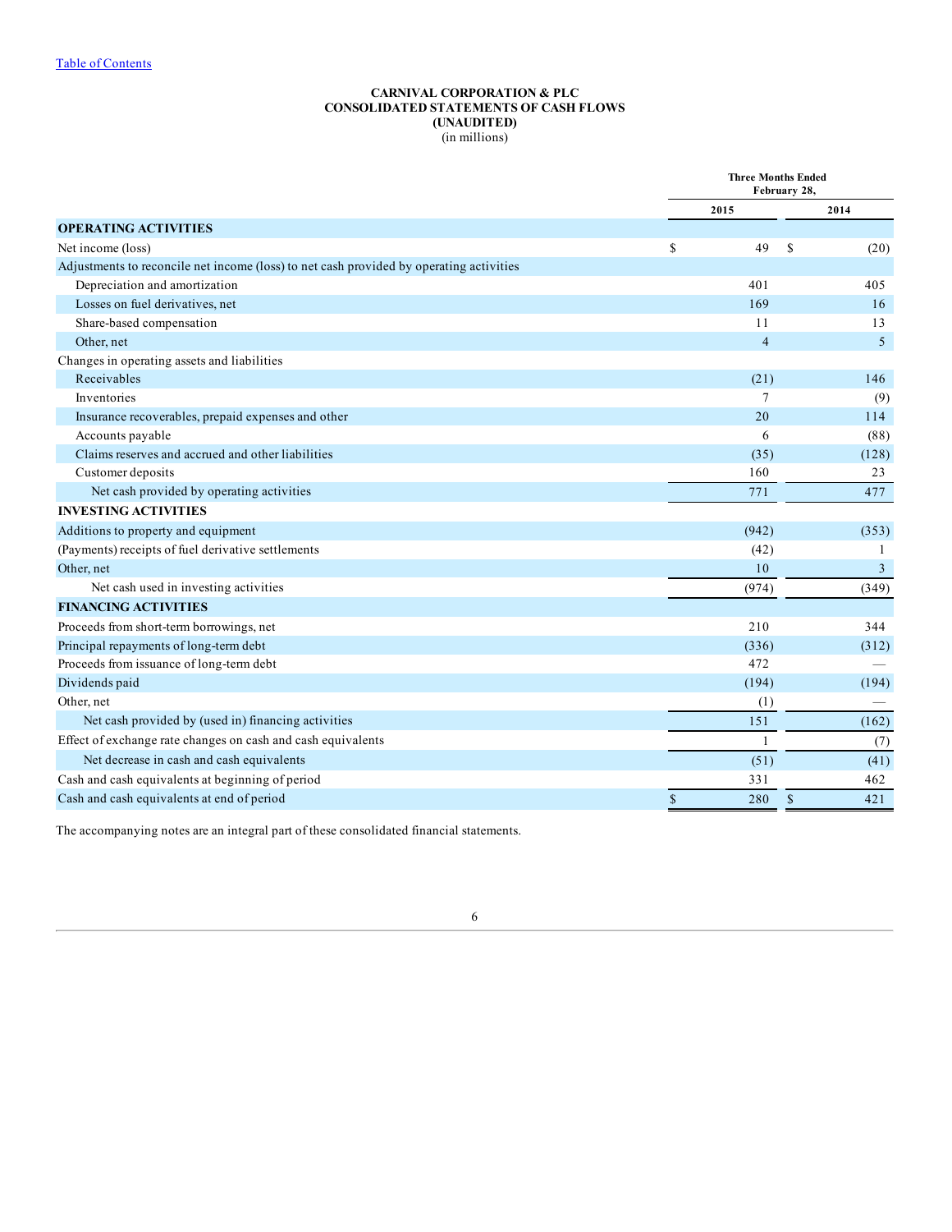### **CARNIVAL CORPORATION & PLC CONSOLIDATED STATEMENTS OF CASH FLOWS (UNAUDITED)** (in millions)

|                                                                                         | <b>Three Months Ended</b><br>February 28, |                |               |              |  |  |
|-----------------------------------------------------------------------------------------|-------------------------------------------|----------------|---------------|--------------|--|--|
|                                                                                         |                                           | 2015           | 2014          |              |  |  |
| <b>OPERATING ACTIVITIES</b>                                                             |                                           |                |               |              |  |  |
| Net income (loss)                                                                       | \$                                        | 49             | <sup>\$</sup> | (20)         |  |  |
| Adjustments to reconcile net income (loss) to net cash provided by operating activities |                                           |                |               |              |  |  |
| Depreciation and amortization                                                           |                                           | 401            |               | 405          |  |  |
| Losses on fuel derivatives, net                                                         |                                           | 169            |               | 16           |  |  |
| Share-based compensation                                                                |                                           | 11             |               | 13           |  |  |
| Other, net                                                                              |                                           | $\overline{4}$ |               | 5            |  |  |
| Changes in operating assets and liabilities                                             |                                           |                |               |              |  |  |
| Receivables                                                                             |                                           | (21)           |               | 146          |  |  |
| Inventories                                                                             |                                           | $\overline{7}$ |               | (9)          |  |  |
| Insurance recoverables, prepaid expenses and other                                      |                                           | 20             |               | 114          |  |  |
| Accounts payable                                                                        |                                           | 6              |               | (88)         |  |  |
| Claims reserves and accrued and other liabilities                                       |                                           | (35)           |               | (128)        |  |  |
| Customer deposits                                                                       |                                           | 160            |               | 23           |  |  |
| Net cash provided by operating activities                                               |                                           | 771            |               | 477          |  |  |
| <b>INVESTING ACTIVITIES</b>                                                             |                                           |                |               |              |  |  |
| Additions to property and equipment                                                     |                                           | (942)          |               | (353)        |  |  |
| (Payments) receipts of fuel derivative settlements                                      |                                           | (42)           |               | $\mathbf{1}$ |  |  |
| Other, net                                                                              |                                           | 10             |               | 3            |  |  |
| Net cash used in investing activities                                                   |                                           | (974)          |               | (349)        |  |  |
| <b>FINANCING ACTIVITIES</b>                                                             |                                           |                |               |              |  |  |
| Proceeds from short-term borrowings, net                                                |                                           | 210            |               | 344          |  |  |
| Principal repayments of long-term debt                                                  |                                           | (336)          |               | (312)        |  |  |
| Proceeds from issuance of long-term debt                                                |                                           | 472            |               |              |  |  |
| Dividends paid                                                                          |                                           | (194)          |               | (194)        |  |  |
| Other, net                                                                              |                                           | (1)            |               |              |  |  |
| Net cash provided by (used in) financing activities                                     |                                           | 151            |               | (162)        |  |  |
| Effect of exchange rate changes on cash and cash equivalents                            |                                           | 1              |               | (7)          |  |  |
| Net decrease in cash and cash equivalents                                               |                                           | (51)           |               | (41)         |  |  |
| Cash and cash equivalents at beginning of period                                        |                                           | 331            |               | 462          |  |  |
| Cash and cash equivalents at end of period                                              | $\mathbb{S}$                              | 280            | $\mathbb{S}$  | 421          |  |  |

The accompanying notes are an integral part of these consolidated financial statements.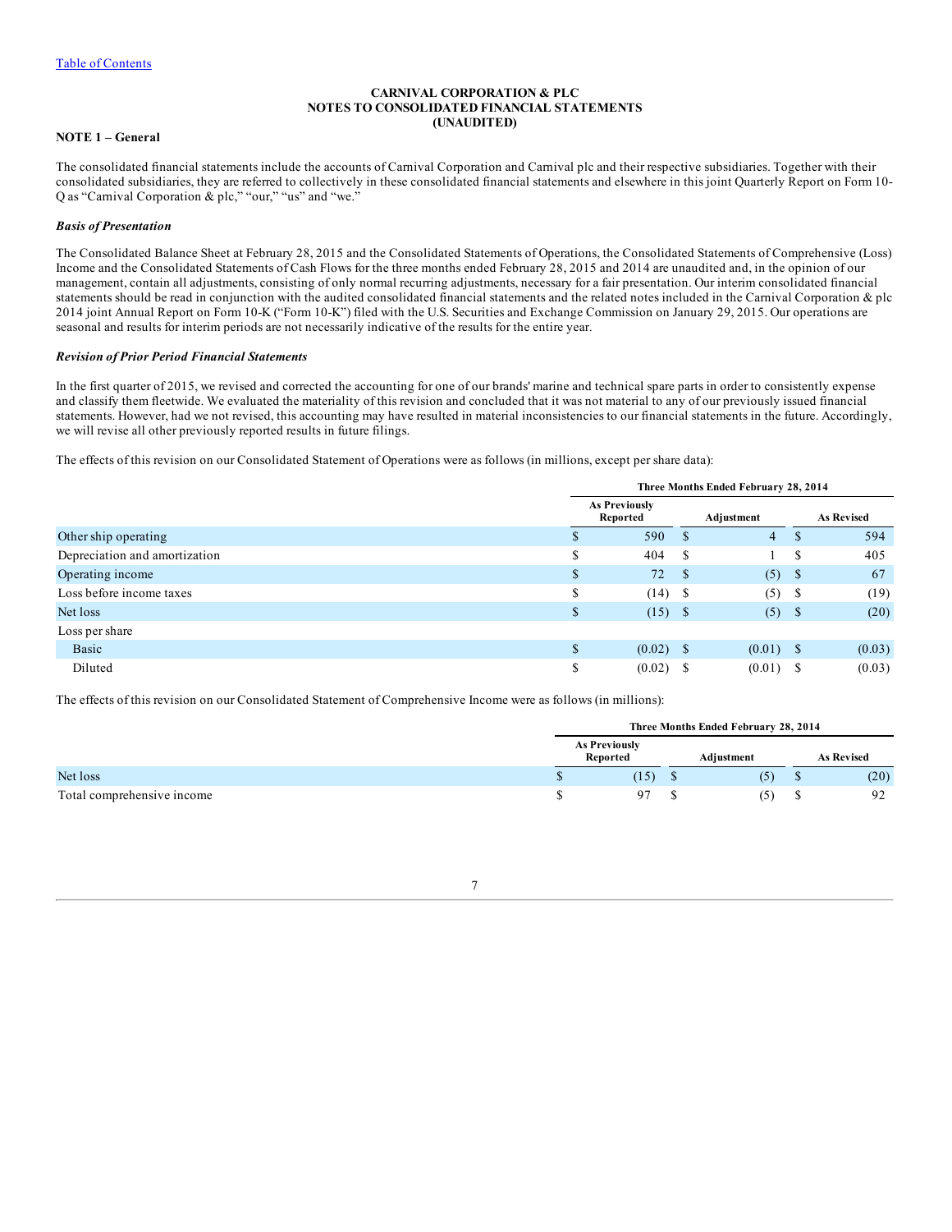#### **CARNIVAL CORPORATION & PLC NOTES TO CONSOLIDATED FINANCIAL STATEMENTS (UNAUDITED)**

# **NOTE 1 – General**

The consolidated financial statements include the accounts of Carnival Corporation and Carnival plc and their respective subsidiaries. Together with their consolidated subsidiaries, they are referred to collectively in these consolidated financial statements and elsewhere in this joint Quarterly Report on Form 10- Q as "Carnival Corporation & plc," "our," "us" and "we."

### *Basis of Presentation*

The Consolidated Balance Sheet at February 28, 2015 and the Consolidated Statements of Operations, the Consolidated Statements of Comprehensive (Loss) Income and the Consolidated Statements of Cash Flows for the three months ended February 28, 2015 and 2014 are unaudited and, in the opinion of our management, contain all adjustments, consisting of only normal recurring adjustments, necessary for a fair presentation. Our interim consolidated financial statements should be read in conjunction with the audited consolidated financial statements and the related notes included in the Carnival Corporation & plc 2014 joint Annual Report on Form 10-K ("Form 10-K") filed with the U.S. Securities and Exchange Commission on January 29, 2015. Our operations are seasonal and results for interim periods are not necessarily indicative of the results for the entire year.

#### *Revision of Prior Period Financial Statements*

In the first quarter of 2015, we revised and corrected the accounting for one of our brands' marine and technical spare parts in order to consistently expense and classify them fleetwide. We evaluated the materiality of this revision and concluded that it was not material to any of our previously issued financial statements. However, had we not revised, this accounting may have resulted in material inconsistencies to our financial statements in the future. Accordingly, we will revise all other previously reported results in future filings.

The effects of this revision on our Consolidated Statement of Operations were as follows (in millions, except per share data):

|                               | Three Months Ended February 28, 2014 |                                  |      |                |               |                   |  |  |  |
|-------------------------------|--------------------------------------|----------------------------------|------|----------------|---------------|-------------------|--|--|--|
|                               |                                      | <b>As Previously</b><br>Reported |      | Adjustment     |               | <b>As Revised</b> |  |  |  |
| Other ship operating          | S                                    | 590                              | - \$ | $\overline{4}$ | <sup>\$</sup> | 594               |  |  |  |
| Depreciation and amortization | S                                    | 404                              | - \$ |                | \$.           | 405               |  |  |  |
| Operating income              | S                                    | 72S                              |      | $(5)$ \$       |               | 67                |  |  |  |
| Loss before income taxes      | S                                    | $(14)$ \$                        |      | $(5)$ \$       |               | (19)              |  |  |  |
| Net loss                      | \$                                   | $(15)$ \$                        |      | $(5)$ \$       |               | (20)              |  |  |  |
| Loss per share                |                                      |                                  |      |                |               |                   |  |  |  |
| <b>Basic</b>                  | \$                                   | $(0.02)$ \$                      |      | $(0.01)$ \$    |               | (0.03)            |  |  |  |
| Diluted                       | \$                                   | $(0.02)$ \$                      |      | $(0.01)$ \$    |               | (0.03)            |  |  |  |

The effects of this revision on our Consolidated Statement of Comprehensive Income were as follows (in millions):

|                            |  | Three Months Ended February 28, 2014 |  |            |  |                   |  |  |  |  |
|----------------------------|--|--------------------------------------|--|------------|--|-------------------|--|--|--|--|
|                            |  | <b>As Previously</b><br>Reported     |  | Adiustment |  | <b>As Revised</b> |  |  |  |  |
| Net loss                   |  | (15)                                 |  | (5)        |  | (20)              |  |  |  |  |
| Total comprehensive income |  | 97                                   |  | 15         |  | 92                |  |  |  |  |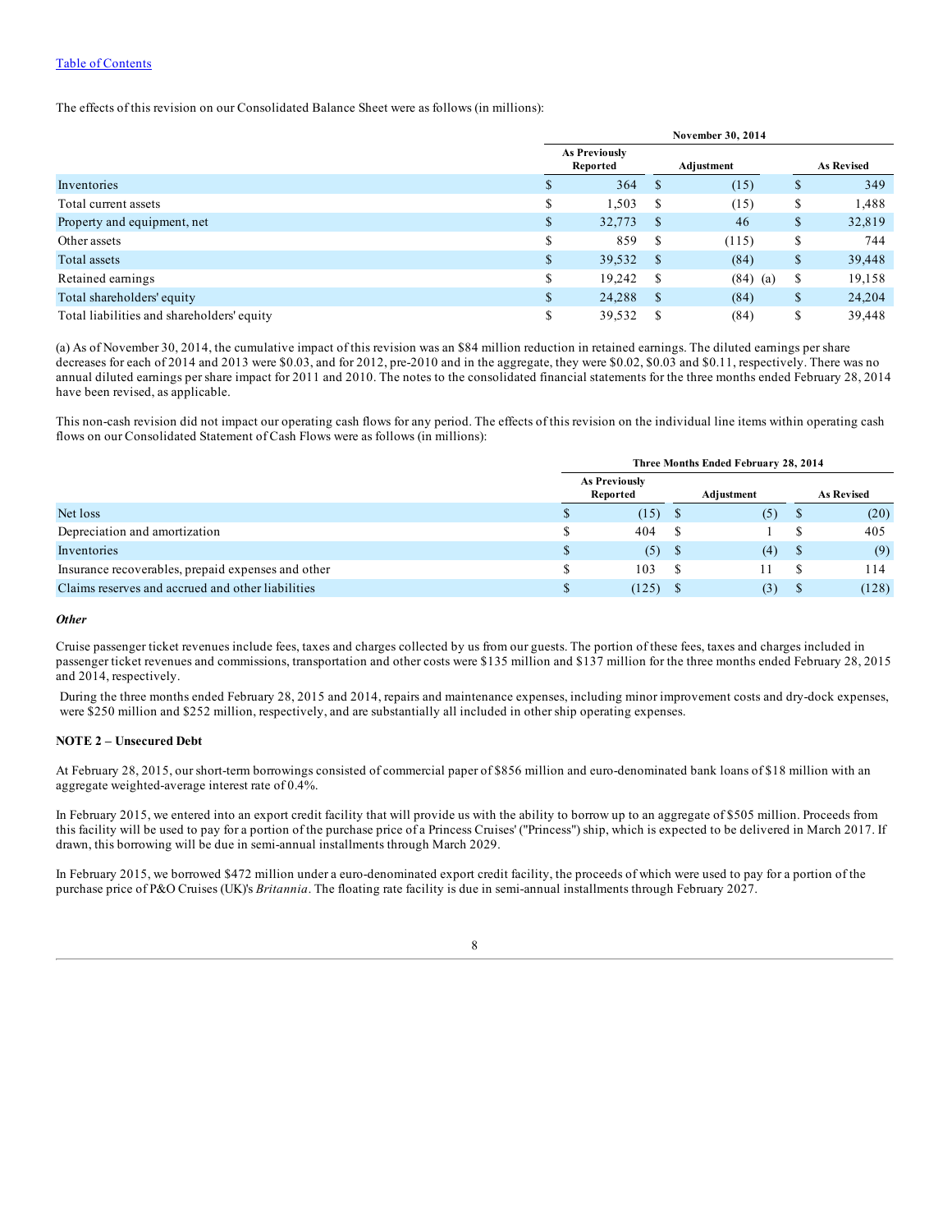# Table of [Contents](#page-1-0)

The effects of this revision on our Consolidated Balance Sheet were as follows (in millions):

|                                            |    | <b>November 30, 2014</b>         |      |             |    |                   |  |  |  |  |  |
|--------------------------------------------|----|----------------------------------|------|-------------|----|-------------------|--|--|--|--|--|
|                                            |    | <b>As Previously</b><br>Reported |      | Adjustment  |    | <b>As Revised</b> |  |  |  |  |  |
| Inventories                                |    | 364                              | -S   | (15)        | S  | 349               |  |  |  |  |  |
| Total current assets                       | \$ | 1,503                            | -S   | (15)        | \$ | 1,488             |  |  |  |  |  |
| Property and equipment, net                | \$ | 32,773                           | - \$ | 46          | \$ | 32,819            |  |  |  |  |  |
| Other assets                               | \$ | 859                              | -S   | (115)       | \$ | 744               |  |  |  |  |  |
| Total assets                               | \$ | 39,532                           | - \$ | (84)        | \$ | 39,448            |  |  |  |  |  |
| Retained earnings                          | \$ | 19,242                           | - \$ | (84)<br>(a) | \$ | 19,158            |  |  |  |  |  |
| Total shareholders' equity                 | \$ | 24,288                           | - \$ | (84)        | \$ | 24,204            |  |  |  |  |  |
| Total liabilities and shareholders' equity |    | 39,532                           | -S   | (84)        | S  | 39.448            |  |  |  |  |  |

(a) As of November 30, 2014, the cumulative impact of this revision was an \$84 million reduction in retained earnings. The diluted earnings per share decreases for each of 2014 and 2013 were \$0.03, and for 2012, pre-2010 and in the aggregate, they were \$0.02, \$0.03 and \$0.11, respectively. There was no annual diluted earnings per share impact for 2011 and 2010. The notes to the consolidated financial statements for the three months ended February 28, 2014 have been revised, as applicable.

This non-cash revision did not impact our operating cash flows for any period. The effects of this revision on the individual line items within operating cash flows on our Consolidated Statement of Cash Flows were as follows (in millions):

|                                                    | Three Months Ended February 28, 2014 |     |            |               |                   |  |  |  |  |  |
|----------------------------------------------------|--------------------------------------|-----|------------|---------------|-------------------|--|--|--|--|--|
|                                                    | <b>As Previously</b><br>Reported     |     | Adiustment |               | <b>As Revised</b> |  |  |  |  |  |
| Net loss                                           | (15)                                 |     | (5)        | <sup>35</sup> | (20)              |  |  |  |  |  |
| Depreciation and amortization                      | 404                                  |     |            |               | 405               |  |  |  |  |  |
| Inventories                                        | (5)                                  | - 5 | (4)        | -S            | (9)               |  |  |  |  |  |
| Insurance recoverables, prepaid expenses and other | 103                                  |     | -1         | <sup>\$</sup> | 114               |  |  |  |  |  |
| Claims reserves and accrued and other liabilities  | (125)                                |     | (3)        |               | (128)             |  |  |  |  |  |

*Other*

Cruise passenger ticket revenues include fees, taxes and charges collected by us from our guests. The portion of these fees, taxes and charges included in passenger ticket revenues and commissions, transportation and other costs were \$135 million and \$137 million for the three months ended February 28, 2015 and 2014, respectively.

During the three months ended February 28, 2015 and 2014, repairs and maintenance expenses, including minor improvement costs and dry-dock expenses, were \$250 million and \$252 million, respectively, and are substantially all included in other ship operating expenses.

#### **NOTE 2 – Unsecured Debt**

At February 28, 2015, our short-term borrowings consisted of commercial paper of \$856 million and euro-denominated bank loans of \$18 million with an aggregate weighted-average interest rate of 0.4%.

In February 2015, we entered into an export credit facility that will provide us with the ability to borrow up to an aggregate of \$505 million. Proceeds from this facility will be used to pay for a portion of the purchase price of a Princess Cruises'' ("Princess") ship, which is expected to be delivered in March 2017. If drawn, this borrowing will be due in semi-annual installments through March 2029.

In February 2015, we borrowed \$472 million under a euro-denominated export credit facility, the proceeds of which were used to pay for a portion of the purchase price of P&O Cruises (UK)'s *Britannia*. The floating rate facility is due in semi-annual installments through February 2027.

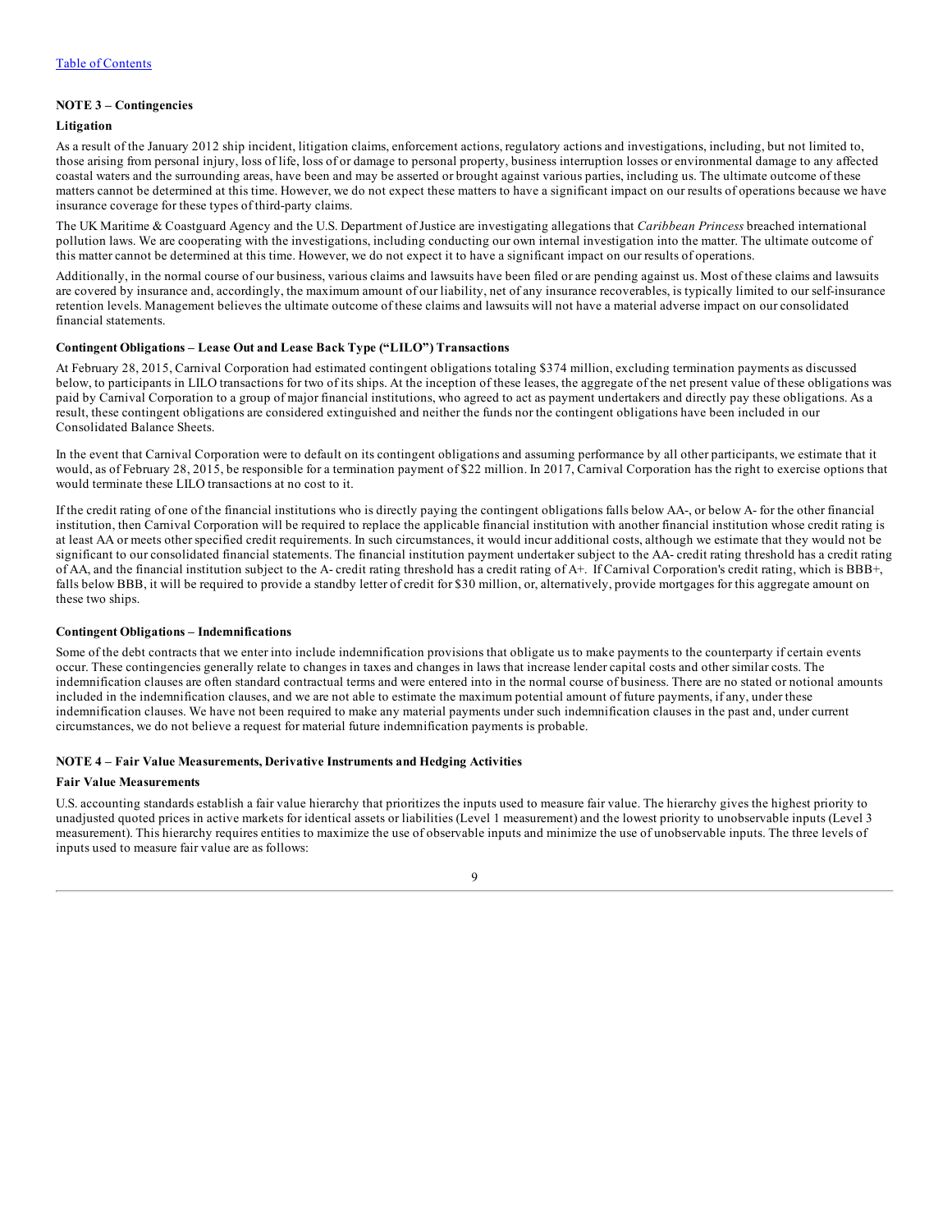# **NOTE 3 – Contingencies**

#### **Litigation**

As a result of the January 2012 ship incident, litigation claims, enforcement actions, regulatory actions and investigations, including, but not limited to, those arising from personal injury, loss of life, loss of or damage to personal property, business interruption losses or environmental damage to any affected coastal waters and the surrounding areas, have been and may be asserted or brought against various parties, including us. The ultimate outcome of these matters cannot be determined at this time. However, we do not expect these matters to have a significant impact on our results of operations because we have insurance coverage for these types of third-party claims.

The UK Maritime & Coastguard Agency and the U.S. Department of Justice are investigating allegations that *Caribbean Princess* breached international pollution laws. We are cooperating with the investigations, including conducting our own internal investigation into the matter. The ultimate outcome of this matter cannot be determined at this time. However, we do not expect it to have a significant impact on our results of operations.

Additionally, in the normal course of our business, various claims and lawsuits have been filed or are pending against us. Most of these claims and lawsuits are covered by insurance and, accordingly, the maximum amount of our liability, net of any insurance recoverables, is typically limited to our self-insurance retention levels. Management believes the ultimate outcome of these claims and lawsuits will not have a material adverse impact on our consolidated financial statements.

# **Contingent Obligations – Lease Out and Lease Back Type ("LILO") Transactions**

At February 28, 2015, Carnival Corporation had estimated contingent obligations totaling \$374 million, excluding termination payments as discussed below, to participants in LILO transactions for two of its ships. At the inception of these leases, the aggregate of the net present value of these obligations was paid by Carnival Corporation to a group of major financial institutions, who agreed to act as payment undertakers and directly pay these obligations. As a result, these contingent obligations are considered extinguished and neither the funds nor the contingent obligations have been included in our Consolidated Balance Sheets.

In the event that Carnival Corporation were to default on its contingent obligations and assuming performance by all other participants, we estimate that it would, as of February 28, 2015, be responsible for a termination payment of \$22 million. In 2017, Carnival Corporation has the right to exercise options that would terminate these LILO transactions at no cost to it.

If the credit rating of one of the financial institutions who is directly paying the contingent obligations falls below AA-, or below A- for the other financial institution, then Carnival Corporation will be required to replace the applicable financial institution with another financial institution whose credit rating is at least AA or meets other specified credit requirements. In such circumstances, it would incur additional costs, although we estimate that they would not be significant to our consolidated financial statements. The financial institution payment undertaker subject to the AA- credit rating threshold has a credit rating of AA, and the financial institution subject to the A- credit rating threshold has a credit rating of A+. If Carnival Corporation's credit rating, which is BBB+, falls below BBB, it will be required to provide a standby letter of credit for \$30 million, or, alternatively, provide mortgages for this aggregate amount on these two ships.

#### **Contingent Obligations – Indemnifications**

Some of the debt contracts that we enter into include indemnification provisions that obligate us to make payments to the counterparty if certain events occur. These contingencies generally relate to changes in taxes and changes in laws that increase lender capital costs and other similar costs. The indemnification clauses are often standard contractual terms and were entered into in the normal course of business. There are no stated or notional amounts included in the indemnification clauses, and we are not able to estimate the maximum potential amount of future payments, if any, under these indemnification clauses. We have not been required to make any material payments under such indemnification clauses in the past and, under current circumstances, we do not believe a request for material future indemnification payments is probable.

# **NOTE 4 – Fair Value Measurements, Derivative Instruments and Hedging Activities**

#### **Fair Value Measurements**

U.S. accounting standards establish a fair value hierarchy that prioritizes the inputs used to measure fair value. The hierarchy gives the highest priority to unadjusted quoted prices in active markets for identical assets or liabilities (Level 1 measurement) and the lowest priority to unobservable inputs (Level 3 measurement). This hierarchy requires entities to maximize the use of observable inputs and minimize the use of unobservable inputs. The three levels of inputs used to measure fair value are as follows:

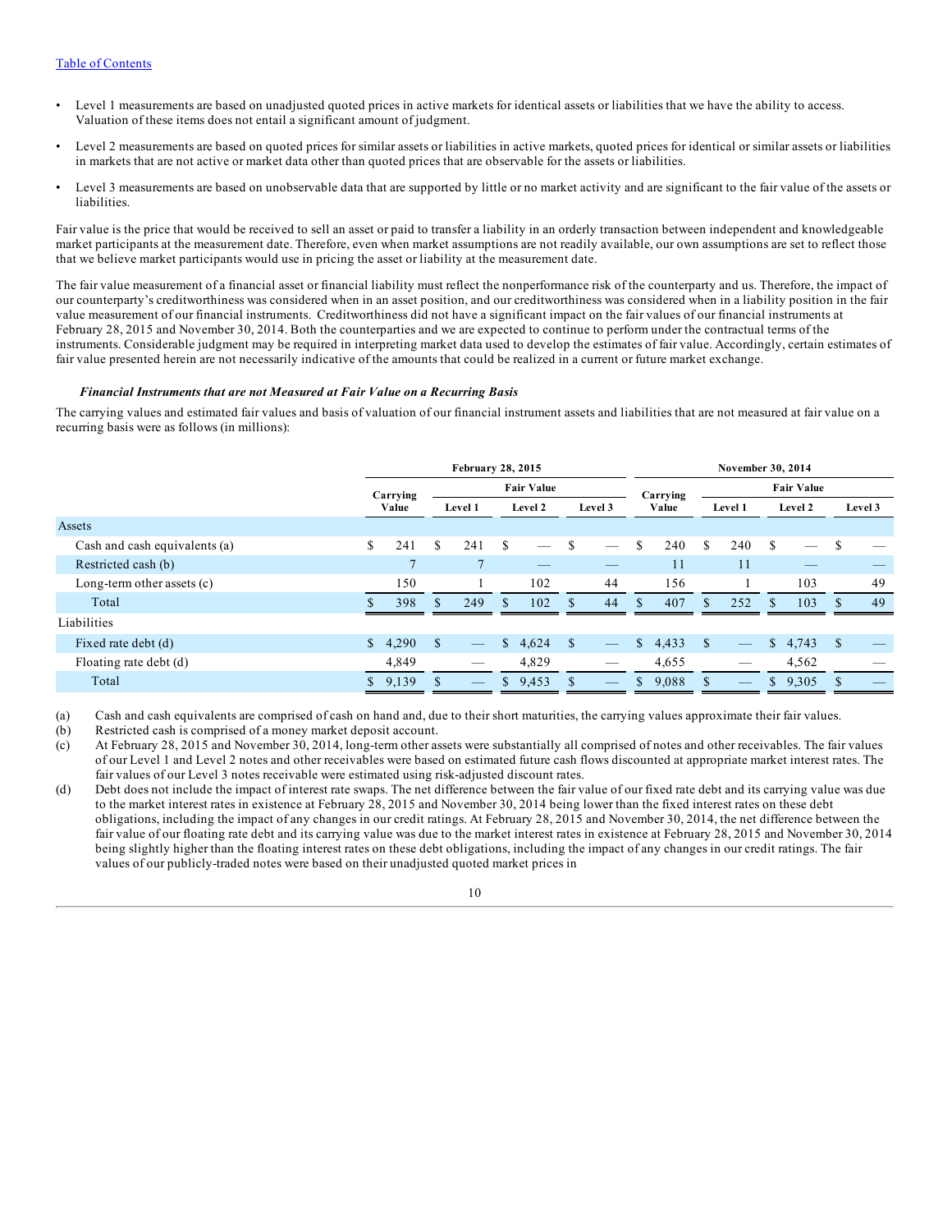- Level 1 measurements are based on unadjusted quoted prices in active markets for identical assets or liabilities that we have the ability to access. Valuation of these items does not entail a significant amount of judgment.
- Level 2 measurements are based on quoted prices for similar assets or liabilities in active markets, quoted prices for identical or similar assets or liabilities in markets that are not active or market data other than quoted prices that are observable for the assets or liabilities.
- Level 3 measurements are based on unobservable data that are supported by little or no market activity and are significant to the fair value of the assets or liabilities.

Fair value is the price that would be received to sell an asset or paid to transfer a liability in an orderly transaction between independent and knowledgeable market participants at the measurement date. Therefore, even when market assumptions are not readily available, our own assumptions are set to reflect those that we believe market participants would use in pricing the asset or liability at the measurement date.

The fair value measurement of a financial asset or financial liability must reflect the nonperformance risk of the counterparty and us. Therefore, the impact of our counterparty's creditworthiness was considered when in an asset position, and our creditworthiness was considered when in a liability position in the fair value measurement of our financial instruments. Creditworthiness did not have a significant impact on the fair values of our financial instruments at February 28, 2015 and November 30, 2014. Both the counterparties and we are expected to continue to perform under the contractual terms of the instruments. Considerable judgment may be required in interpreting market data used to develop the estimates of fair value. Accordingly, certain estimates of fair value presented herein are not necessarily indicative of the amounts that could be realized in a current or future market exchange.

#### *Financial Instruments that are not Measured at Fair Value on a Recurring Basis*

The carrying values and estimated fair values and basis of valuation of our financial instrument assets and liabilities that are not measured at fair value on a recurring basis were as follows (in millions):

|                               | <b>February 28, 2015</b> |       |                               |                          |              |         |         |                   |              | November 30, 2014 |                   |                   |         |       |         |    |  |
|-------------------------------|--------------------------|-------|-------------------------------|--------------------------|--------------|---------|---------|-------------------|--------------|-------------------|-------------------|-------------------|---------|-------|---------|----|--|
|                               |                          |       | <b>Fair Value</b><br>Carrying |                          |              |         |         |                   | Carrying     |                   | <b>Fair Value</b> |                   |         |       |         |    |  |
|                               |                          | Value | Level 1                       |                          | Level 2      |         | Level 3 |                   | Value        |                   | Level 1           |                   | Level 2 |       | Level 3 |    |  |
| Assets                        |                          |       |                               |                          |              |         |         |                   |              |                   |                   |                   |         |       |         |    |  |
| Cash and cash equivalents (a) | \$                       | 241   | \$.                           | 241                      | S            |         | S       | –                 | S            | 240               | S                 | 240               | S       | __    | - \$    |    |  |
| Restricted cash (b)           |                          |       |                               | $\overline{7}$           |              |         |         |                   |              | 11                |                   | 11                |         |       |         |    |  |
| Long-term other assets $(c)$  |                          | 150   |                               |                          |              | 102     |         | 44                |              | 156               |                   |                   |         | 103   |         | 49 |  |
| Total                         |                          | 398   | <sup>\$</sup>                 | 249                      | $\mathbf{S}$ | 102     |         | 44                | £.           | 407               | S.                | 252               | S.      | 103   | S.      | 49 |  |
| Liabilities                   |                          |       |                               |                          |              |         |         |                   |              |                   |                   |                   |         |       |         |    |  |
| Fixed rate debt (d)           | \$                       | 4,290 | \$                            | $\overline{\phantom{a}}$ |              | \$4,624 | \$      |                   | $\mathbb{S}$ | 4,433             | <sup>\$</sup>     |                   | \$      | 4,743 | \$      |    |  |
| Floating rate debt (d)        |                          | 4,849 |                               |                          |              | 4,829   |         |                   |              | 4,655             |                   |                   |         | 4,562 |         |    |  |
| Total                         | \$                       | 9,139 | \$.                           |                          | $\mathbb{S}$ | 9,453   | \$      | $\hspace{0.05cm}$ | \$           | 9,088             |                   | $\hspace{0.05cm}$ | \$      | 9,305 | \$      |    |  |

(a) Cash and cash equivalents are comprised of cash on hand and, due to their short maturities, the carrying values approximate their fair values.

(b) Restricted cash is comprised of a money market deposit account.

(c) At February 28, 2015 and November 30, 2014, long-term other assets were substantially all comprised of notes and other receivables. The fair values of our Level 1 and Level 2 notes and other receivables were based on estimated future cash flows discounted at appropriate market interest rates. The fair values of our Level 3 notes receivable were estimated using risk-adjusted discount rates.

(d) Debt does not include the impact of interest rate swaps. The net difference between the fair value of our fixed rate debt and its carrying value was due to the market interest rates in existence at February 28, 2015 and November 30, 2014 being lower than the fixed interest rates on these debt obligations, including the impact of any changes in our credit ratings. At February 28, 2015 and November 30, 2014, the net difference between the fair value of our floating rate debt and its carrying value was due to the market interest rates in existence at February 28, 2015 and November 30, 2014 being slightly higher than the floating interest rates on these debt obligations, including the impact of any changes in our credit ratings. The fair values of our publicly-traded notes were based on their unadjusted quoted market prices in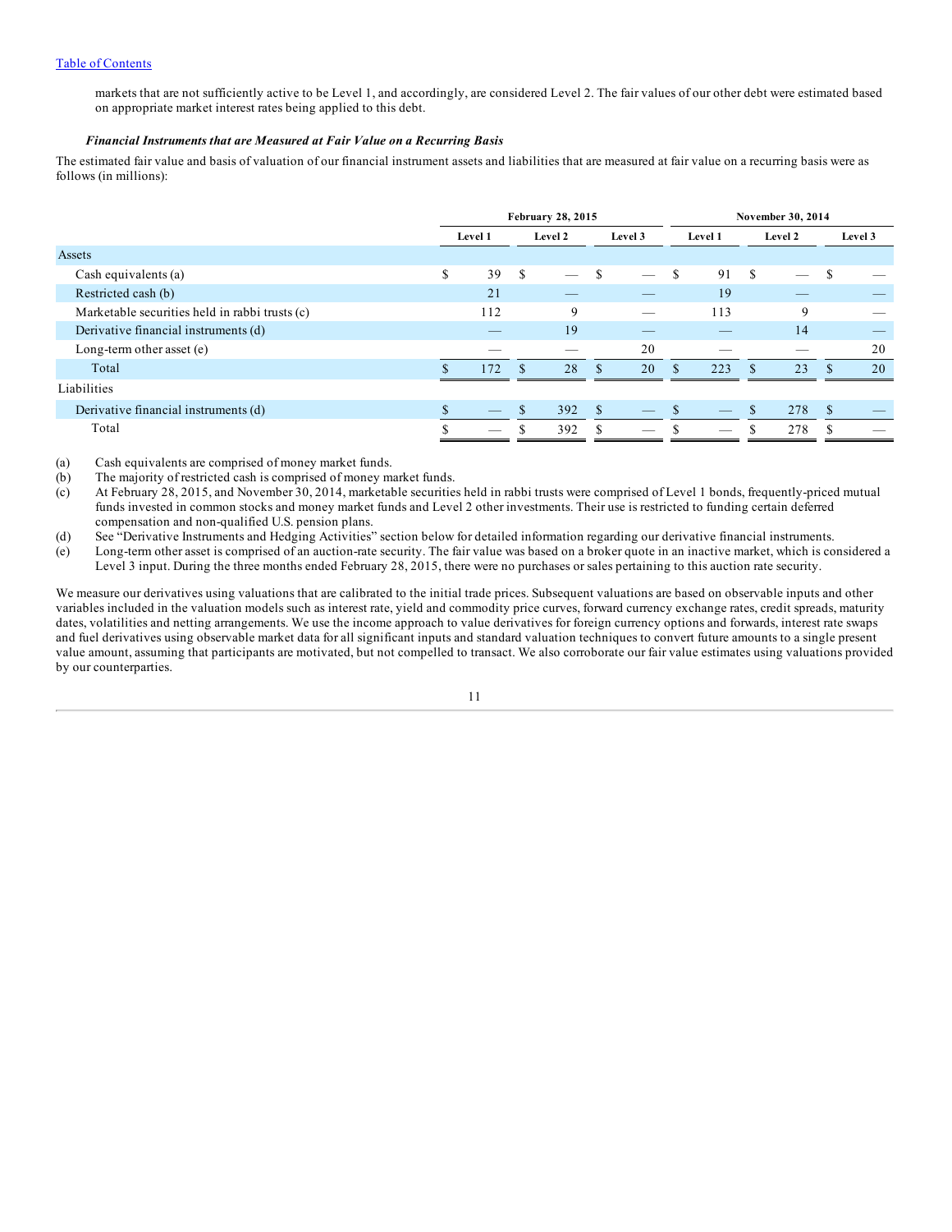markets that are not sufficiently active to be Level 1, and accordingly, are considered Level 2. The fair values of our other debt were estimated based on appropriate market interest rates being applied to this debt.

#### *Financial Instruments that are Measured at Fair Value on a Recurring Basis*

The estimated fair value and basis of valuation of our financial instrument assets and liabilities that are measured at fair value on a recurring basis were as follows (in millions):

|                                                |         |                          |    | <b>February 28, 2015</b> |          | November 30, 2014        |    |         |               |     |         |    |
|------------------------------------------------|---------|--------------------------|----|--------------------------|----------|--------------------------|----|---------|---------------|-----|---------|----|
|                                                | Level 1 |                          |    | Level 2                  |          | Level 3                  |    | Level 1 | Level 2       |     | Level 3 |    |
| Assets                                         |         |                          |    |                          |          |                          |    |         |               |     |         |    |
| Cash equivalents (a)                           | S       | 39                       | -S |                          | \$.      | $\qquad \qquad$          | S  | 91      | <sup>\$</sup> |     |         |    |
| Restricted cash (b)                            |         | 21                       |    |                          |          |                          |    | 19      |               |     |         |    |
| Marketable securities held in rabbi trusts (c) |         | 112                      |    | 9                        |          |                          |    | 113     |               | 9   |         |    |
| Derivative financial instruments (d)           |         |                          |    | 19                       |          |                          |    |         |               | 14  |         |    |
| Long-term other asset $(e)$                    |         |                          |    |                          |          | 20                       |    |         |               |     |         | 20 |
| Total                                          |         | 172                      |    | 28                       | <b>S</b> | 20                       | £. | 223     | £.            | 23  |         | 20 |
| Liabilities                                    |         |                          |    |                          |          |                          |    |         |               |     |         |    |
| Derivative financial instruments (d)           | \$.     | $\overline{\phantom{m}}$ |    | 392                      | <b>S</b> | $\overline{\phantom{m}}$ |    |         | \$            | 278 |         |    |
| Total                                          |         |                          |    | 392                      |          | $\qquad \qquad$          |    |         |               | 278 |         |    |

(a) Cash equivalents are comprised of money market funds.

(b) The majority of restricted cash is comprised of money market funds.

(c) At February 28, 2015, and November 30, 2014, marketable securities held in rabbi trusts were comprised of Level 1 bonds, frequently-priced mutual funds invested in common stocks and money market funds and Level 2 other investments. Their use is restricted to funding certain deferred compensation and non-qualified U.S. pension plans.

(d) See "Derivative Instruments and Hedging Activities" section below for detailed information regarding our derivative financial instruments.

(e) Long-term other asset is comprised of an auction-rate security. The fair value was based on a broker quote in an inactive market, which is considered a Level 3 input. During the three months ended February 28, 2015, there were no purchases or sales pertaining to this auction rate security.

We measure our derivatives using valuations that are calibrated to the initial trade prices. Subsequent valuations are based on observable inputs and other variables included in the valuation models such as interest rate, yield and commodity price curves, forward currency exchange rates, credit spreads, maturity dates, volatilities and netting arrangements. We use the income approach to value derivatives for foreign currency options and forwards, interest rate swaps and fuel derivatives using observable market data for all significant inputs and standard valuation techniques to convert future amounts to a single present value amount, assuming that participants are motivated, but not compelled to transact. We also corroborate our fair value estimates using valuations provided by our counterparties.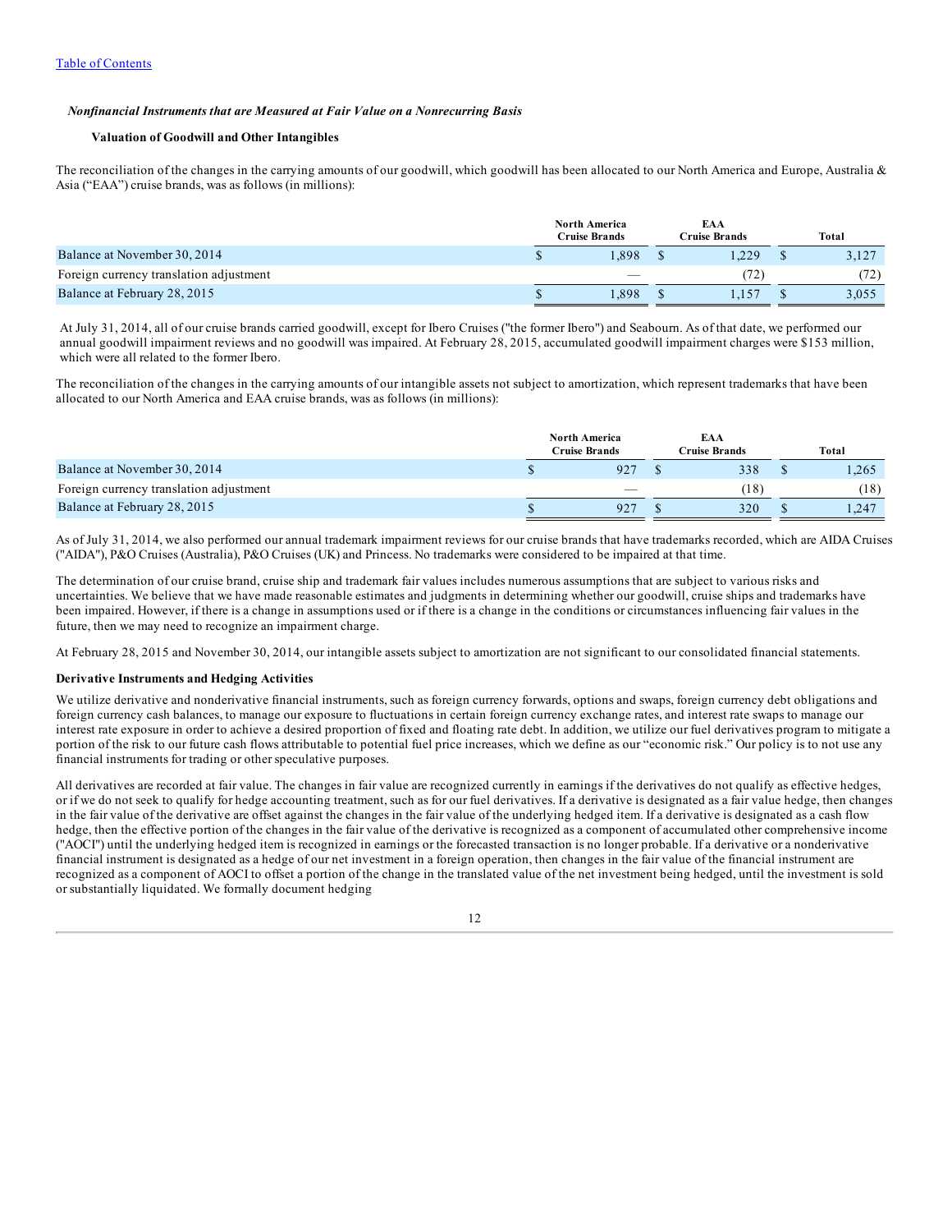#### *Nonfinancial Instruments that are Measured at Fair Value on a Nonrecurring Basis*

#### **Valuation of Goodwill and Other Intangibles**

The reconciliation of the changes in the carrying amounts of our goodwill, which goodwill has been allocated to our North America and Europe, Australia & Asia ("EAA") cruise brands, was as follows (in millions):

|                                         | <b>North America</b><br>Cruise Brands | EAA<br><b>Cruise Brands</b> | Total |
|-----------------------------------------|---------------------------------------|-----------------------------|-------|
| Balance at November 30, 2014            | 1.898                                 | .229                        | 3,127 |
| Foreign currency translation adjustment |                                       | 72,                         | (72)  |
| Balance at February 28, 2015            | .898                                  | . 157                       | 3,055 |

At July 31, 2014, all of our cruise brands carried goodwill, except for Ibero Cruises ("the former Ibero") and Seabourn. As of that date, we performed our annual goodwill impairment reviews and no goodwill was impaired. At February 28, 2015, accumulated goodwill impairment charges were \$153 million, which were all related to the former Ibero.

The reconciliation of the changes in the carrying amounts of our intangible assets not subject to amortization, which represent trademarks that have been allocated to our North America and EAA cruise brands, was as follows (in millions):

|                                         | <b>North America</b><br>Cruise Brands | EAA<br>Cruise Brands | Total |
|-----------------------------------------|---------------------------------------|----------------------|-------|
| Balance at November 30, 2014            | 927                                   | 338                  | 1,265 |
| Foreign currency translation adjustment | $\sim$                                | (18                  | (18)  |
| Balance at February 28, 2015            | 927                                   | 320                  | . 247 |

As of July 31, 2014, we also performed our annual trademark impairment reviews for our cruise brands that have trademarks recorded, which are AIDA Cruises ("AIDA"), P&O Cruises (Australia), P&O Cruises (UK) and Princess. No trademarks were considered to be impaired at that time.

The determination of our cruise brand, cruise ship and trademark fair values includes numerous assumptions that are subject to various risks and uncertainties. We believe that we have made reasonable estimates and judgments in determining whether our goodwill, cruise ships and trademarks have been impaired. However, if there is a change in assumptions used or if there is a change in the conditions or circumstances influencing fair values in the future, then we may need to recognize an impairment charge.

At February 28, 2015 and November 30, 2014, our intangible assets subject to amortization are not significant to our consolidated financial statements.

#### **Derivative Instruments and Hedging Activities**

We utilize derivative and nonderivative financial instruments, such as foreign currency forwards, options and swaps, foreign currency debt obligations and foreign currency cash balances, to manage our exposure to fluctuations in certain foreign currency exchange rates, and interest rate swaps to manage our interest rate exposure in order to achieve a desired proportion of fixed and floating rate debt. In addition, we utilize our fuel derivatives program to mitigate a portion of the risk to our future cash flows attributable to potential fuel price increases, which we define as our "economic risk." Our policy is to not use any financial instruments for trading or other speculative purposes.

All derivatives are recorded at fair value. The changes in fair value are recognized currently in earnings if the derivatives do not qualify as effective hedges, or if we do not seek to qualify for hedge accounting treatment, such as for our fuel derivatives. If a derivative is designated as a fair value hedge, then changes in the fair value of the derivative are offset against the changes in the fair value of the underlying hedged item. If a derivative is designated as a cash flow hedge, then the effective portion of the changes in the fair value of the derivative is recognized as a component of accumulated other comprehensive income ("AOCI") until the underlying hedged item is recognized in earnings or the forecasted transaction is no longer probable. If a derivative or a nonderivative financial instrument is designated as a hedge of our net investment in a foreign operation, then changes in the fair value of the financial instrument are recognized as a component of AOCI to offset a portion of the change in the translated value of the net investment being hedged, until the investment is sold or substantially liquidated. We formally document hedging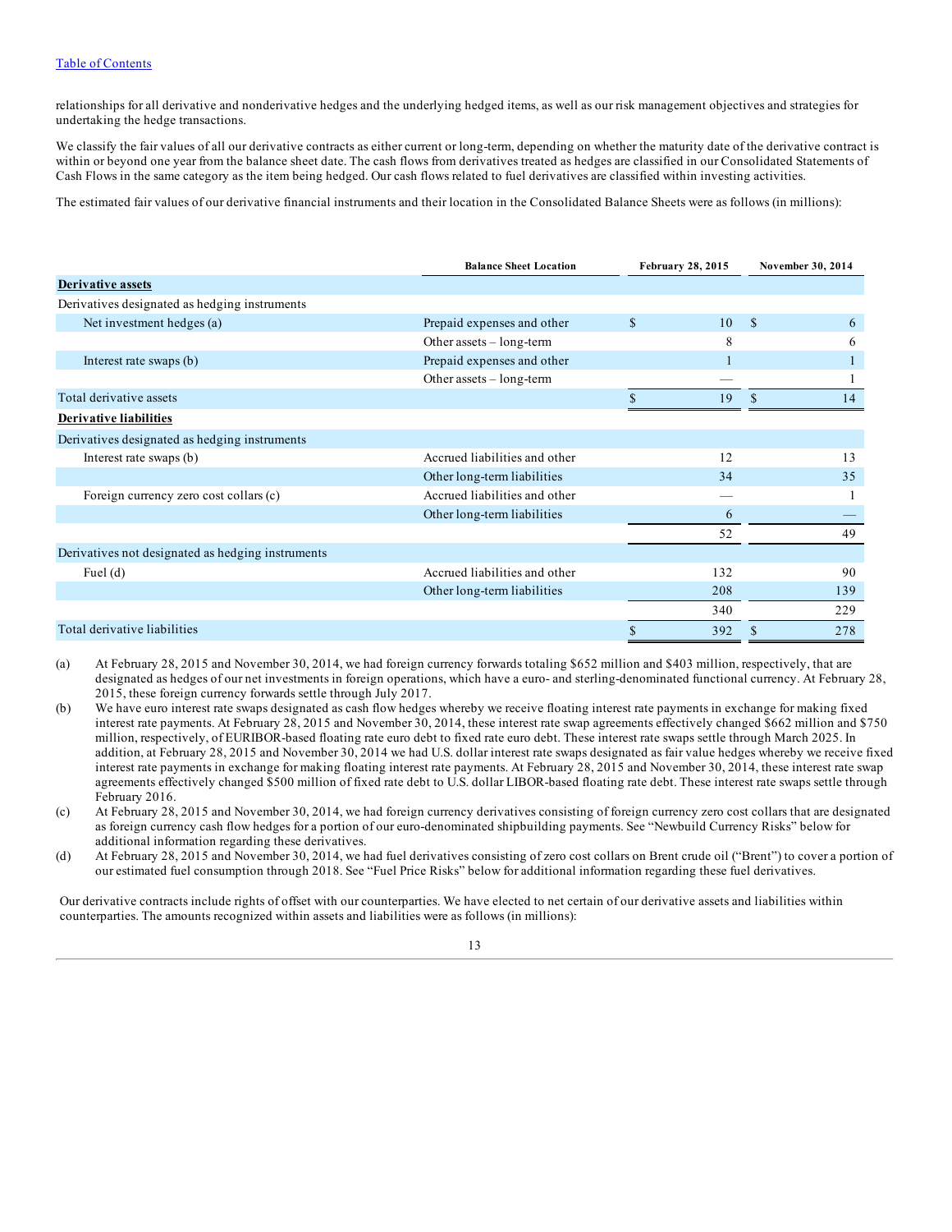relationships for all derivative and nonderivative hedges and the underlying hedged items, as well as our risk management objectives and strategies for undertaking the hedge transactions.

We classify the fair values of all our derivative contracts as either current or long-term, depending on whether the maturity date of the derivative contract is within or beyond one year from the balance sheet date. The cash flows from derivatives treated as hedges are classified in our Consolidated Statements of Cash Flows in the same category as the item being hedged. Our cash flows related to fuel derivatives are classified within investing activities.

The estimated fair values of our derivative financial instruments and their location in the Consolidated Balance Sheets were as follows (in millions):

|                                                   | <b>Balance Sheet Location</b> | <b>February 28, 2015</b> |     | <b>November 30, 2014</b> |     |
|---------------------------------------------------|-------------------------------|--------------------------|-----|--------------------------|-----|
| Derivative assets                                 |                               |                          |     |                          |     |
| Derivatives designated as hedging instruments     |                               |                          |     |                          |     |
| Net investment hedges (a)                         | Prepaid expenses and other    | $\mathbb{S}$             | 10  | $\mathcal{S}$            | 6   |
|                                                   | Other assets $-$ long-term    |                          | 8   |                          | 6   |
| Interest rate swaps (b)                           | Prepaid expenses and other    |                          |     |                          |     |
|                                                   | Other assets $-$ long-term    |                          |     |                          |     |
| Total derivative assets                           |                               |                          | 19  |                          | 14  |
| <b>Derivative liabilities</b>                     |                               |                          |     |                          |     |
| Derivatives designated as hedging instruments     |                               |                          |     |                          |     |
| Interest rate swaps (b)                           | Accrued liabilities and other |                          | 12  |                          | 13  |
|                                                   | Other long-term liabilities   |                          | 34  |                          | 35  |
| Foreign currency zero cost collars (c)            | Accrued liabilities and other |                          |     |                          |     |
|                                                   | Other long-term liabilities   |                          | 6   |                          |     |
|                                                   |                               |                          | 52  |                          | 49  |
| Derivatives not designated as hedging instruments |                               |                          |     |                          |     |
| Fuel $(d)$                                        | Accrued liabilities and other |                          | 132 |                          | 90  |
|                                                   | Other long-term liabilities   |                          | 208 |                          | 139 |
|                                                   |                               |                          | 340 |                          | 229 |
| Total derivative liabilities                      |                               |                          | 392 |                          | 278 |

- (a) At February 28, 2015 and November 30, 2014, we had foreign currency forwards totaling \$652 million and \$403 million, respectively, that are designated as hedges of our net investments in foreign operations, which have a euro- and sterling-denominated functional currency. At February 28, 2015, these foreign currency forwards settle through July 2017.
- (b) We have euro interest rate swaps designated as cash flow hedges whereby we receive floating interest rate payments in exchange for making fixed interest rate payments. At February 28, 2015 and November 30, 2014, these interest rate swap agreements effectively changed \$662 million and \$750 million, respectively, of EURIBOR-based floating rate euro debt to fixed rate euro debt. These interest rate swaps settle through March 2025. In addition, at February 28, 2015 and November 30, 2014 we had U.S. dollar interest rate swaps designated as fair value hedges whereby we receive fixed interest rate payments in exchange for making floating interest rate payments. At February 28, 2015 and November 30, 2014, these interest rate swap agreements effectively changed \$500 million of fixed rate debt to U.S. dollar LIBOR-based floating rate debt. These interest rate swaps settle through February 2016.
- (c) At February 28, 2015 and November 30, 2014, we had foreign currency derivatives consisting of foreign currency zero cost collars that are designated as foreign currency cash flow hedges for a portion of our euro-denominated shipbuilding payments. See "Newbuild Currency Risks" below for additional information regarding these derivatives.
- (d) At February 28, 2015 and November 30, 2014, we had fuel derivatives consisting of zero cost collars on Brent crude oil ("Brent") to cover a portion of our estimated fuel consumption through 2018. See "Fuel Price Risks" below for additional information regarding these fuel derivatives.

Our derivative contracts include rights of offset with our counterparties. We have elected to net certain of our derivative assets and liabilities within counterparties. The amounts recognized within assets and liabilities were as follows (in millions):

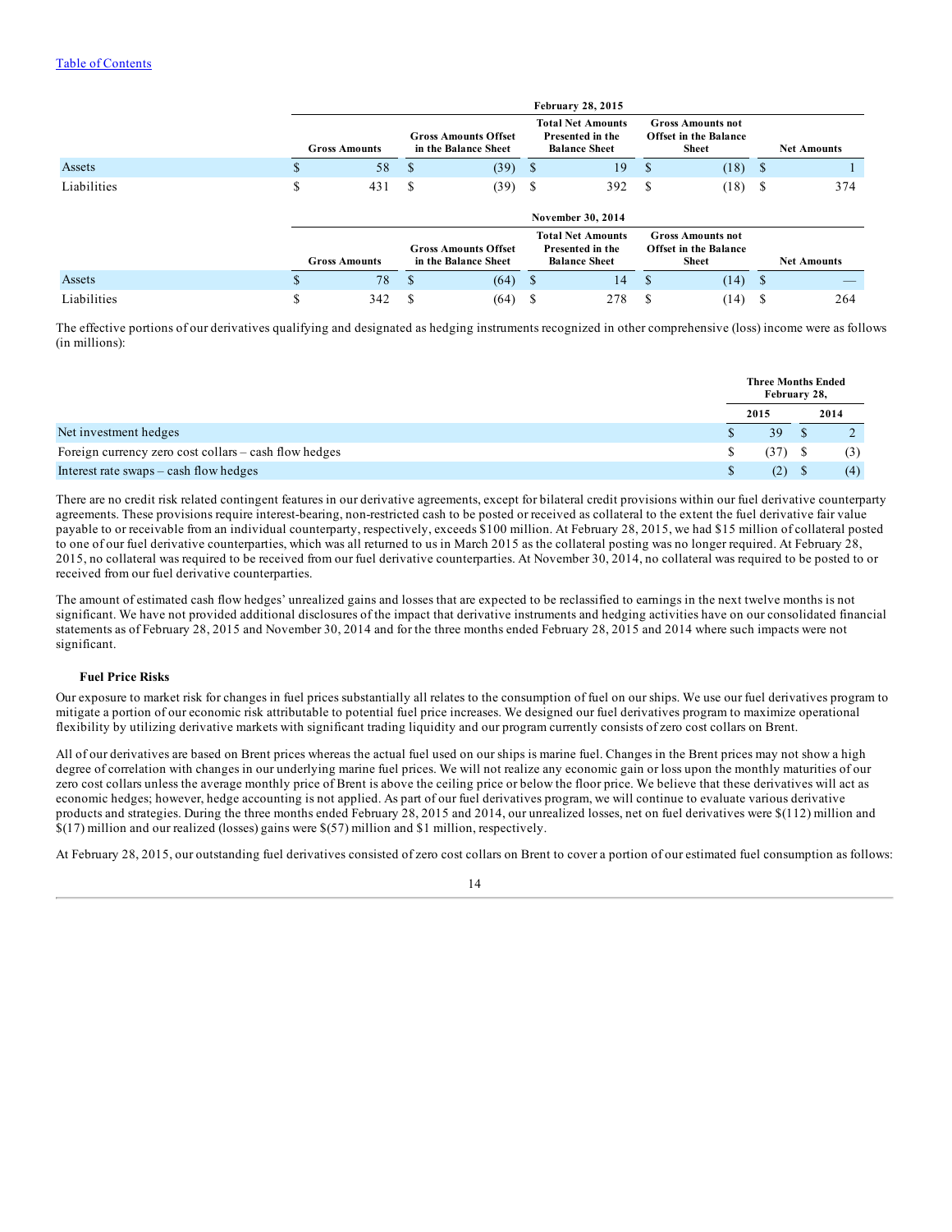|             |         |                      |               |                                                     |      | <b>February 28, 2015</b>                                                    |               |                                                                          |      |                    |
|-------------|---------|----------------------|---------------|-----------------------------------------------------|------|-----------------------------------------------------------------------------|---------------|--------------------------------------------------------------------------|------|--------------------|
|             |         | <b>Gross Amounts</b> |               | <b>Gross Amounts Offset</b><br>in the Balance Sheet |      | <b>Total Net Amounts</b><br><b>Presented in the</b><br><b>Balance Sheet</b> |               | <b>Gross Amounts not</b><br>Offset in the Balance<br><b>Sheet</b>        |      | <b>Net Amounts</b> |
| Assets      |         | 58                   | \$            | (39)                                                | - \$ | 19                                                                          | S             | (18)                                                                     | - \$ |                    |
| Liabilities | \$      | 431                  | S             | (39)                                                | - S  | 392                                                                         | S             | $(18)$ \$                                                                |      | 374                |
|             |         |                      |               |                                                     |      | <b>November 30, 2014</b>                                                    |               |                                                                          |      |                    |
|             |         | <b>Gross Amounts</b> |               | <b>Gross Amounts Offset</b><br>in the Balance Sheet |      | <b>Total Net Amounts</b><br><b>Presented in the</b><br><b>Balance Sheet</b> |               | <b>Gross Amounts not</b><br><b>Offset in the Balance</b><br><b>Sheet</b> |      | <b>Net Amounts</b> |
| Assets      | аĐ.     | 78                   | <sup>\$</sup> | (64)                                                | - \$ | 14 <sup>7</sup>                                                             | <sup>\$</sup> | $(14)$ \$                                                                |      |                    |
| Liabilities | ሰ<br>.D | 342                  | -S            | (64)                                                | -S   | 278                                                                         | S             | (14)                                                                     | S    | 264                |

The effective portions of our derivatives qualifying and designated as hedging instruments recognized in other comprehensive (loss) income were as follows (in millions):

|                                                       | <b>Three Months Ended</b> | February 28, |      |
|-------------------------------------------------------|---------------------------|--------------|------|
|                                                       | 2015                      |              | 2014 |
| Net investment hedges                                 | 39                        |              |      |
| Foreign currency zero cost collars – cash flow hedges | $(37)$ \$                 |              | (3)  |
| Interest rate swaps – cash flow hedges                | (2)                       |              | (4)  |

There are no credit risk related contingent features in our derivative agreements, except for bilateral credit provisions within our fuel derivative counterparty agreements. These provisions require interest-bearing, non-restricted cash to be posted or received as collateral to the extent the fuel derivative fair value payable to or receivable from an individual counterparty, respectively, exceeds \$100 million. At February 28, 2015, we had \$15 million of collateral posted to one of our fuel derivative counterparties, which was all returned to us in March 2015 as the collateral posting was no longer required. At February 28, 2015, no collateral was required to be received from our fuel derivative counterparties. At November 30, 2014, no collateral was required to be posted to or received from our fuel derivative counterparties.

The amount of estimated cash flow hedges' unrealized gains and losses that are expected to be reclassified to earnings in the next twelve months is not significant. We have not provided additional disclosures of the impact that derivative instruments and hedging activities have on our consolidated financial statements as of February 28, 2015 and November 30, 2014 and for the three months ended February 28, 2015 and 2014 where such impacts were not significant.

# **Fuel Price Risks**

Our exposure to market risk for changes in fuel prices substantially all relates to the consumption of fuel on our ships. We use our fuel derivatives program to mitigate a portion of our economic risk attributable to potential fuel price increases. We designed our fuel derivatives program to maximize operational flexibility by utilizing derivative markets with significant trading liquidity and our program currently consists of zero cost collars on Brent.

All of our derivatives are based on Brent prices whereas the actual fuel used on our ships is marine fuel. Changes in the Brent prices may not show a high degree of correlation with changes in our underlying marine fuel prices. We will not realize any economic gain or loss upon the monthly maturities of our zero cost collars unless the average monthly price of Brent is above the ceiling price or below the floor price. We believe that these derivatives will act as economic hedges; however, hedge accounting is not applied. As part of our fuel derivatives program, we will continue to evaluate various derivative products and strategies. During the three months ended February 28, 2015 and 2014, our unrealized losses, net on fuel derivatives were \$(112) million and \$(17) million and our realized (losses) gains were \$(57) million and \$1 million, respectively.

At February 28, 2015, our outstanding fuel derivatives consisted of zero cost collars on Brent to cover a portion of our estimated fuel consumption as follows:

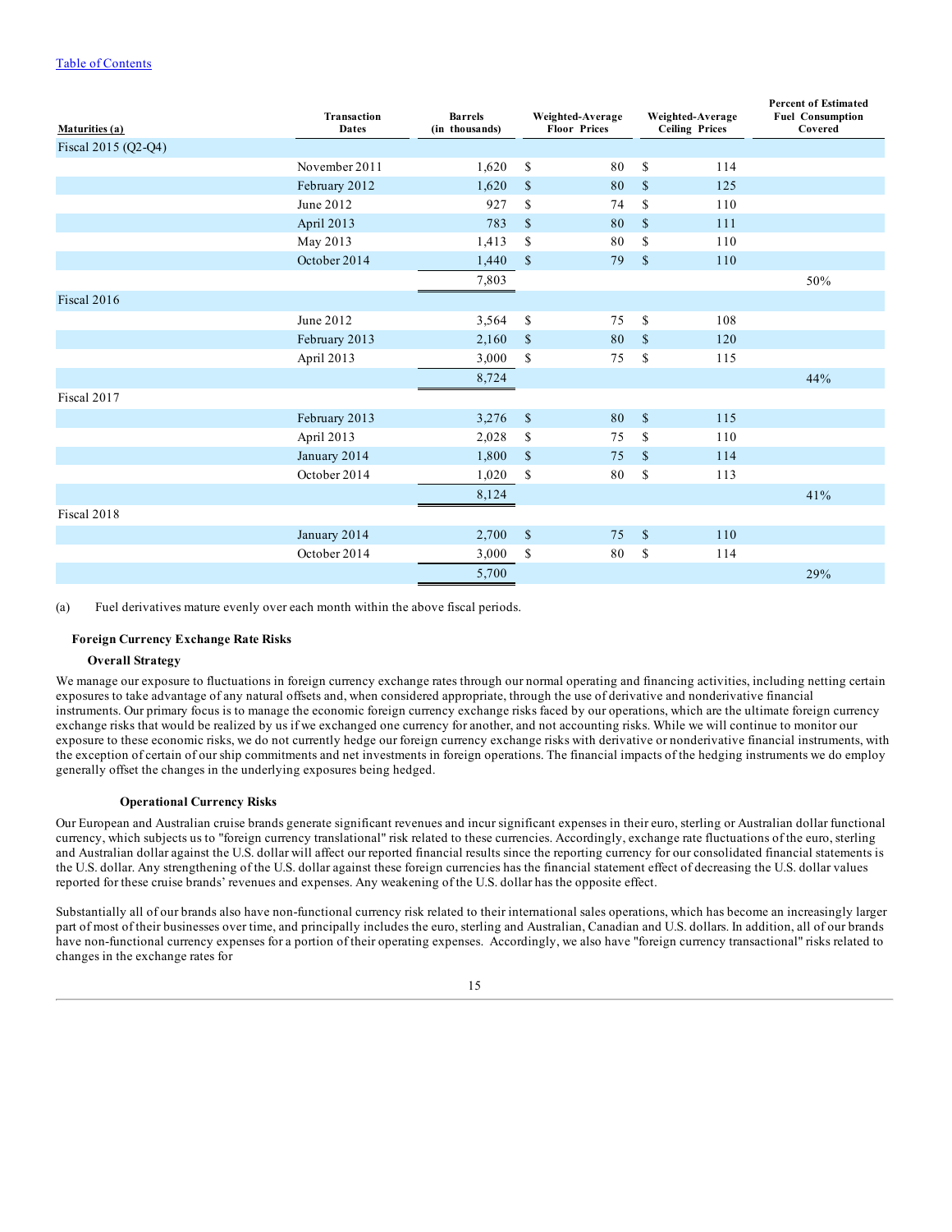| Maturities (a)      | <b>Transaction</b><br><b>Dates</b> | <b>Barrels</b><br>(in thousands) |               | Weighted-Average<br><b>Floor Prices</b> |               | Weighted-Average<br><b>Ceiling Prices</b> | <b>Percent of Estimated</b><br><b>Fuel Consumption</b><br>Covered |
|---------------------|------------------------------------|----------------------------------|---------------|-----------------------------------------|---------------|-------------------------------------------|-------------------------------------------------------------------|
| Fiscal 2015 (Q2-Q4) |                                    |                                  |               |                                         |               |                                           |                                                                   |
|                     | November 2011                      | 1,620                            | $\mathcal{S}$ | 80                                      | $\mathbb{S}$  | 114                                       |                                                                   |
|                     | February 2012                      | 1,620                            | $\mathbb{S}$  | 80                                      | $\mathcal{S}$ | 125                                       |                                                                   |
|                     | June 2012                          | 927                              | <sup>\$</sup> | 74                                      | $\mathbb{S}$  | 110                                       |                                                                   |
|                     | April 2013                         | 783                              | $\mathbf{s}$  | 80                                      | $\mathbb{S}$  | 111                                       |                                                                   |
|                     | May 2013                           | 1,413                            | <sup>\$</sup> | 80                                      | $\mathbb{S}$  | 110                                       |                                                                   |
|                     | October 2014                       | 1,440                            | $\mathcal{S}$ | 79                                      | $\mathbb{S}$  | 110                                       |                                                                   |
|                     |                                    | 7,803                            |               |                                         |               |                                           | 50%                                                               |
| Fiscal 2016         |                                    |                                  |               |                                         |               |                                           |                                                                   |
|                     | June 2012                          | 3,564                            | \$            | 75                                      | \$            | 108                                       |                                                                   |
|                     | February 2013                      | 2,160                            | $\mathcal{S}$ | 80                                      | $\mathbb{S}$  | 120                                       |                                                                   |
|                     | April 2013                         | 3,000                            | $\mathcal{S}$ | 75                                      | $\mathbf S$   | 115                                       |                                                                   |
|                     |                                    | 8,724                            |               |                                         |               |                                           | 44%                                                               |
| Fiscal 2017         |                                    |                                  |               |                                         |               |                                           |                                                                   |
|                     | February 2013                      | 3,276                            | $\mathbb{S}$  | 80                                      | $\mathbb{S}$  | 115                                       |                                                                   |
|                     | April 2013                         | 2,028                            | \$            | 75                                      | $\mathbb{S}$  | 110                                       |                                                                   |
|                     | January 2014                       | 1,800                            | $\mathcal{S}$ | 75                                      | $\mathbb{S}$  | 114                                       |                                                                   |
|                     | October 2014                       | 1,020                            | $\mathcal{S}$ | 80                                      | $\mathbf S$   | 113                                       |                                                                   |
|                     |                                    | 8,124                            |               |                                         |               |                                           | 41%                                                               |
| Fiscal 2018         |                                    |                                  |               |                                         |               |                                           |                                                                   |
|                     | January 2014                       | 2,700                            | $\mathbb{S}$  | 75                                      | $\mathbb{S}$  | 110                                       |                                                                   |
|                     | October 2014                       | 3,000                            | $\mathbf S$   | 80                                      | $\mathbf S$   | 114                                       |                                                                   |
|                     |                                    | 5,700                            |               |                                         |               |                                           | 29%                                                               |

(a) Fuel derivatives mature evenly over each month within the above fiscal periods.

# **Foreign Currency Exchange Rate Risks**

#### **Overall Strategy**

We manage our exposure to fluctuations in foreign currency exchange rates through our normal operating and financing activities, including netting certain exposures to take advantage of any natural offsets and, when considered appropriate, through the use of derivative and nonderivative financial instruments. Our primary focus is to manage the economic foreign currency exchange risks faced by our operations, which are the ultimate foreign currency exchange risks that would be realized by us if we exchanged one currency for another, and not accounting risks. While we will continue to monitor our exposure to these economic risks, we do not currently hedge our foreign currency exchange risks with derivative or nonderivative financial instruments, with the exception of certain of our ship commitments and net investments in foreign operations. The financial impacts of the hedging instruments we do employ generally offset the changes in the underlying exposures being hedged.

# **Operational Currency Risks**

Our European and Australian cruise brands generate significant revenues and incur significant expenses in their euro, sterling or Australian dollar functional currency, which subjects us to "foreign currency translational" risk related to these currencies. Accordingly, exchange rate fluctuations of the euro, sterling and Australian dollar against the U.S. dollar will affect our reported financial results since the reporting currency for our consolidated financial statements is the U.S. dollar. Any strengthening of the U.S. dollar against these foreign currencies has the financial statement effect of decreasing the U.S. dollar values reported for these cruise brands' revenues and expenses. Any weakening of the U.S. dollar has the opposite effect.

Substantially all of our brands also have non-functional currency risk related to their international sales operations, which has become an increasingly larger part of most of their businesses over time, and principally includes the euro, sterling and Australian, Canadian and U.S. dollars. In addition, all of our brands have non-functional currency expenses for a portion of their operating expenses. Accordingly, we also have "foreign currency transactional" risks related to changes in the exchange rates for

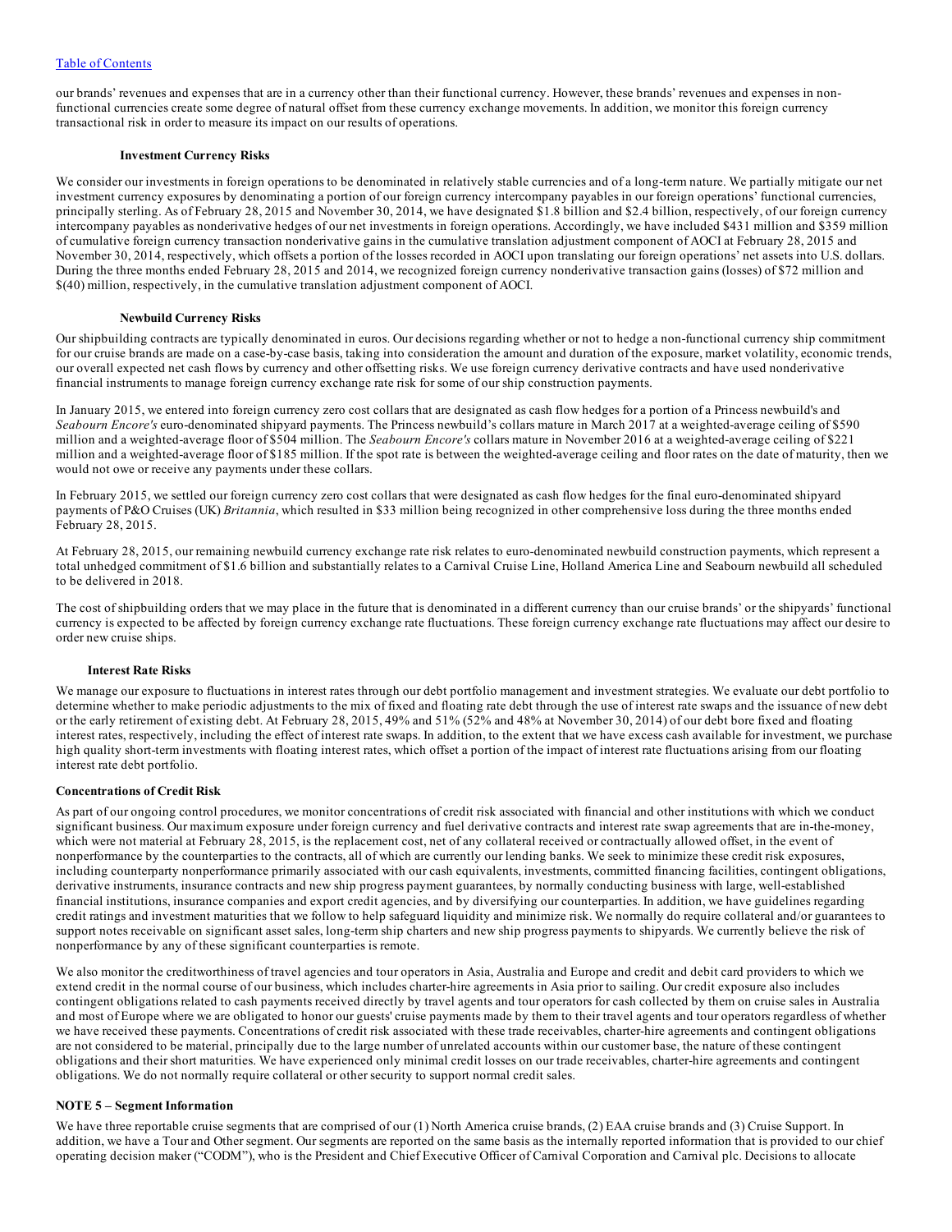our brands' revenues and expenses that are in a currency other than their functional currency. However, these brands' revenues and expenses in nonfunctional currencies create some degree of natural offset from these currency exchange movements. In addition, we monitor this foreign currency transactional risk in order to measure its impact on our results of operations.

### **Investment Currency Risks**

We consider our investments in foreign operations to be denominated in relatively stable currencies and of a long-term nature. We partially mitigate our net investment currency exposures by denominating a portion of our foreign currency intercompany payables in our foreign operations' functional currencies, principally sterling. As of February 28, 2015 and November 30, 2014, we have designated \$1.8 billion and \$2.4 billion, respectively, of our foreign currency intercompany payables as nonderivative hedges of our net investments in foreign operations. Accordingly, we have included \$431 million and \$359 million of cumulative foreign currency transaction nonderivative gains in the cumulative translation adjustment component of AOCI at February 28, 2015 and November 30, 2014, respectively, which offsets a portion of the losses recorded in AOCI upon translating our foreign operations' net assets into U.S. dollars. During the three months ended February 28, 2015 and 2014, we recognized foreign currency nonderivative transaction gains (losses) of \$72 million and \$(40) million, respectively, in the cumulative translation adjustment component of AOCI.

# **Newbuild Currency Risks**

Our shipbuilding contracts are typically denominated in euros. Our decisions regarding whether or not to hedge a non-functional currency ship commitment for our cruise brands are made on a case-by-case basis, taking into consideration the amount and duration of the exposure, market volatility, economic trends, our overall expected net cash flows by currency and other offsetting risks. We use foreign currency derivative contracts and have used nonderivative financial instruments to manage foreign currency exchange rate risk for some of our ship construction payments.

In January 2015, we entered into foreign currency zero cost collars that are designated as cash flow hedges for a portion of a Princess newbuild's and *Seabourn Encore's* euro-denominated shipyard payments. The Princess newbuild's collars mature in March 2017 at a weighted-average ceiling of \$590 million and a weighted-average floor of \$504 million. The *Seabourn Encore's* collars mature in November 2016 at a weighted-average ceiling of \$221 million and a weighted-average floor of \$185 million. If the spot rate is between the weighted-average ceiling and floor rates on the date of maturity, then we would not owe or receive any payments under these collars.

In February 2015, we settled our foreign currency zero cost collars that were designated as cash flow hedges for the final euro-denominated shipyard payments of P&O Cruises (UK) *Britannia*, which resulted in \$33 million being recognized in other comprehensive loss during the three months ended February 28, 2015.

At February 28, 2015, our remaining newbuild currency exchange rate risk relates to euro-denominated newbuild construction payments, which represent a total unhedged commitment of \$1.6 billion and substantially relates to a Carnival Cruise Line, Holland America Line and Seabourn newbuild all scheduled to be delivered in 2018.

The cost of shipbuilding orders that we may place in the future that is denominated in a different currency than our cruise brands' or the shipyards' functional currency is expected to be affected by foreign currency exchange rate fluctuations. These foreign currency exchange rate fluctuations may affect our desire to order new cruise ships.

### **Interest Rate Risks**

We manage our exposure to fluctuations in interest rates through our debt portfolio management and investment strategies. We evaluate our debt portfolio to determine whether to make periodic adjustments to the mix of fixed and floating rate debt through the use of interest rate swaps and the issuance of new debt or the early retirement of existing debt. At February 28, 2015, 49% and 51% (52% and 48% at November 30, 2014) of our debt bore fixed and floating interest rates, respectively, including the effect of interest rate swaps. In addition, to the extent that we have excess cash available for investment, we purchase high quality short-term investments with floating interest rates, which offset a portion of the impact of interest rate fluctuations arising from our floating interest rate debt portfolio.

#### **Concentrations of Credit Risk**

As part of our ongoing control procedures, we monitor concentrations of credit risk associated with financial and other institutions with which we conduct significant business. Our maximum exposure under foreign currency and fuel derivative contracts and interest rate swap agreements that are in-the-money, which were not material at February 28, 2015, is the replacement cost, net of any collateral received or contractually allowed offset, in the event of nonperformance by the counterparties to the contracts, all of which are currently our lending banks. We seek to minimize these credit risk exposures, including counterparty nonperformance primarily associated with our cash equivalents, investments, committed financing facilities, contingent obligations, derivative instruments, insurance contracts and new ship progress payment guarantees, by normally conducting business with large, well-established financial institutions, insurance companies and export credit agencies, and by diversifying our counterparties. In addition, we have guidelines regarding credit ratings and investment maturities that we follow to help safeguard liquidity and minimize risk. We normally do require collateral and/or guarantees to support notes receivable on significant asset sales, long-term ship charters and new ship progress payments to shipyards. We currently believe the risk of nonperformance by any of these significant counterparties is remote.

We also monitor the creditworthiness of travel agencies and tour operators in Asia, Australia and Europe and credit and debit card providers to which we extend credit in the normal course of our business, which includes charter-hire agreements in Asia prior to sailing. Our credit exposure also includes contingent obligations related to cash payments received directly by travel agents and tour operators for cash collected by them on cruise sales in Australia and most of Europe where we are obligated to honor our guests' cruise payments made by them to their travel agents and tour operators regardless of whether we have received these payments. Concentrations of credit risk associated with these trade receivables, charter-hire agreements and contingent obligations are not considered to be material, principally due to the large number of unrelated accounts within our customer base, the nature of these contingent obligations and their short maturities. We have experienced only minimal credit losses on our trade receivables, charter-hire agreements and contingent obligations. We do not normally require collateral or other security to support normal credit sales.

#### **NOTE 5 – Segment Information**

We have three reportable cruise segments that are comprised of our (1) North America cruise brands, (2) EAA cruise brands and (3) Cruise Support. In addition, we have a Tour and Other segment. Our segments are reported on the same basis as the internally reported information that is provided to our chief operating decision maker ("CODM"), who is the President and Chief Executive Officer of Carnival Corporation and Carnival plc. Decisions to allocate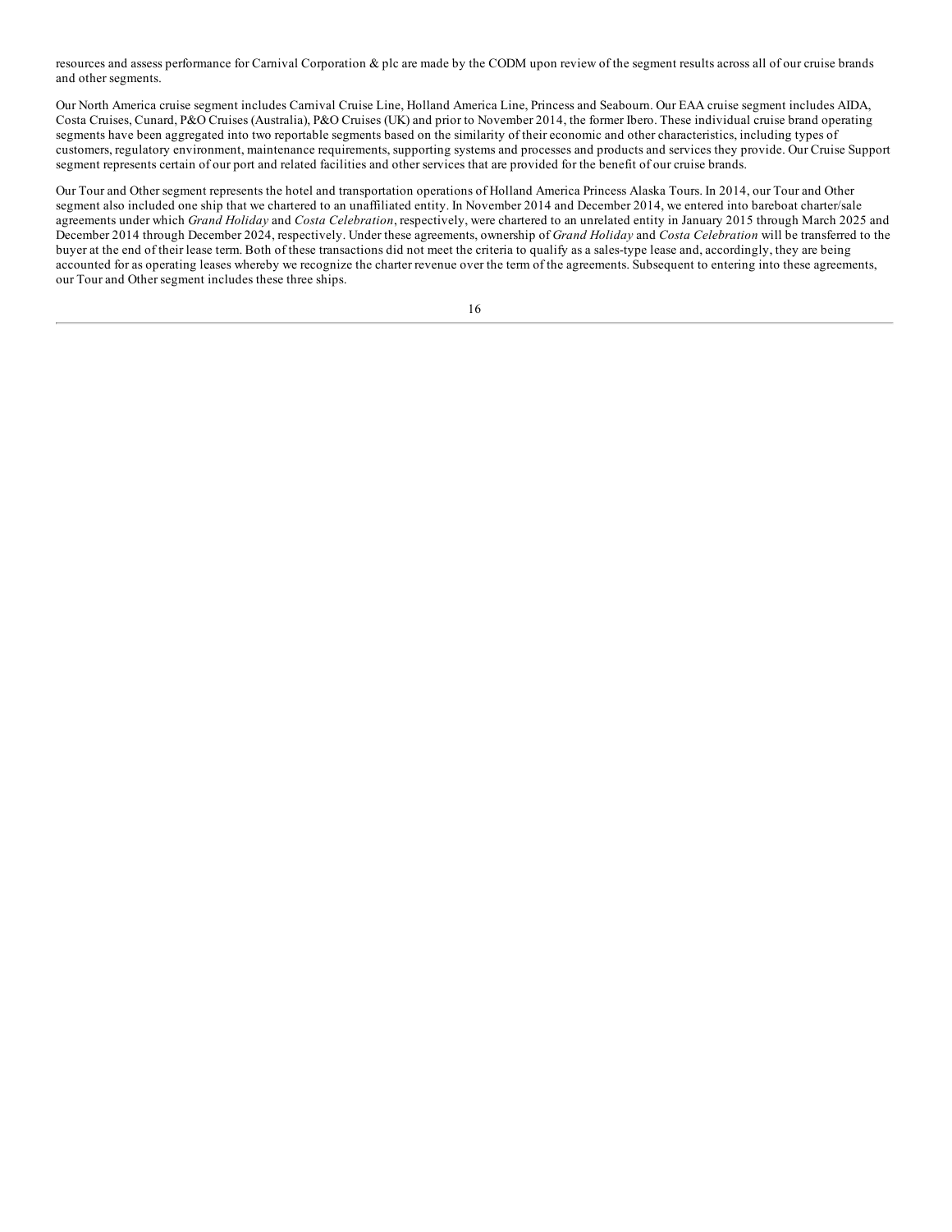resources and assess performance for Carnival Corporation & plc are made by the CODM upon review of the segment results across all of our cruise brands and other segments.

Our North America cruise segment includes Carnival Cruise Line, Holland America Line, Princess and Seabourn. Our EAA cruise segment includes AIDA, Costa Cruises, Cunard, P&O Cruises (Australia), P&O Cruises (UK) and prior to November 2014, the former Ibero. These individual cruise brand operating segments have been aggregated into two reportable segments based on the similarity of their economic and other characteristics, including types of customers, regulatory environment, maintenance requirements, supporting systems and processes and products and services they provide. Our Cruise Support segment represents certain of our port and related facilities and other services that are provided for the benefit of our cruise brands.

Our Tour and Other segment represents the hotel and transportation operations of Holland America Princess Alaska Tours. In 2014, our Tour and Other segment also included one ship that we chartered to an unaffiliated entity. In November 2014 and December 2014, we entered into bareboat charter/sale agreements under which *Grand Holiday* and *Costa Celebration*, respectively, were chartered to an unrelated entity in January 2015 through March 2025 and December 2014 through December 2024, respectively. Under these agreements, ownership of *Grand Holiday* and *Costa Celebration* will be transferred to the buyer at the end of their lease term. Both of these transactions did not meet the criteria to qualify as a sales-type lease and, accordingly, they are being accounted for as operating leases whereby we recognize the charter revenue over the term of the agreements. Subsequent to entering into these agreements, our Tour and Other segment includes these three ships.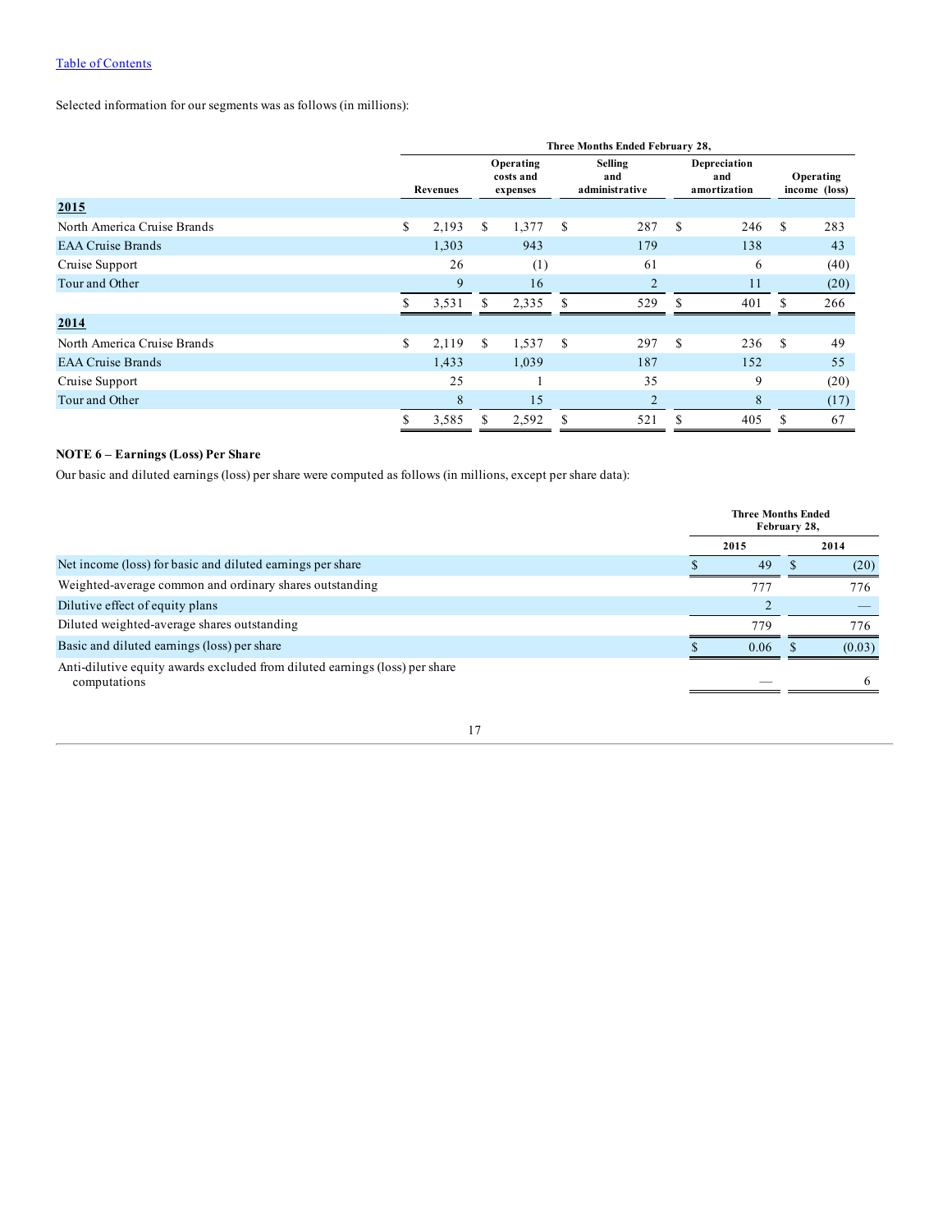# <span id="page-17-0"></span>Table of [Contents](#page-1-0)

Selected information for our segments was as follows (in millions):

|                             | Three Months Ended February 28, |       |                                    |       |                                         |                |                                     |     |               |                            |
|-----------------------------|---------------------------------|-------|------------------------------------|-------|-----------------------------------------|----------------|-------------------------------------|-----|---------------|----------------------------|
|                             | <b>Revenues</b>                 |       | Operating<br>costs and<br>expenses |       | <b>Selling</b><br>and<br>administrative |                | Depreciation<br>and<br>amortization |     |               | Operating<br>income (loss) |
| 2015                        |                                 |       |                                    |       |                                         |                |                                     |     |               |                            |
| North America Cruise Brands | \$                              | 2,193 | \$                                 | 1,377 | S                                       | 287            | S                                   | 246 | \$            | 283                        |
| <b>EAA Cruise Brands</b>    |                                 | 1,303 |                                    | 943   |                                         | 179            |                                     | 138 |               | 43                         |
| Cruise Support              |                                 | 26    |                                    | (1)   |                                         | 61             |                                     | 6   |               | (40)                       |
| Tour and Other              |                                 | 9     |                                    | 16    |                                         | $\overline{2}$ |                                     | 11  |               | (20)                       |
|                             |                                 | 3,531 | \$                                 | 2,335 | -S                                      | 529            | £.                                  | 401 | S             | 266                        |
| 2014                        |                                 |       |                                    |       |                                         |                |                                     |     |               |                            |
| North America Cruise Brands | \$                              | 2,119 | S                                  | 1,537 | \$                                      | 297            | \$                                  | 236 | <sup>\$</sup> | 49                         |
| <b>EAA Cruise Brands</b>    |                                 | 1,433 |                                    | 1,039 |                                         | 187            |                                     | 152 |               | 55                         |
| Cruise Support              |                                 | 25    |                                    |       |                                         | 35             |                                     | 9   |               | (20)                       |
| Tour and Other              |                                 | 8     |                                    | 15    |                                         | $\overline{2}$ |                                     | 8   |               | (17)                       |
|                             | \$                              | 3,585 | \$                                 | 2,592 | \$                                      | 521            | S                                   | 405 | \$.           | 67                         |

# **NOTE 6 – Earnings (Loss) Per Share**

Our basic and diluted earnings (loss) per share were computed as follows (in millions, except per share data):

|                                                                                             | <b>Three Months Ended</b><br>February 28, |  |        |  |
|---------------------------------------------------------------------------------------------|-------------------------------------------|--|--------|--|
|                                                                                             | 2015                                      |  | 2014   |  |
| Net income (loss) for basic and diluted earnings per share                                  | 49                                        |  | (20)   |  |
| Weighted-average common and ordinary shares outstanding                                     | 777                                       |  | 776    |  |
| Dilutive effect of equity plans                                                             |                                           |  |        |  |
| Diluted weighted-average shares outstanding                                                 | 779                                       |  | 776    |  |
| Basic and diluted earnings (loss) per share                                                 | 0.06                                      |  | (0.03) |  |
| Anti-dilutive equity awards excluded from diluted earnings (loss) per share<br>computations | $\overline{\phantom{a}}$                  |  | h      |  |

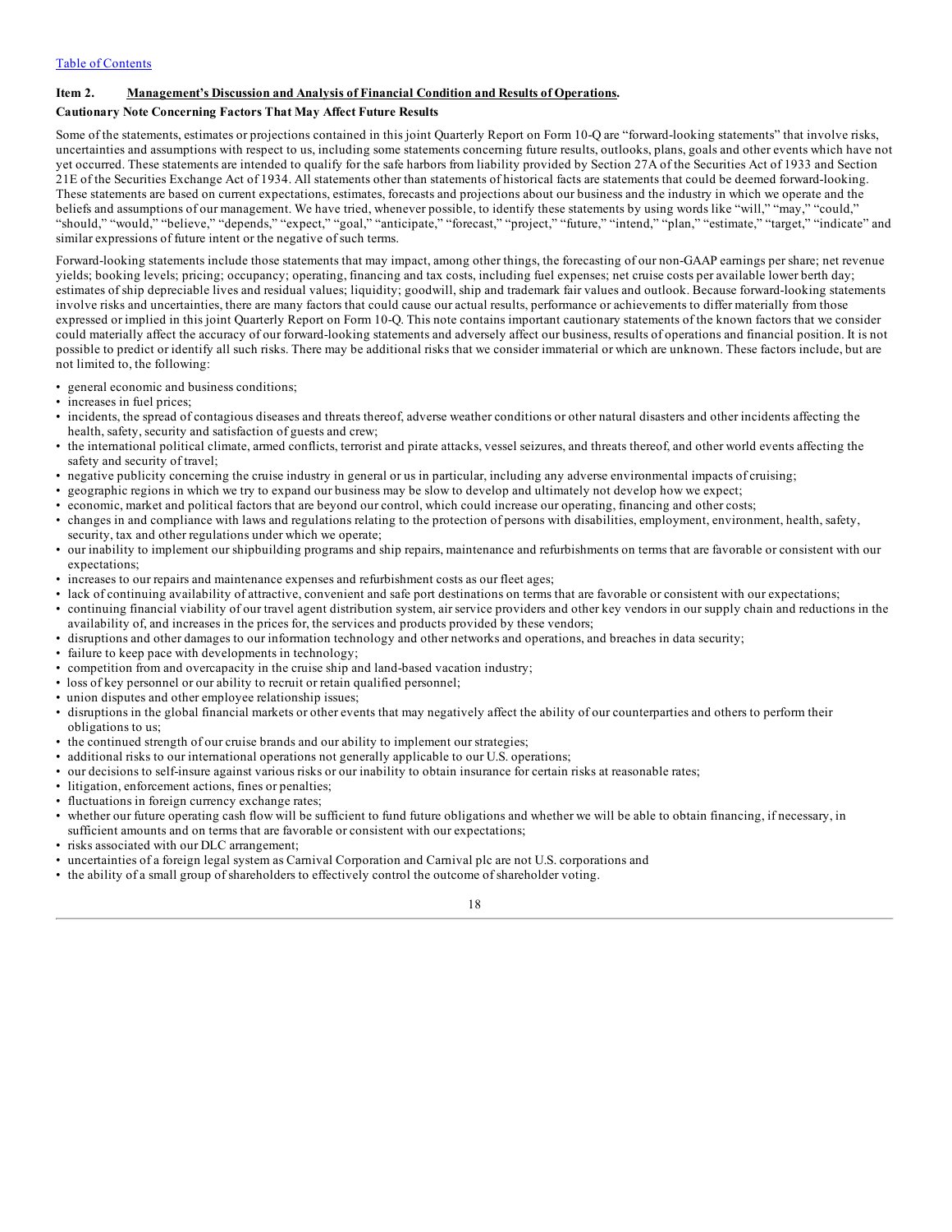# **Item 2. Management's Discussion and Analysis of Financial Condition and Results of Operations.**

#### **Cautionary Note Concerning Factors That May Affect Future Results**

Some of the statements, estimates or projections contained in this joint Quarterly Report on Form 10-Q are "forward-looking statements" that involve risks, uncertainties and assumptions with respect to us, including some statements concerning future results, outlooks, plans, goals and other events which have not yet occurred. These statements are intended to qualify for the safe harbors from liability provided by Section 27A of the Securities Act of 1933 and Section 21E of the Securities Exchange Act of 1934. All statements other than statements of historical facts are statements that could be deemed forward-looking. These statements are based on current expectations, estimates, forecasts and projections about our business and the industry in which we operate and the beliefs and assumptions of our management. We have tried, whenever possible, to identify these statements by using words like "will," "may," "could," "should," "would," "believe," "depends," "expect," "goal," "anticipate," "forecast," "project," "future," "intend," "plan," "estimate," "target," "indicate" and similar expressions of future intent or the negative of such terms.

Forward-looking statements include those statements that may impact, among other things, the forecasting of our non-GAAP earnings per share; net revenue yields; booking levels; pricing; occupancy; operating, financing and tax costs, including fuel expenses; net cruise costs per available lower berth day; estimates of ship depreciable lives and residual values; liquidity; goodwill, ship and trademark fair values and outlook. Because forward-looking statements involve risks and uncertainties, there are many factors that could cause our actual results, performance or achievements to differ materially from those expressed or implied in this joint Quarterly Report on Form 10-Q. This note contains important cautionary statements of the known factors that we consider could materially affect the accuracy of our forward-looking statements and adversely affect our business, results of operations and financial position. It is not possible to predict or identify all such risks. There may be additional risks that we consider immaterial or which are unknown. These factors include, but are not limited to, the following:

- general economic and business conditions;
- increases in fuel prices;
- incidents, the spread of contagious diseases and threats thereof, adverse weather conditions or other natural disasters and other incidents affecting the health, safety, security and satisfaction of guests and crew;
- the international political climate, armed conflicts, terrorist and pirate attacks, vessel seizures, and threats thereof, and other world events affecting the safety and security of travel;
- negative publicity concerning the cruise industry in general or us in particular, including any adverse environmental impacts of cruising;
- geographic regions in which we try to expand our business may be slow to develop and ultimately not develop how we expect;
- economic, market and political factors that are beyond our control, which could increase our operating, financing and other costs;
- changes in and compliance with laws and regulations relating to the protection of persons with disabilities, employment, environment, health, safety, security, tax and other regulations under which we operate;
- our inability to implement our shipbuilding programs and ship repairs, maintenance and refurbishments on terms that are favorable or consistent with our expectations;
- increases to our repairs and maintenance expenses and refurbishment costs as our fleet ages;
- lack of continuing availability of attractive, convenient and safe port destinations on terms that are favorable or consistent with our expectations;
- continuing financial viability of our travel agent distribution system, air service providers and other key vendors in our supply chain and reductions in the availability of, and increases in the prices for, the services and products provided by these vendors;
- disruptions and other damages to our information technology and other networks and operations, and breaches in data security;
- failure to keep pace with developments in technology;
- competition from and overcapacity in the cruise ship and land-based vacation industry;
- loss of key personnel or our ability to recruit or retain qualified personnel;
- union disputes and other employee relationship issues;
- disruptions in the global financial markets or other events that may negatively affect the ability of our counterparties and others to perform their obligations to us;
- the continued strength of our cruise brands and our ability to implement our strategies;
- additional risks to our international operations not generally applicable to our U.S. operations;
- our decisions to self-insure against various risks or our inability to obtain insurance for certain risks at reasonable rates;
- litigation, enforcement actions, fines or penalties;
- fluctuations in foreign currency exchange rates;
- whether our future operating cash flow will be sufficient to fund future obligations and whether we will be able to obtain financing, if necessary, in sufficient amounts and on terms that are favorable or consistent with our expectations;
- risks associated with our DLC arrangement;
- uncertainties of a foreign legal system as Carnival Corporation and Carnival plc are not U.S. corporations and
- the ability of a small group of shareholders to effectively control the outcome of shareholder voting.

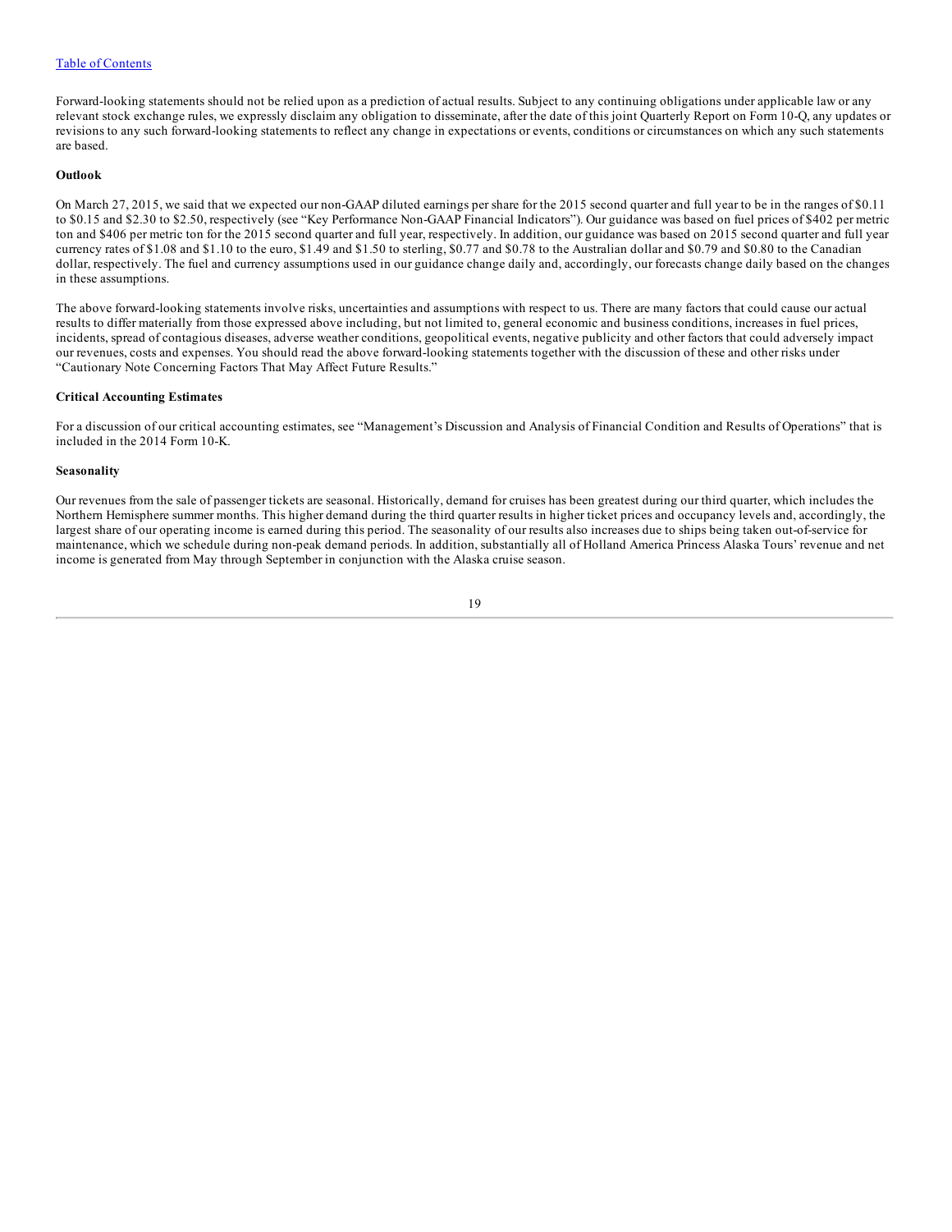#### Table of [Contents](#page-1-0)

Forward-looking statements should not be relied upon as a prediction of actual results. Subject to any continuing obligations under applicable law or any relevant stock exchange rules, we expressly disclaim any obligation to disseminate, after the date of this joint Quarterly Report on Form 10-Q, any updates or revisions to any such forward-looking statements to reflect any change in expectations or events, conditions or circumstances on which any such statements are based.

#### **Outlook**

On March 27, 2015, we said that we expected our non-GAAP diluted earnings per share for the 2015 second quarter and full year to be in the ranges of \$0.11 to \$0.15 and \$2.30 to \$2.50, respectively (see "Key Performance Non-GAAP Financial Indicators"). Our guidance was based on fuel prices of \$402 per metric ton and \$406 per metric ton for the 2015 second quarter and full year, respectively. In addition, our guidance was based on 2015 second quarter and full year currency rates of \$1.08 and \$1.10 to the euro, \$1.49 and \$1.50 to sterling, \$0.77 and \$0.78 to the Australian dollar and \$0.79 and \$0.80 to the Canadian dollar, respectively. The fuel and currency assumptions used in our guidance change daily and, accordingly, our forecasts change daily based on the changes in these assumptions.

The above forward-looking statements involve risks, uncertainties and assumptions with respect to us. There are many factors that could cause our actual results to differ materially from those expressed above including, but not limited to, general economic and business conditions, increases in fuel prices, incidents, spread of contagious diseases, adverse weather conditions, geopolitical events, negative publicity and other factors that could adversely impact our revenues, costs and expenses. You should read the above forward-looking statements together with the discussion of these and other risks under "Cautionary Note Concerning Factors That May Affect Future Results."

#### **Critical Accounting Estimates**

For a discussion of our critical accounting estimates, see "Management's Discussion and Analysis of Financial Condition and Results of Operations" that is included in the 2014 Form 10-K.

#### **Seasonality**

Our revenues from the sale of passenger tickets are seasonal. Historically, demand for cruises has been greatest during our third quarter, which includes the Northern Hemisphere summer months. This higher demand during the third quarter results in higher ticket prices and occupancy levels and, accordingly, the largest share of our operating income is earned during this period. The seasonality of our results also increases due to ships being taken out-of-service for maintenance, which we schedule during non-peak demand periods. In addition, substantially all of Holland America Princess Alaska Tours' revenue and net income is generated from May through September in conjunction with the Alaska cruise season.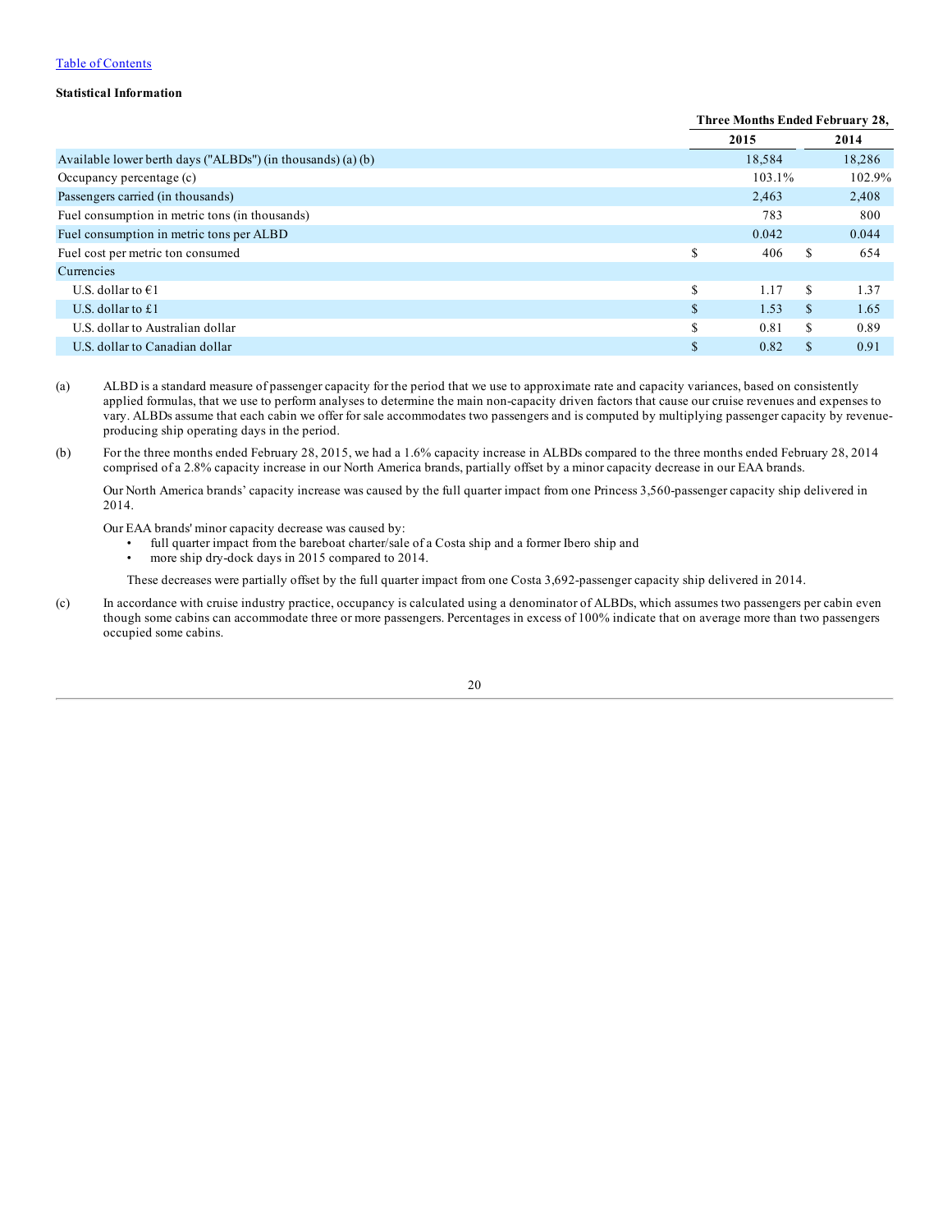# Table of [Contents](#page-1-0)

#### **Statistical Information**

|                                                             |     | Three Months Ended February 28, |     |        |  |
|-------------------------------------------------------------|-----|---------------------------------|-----|--------|--|
|                                                             |     | 2015                            |     | 2014   |  |
| Available lower berth days ("ALBDs") (in thousands) (a) (b) |     | 18,584                          |     | 18,286 |  |
| Occupancy percentage (c)                                    |     | $103.1\%$                       |     | 102.9% |  |
| Passengers carried (in thousands)                           |     | 2,463                           |     | 2,408  |  |
| Fuel consumption in metric tons (in thousands)              |     | 783                             |     | 800    |  |
| Fuel consumption in metric tons per ALBD                    |     | 0.042                           |     | 0.044  |  |
| Fuel cost per metric ton consumed                           | S   | 406                             | \$. | 654    |  |
| Currencies                                                  |     |                                 |     |        |  |
| U.S. dollar to $\epsilon$ 1                                 | S   | 1.17                            | \$. | 1.37   |  |
| U.S. dollar to $£1$                                         | \$. | 1.53                            | \$. | 1.65   |  |
| U.S. dollar to Australian dollar                            | S   | 0.81                            | \$. | 0.89   |  |
| U.S. dollar to Canadian dollar                              | \$. | 0.82                            |     | 0.91   |  |

(a) ALBD is a standard measure of passenger capacity for the period that we use to approximate rate and capacity variances, based on consistently applied formulas, that we use to perform analyses to determine the main non-capacity driven factors that cause our cruise revenues and expenses to vary. ALBDs assume that each cabin we offer for sale accommodates two passengers and is computed by multiplying passenger capacity by revenueproducing ship operating days in the period.

(b) For the three months ended February 28, 2015, we had a 1.6% capacity increase in ALBDs compared to the three months ended February 28, 2014 comprised of a 2.8% capacity increase in our North America brands, partially offset by a minor capacity decrease in our EAA brands.

Our North America brands' capacity increase was caused by the full quarter impact from one Princess 3,560-passenger capacity ship delivered in 2014.

Our EAA brands' minor capacity decrease was caused by:

- full quarter impact from the bareboat charter/sale of a Costa ship and a former Ibero ship and
- more ship dry-dock days in 2015 compared to 2014.

These decreases were partially offset by the full quarter impact from one Costa 3,692-passenger capacity ship delivered in 2014.

(c) In accordance with cruise industry practice, occupancy is calculated using a denominator of ALBDs, which assumes two passengers per cabin even though some cabins can accommodate three or more passengers. Percentages in excess of 100% indicate that on average more than two passengers occupied some cabins.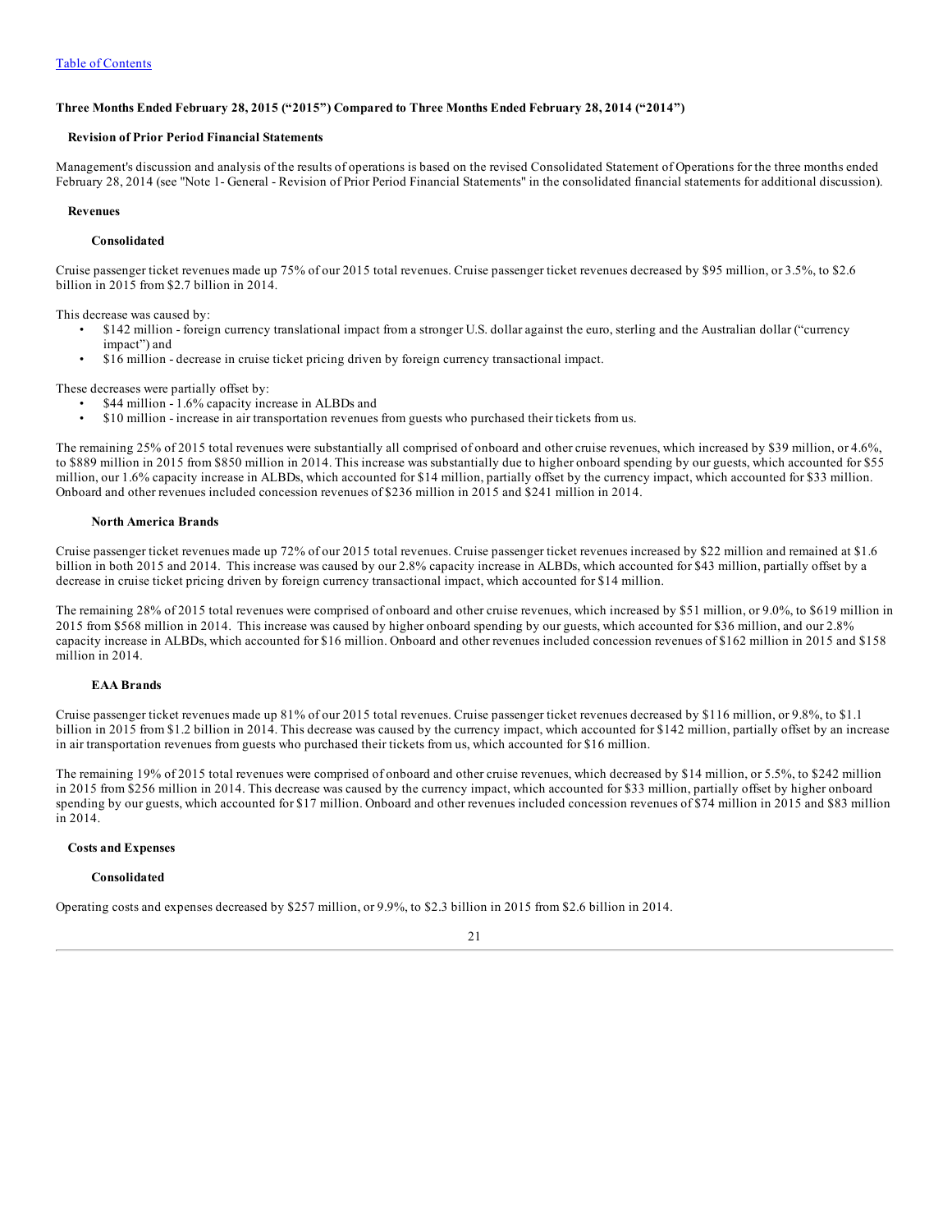#### **Three Months Ended February 28, 2015 ("2015") Compared to Three Months Ended February 28, 2014 ("2014")**

#### **Revision of Prior Period Financial Statements**

Management's discussion and analysis of the results of operations is based on the revised Consolidated Statement of Operations for the three months ended February 28, 2014 (see "Note 1- General - Revision of Prior Period Financial Statements" in the consolidated financial statements for additional discussion).

#### **Revenues**

#### **Consolidated**

Cruise passenger ticket revenues made up 75% of our 2015 total revenues. Cruise passenger ticket revenues decreased by \$95 million, or 3.5%, to \$2.6 billion in 2015 from \$2.7 billion in 2014.

This decrease was caused by:

- \$142 million foreign currency translational impact from a stronger U.S. dollar against the euro, sterling and the Australian dollar ("currency impact") and
- \$16 million decrease in cruise ticket pricing driven by foreign currency transactional impact.

These decreases were partially offset by:

- \$44 million 1.6% capacity increase in ALBDs and
- \$10 million increase in air transportation revenues from guests who purchased their tickets from us.

The remaining 25% of 2015 total revenues were substantially all comprised of onboard and other cruise revenues, which increased by \$39 million, or 4.6%, to \$889 million in 2015 from \$850 million in 2014. This increase was substantially due to higher onboard spending by our guests, which accounted for \$55 million, our 1.6% capacity increase in ALBDs, which accounted for \$14 million, partially offset by the currency impact, which accounted for \$33 million. Onboard and other revenues included concession revenues of \$236 million in 2015 and \$241 million in 2014.

#### **North America Brands**

Cruise passenger ticket revenues made up 72% of our 2015 total revenues. Cruise passenger ticket revenues increased by \$22 million and remained at \$1.6 billion in both 2015 and 2014. This increase was caused by our 2.8% capacity increase in ALBDs, which accounted for \$43 million, partially offset by a decrease in cruise ticket pricing driven by foreign currency transactional impact, which accounted for \$14 million.

The remaining 28% of 2015 total revenues were comprised of onboard and other cruise revenues, which increased by \$51 million, or 9.0%, to \$619 million in 2015 from \$568 million in 2014. This increase was caused by higher onboard spending by our guests, which accounted for \$36 million, and our 2.8% capacity increase in ALBDs, which accounted for \$16 million. Onboard and other revenues included concession revenues of \$162 million in 2015 and \$158 million in 2014.

#### **EAA Brands**

Cruise passenger ticket revenues made up 81% of our 2015 total revenues. Cruise passenger ticket revenues decreased by \$116 million, or 9.8%, to \$1.1 billion in 2015 from \$1.2 billion in 2014. This decrease was caused by the currency impact, which accounted for \$142 million, partially offset by an increase in air transportation revenues from guests who purchased their tickets from us, which accounted for \$16 million.

The remaining 19% of 2015 total revenues were comprised of onboard and other cruise revenues, which decreased by \$14 million, or 5.5%, to \$242 million in 2015 from \$256 million in 2014. This decrease was caused by the currency impact, which accounted for \$33 million, partially offset by higher onboard spending by our guests, which accounted for \$17 million. Onboard and other revenues included concession revenues of \$74 million in 2015 and \$83 million in 2014.

#### **Costs and Expenses**

#### **Consolidated**

Operating costs and expenses decreased by \$257 million, or 9.9%, to \$2.3 billion in 2015 from \$2.6 billion in 2014.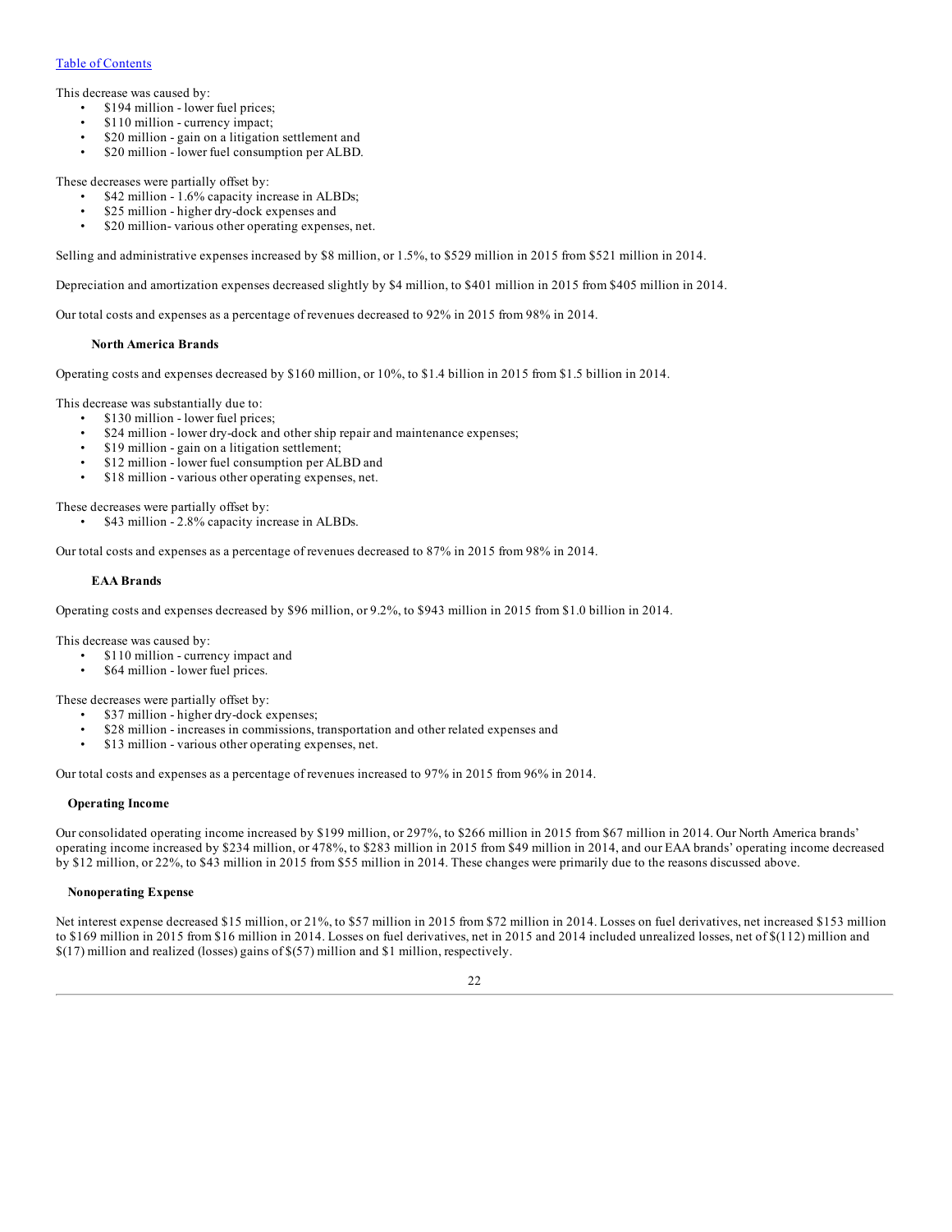# Table of [Contents](#page-1-0)

This decrease was caused by:

- \$194 million lower fuel prices;
- \$110 million currency impact;
- \$20 million gain on a litigation settlement and
- \$20 million lower fuel consumption per ALBD.

These decreases were partially offset by:

- \$42 million 1.6% capacity increase in ALBDs;
- \$25 million higher dry-dock expenses and
- \$20 million-various other operating expenses, net.

Selling and administrative expenses increased by \$8 million, or 1.5%, to \$529 million in 2015 from \$521 million in 2014.

Depreciation and amortization expenses decreased slightly by \$4 million, to \$401 million in 2015 from \$405 million in 2014.

Our total costs and expenses as a percentage of revenues decreased to 92% in 2015 from 98% in 2014.

#### **North America Brands**

Operating costs and expenses decreased by \$160 million, or 10%, to \$1.4 billion in 2015 from \$1.5 billion in 2014.

This decrease was substantially due to:

- \$130 million lower fuel prices;
- \$24 million lower dry-dock and other ship repair and maintenance expenses;
- \$19 million gain on a litigation settlement:
- \$12 million lower fuel consumption per ALBD and
- \$18 million various other operating expenses, net.

These decreases were partially offset by:

• \$43 million - 2.8% capacity increase in ALBDs.

Our total costs and expenses as a percentage of revenues decreased to 87% in 2015 from 98% in 2014.

#### **EAA Brands**

Operating costs and expenses decreased by \$96 million, or 9.2%, to \$943 million in 2015 from \$1.0 billion in 2014.

This decrease was caused by:

- \$110 million currency impact and
- \$64 million lower fuel prices.

These decreases were partially offset by:

- \$37 million higher dry-dock expenses;
- \$28 million increases in commissions, transportation and other related expenses and
- \$13 million various other operating expenses, net.

Our total costs and expenses as a percentage of revenues increased to 97% in 2015 from 96% in 2014.

### **Operating Income**

Our consolidated operating income increased by \$199 million, or 297%, to \$266 million in 2015 from \$67 million in 2014. Our North America brands' operating income increased by \$234 million, or 478%, to \$283 million in 2015 from \$49 million in 2014, and our EAA brands' operating income decreased by \$12 million, or 22%, to \$43 million in 2015 from \$55 million in 2014. These changes were primarily due to the reasons discussed above.

#### **Nonoperating Expense**

Net interest expense decreased \$15 million, or 21%, to \$57 million in 2015 from \$72 million in 2014. Losses on fuel derivatives, net increased \$153 million to \$169 million in 2015 from \$16 million in 2014. Losses on fuel derivatives, net in 2015 and 2014 included unrealized losses, net of \$(112) million and \$(17) million and realized (losses) gains of \$(57) million and \$1 million, respectively.

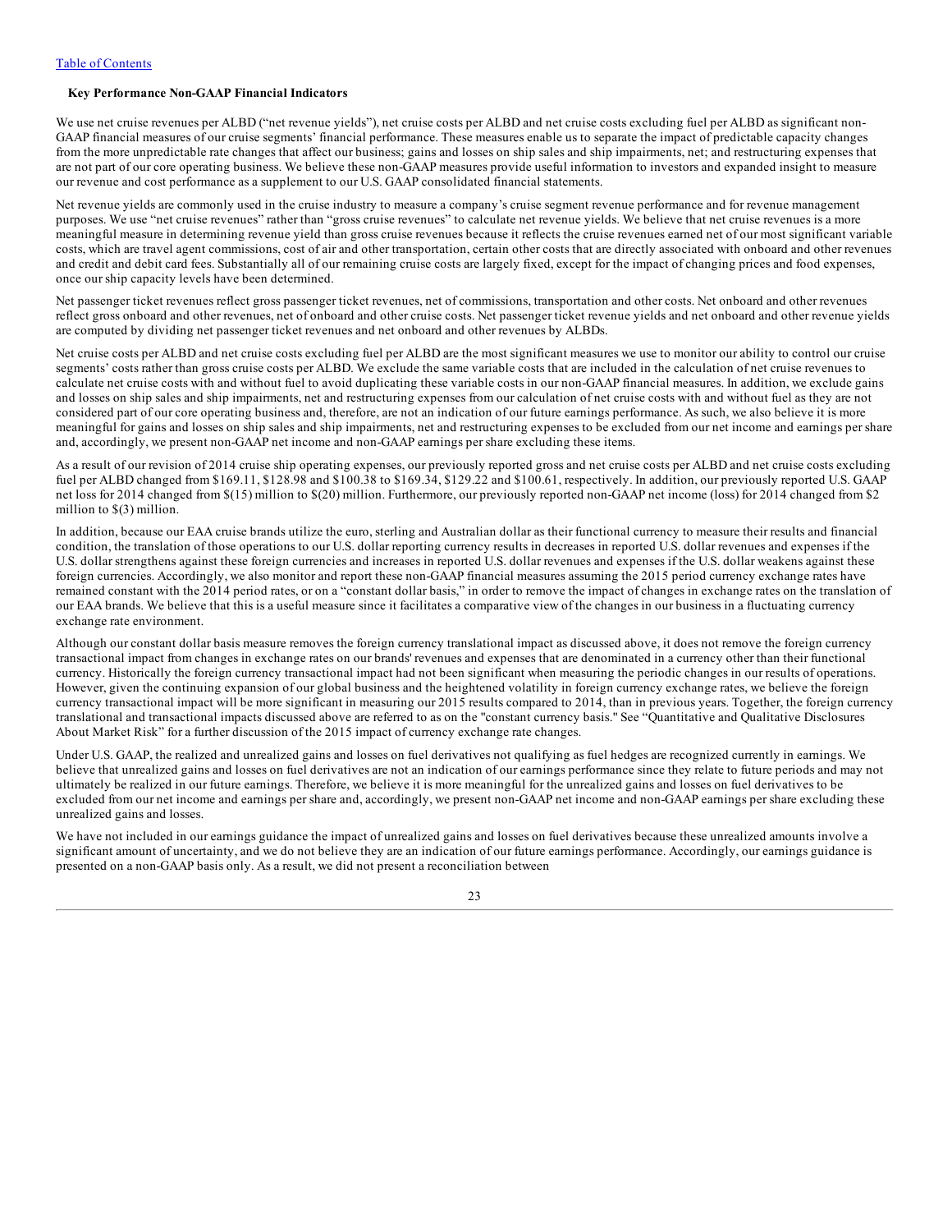#### Table of [Contents](#page-1-0)

#### **Key Performance Non-GAAP Financial Indicators**

We use net cruise revenues per ALBD ("net revenue yields"), net cruise costs per ALBD and net cruise costs excluding fuel per ALBD as significant non-GAAP financial measures of our cruise segments' financial performance. These measures enable us to separate the impact of predictable capacity changes from the more unpredictable rate changes that affect our business; gains and losses on ship sales and ship impairments, net; and restructuring expenses that are not part of our core operating business. We believe these non-GAAP measures provide useful information to investors and expanded insight to measure our revenue and cost performance as a supplement to our U.S. GAAP consolidated financial statements.

Net revenue yields are commonly used in the cruise industry to measure a company's cruise segment revenue performance and for revenue management purposes. We use "net cruise revenues" rather than "gross cruise revenues" to calculate net revenue yields. We believe that net cruise revenues is a more meaningful measure in determining revenue yield than gross cruise revenues because it reflects the cruise revenues earned net of our most significant variable costs, which are travel agent commissions, cost of air and other transportation, certain other costs that are directly associated with onboard and other revenues and credit and debit card fees. Substantially all of our remaining cruise costs are largely fixed, except for the impact of changing prices and food expenses, once our ship capacity levels have been determined.

Net passenger ticket revenues reflect gross passenger ticket revenues, net of commissions, transportation and other costs. Net onboard and other revenues reflect gross onboard and other revenues, net of onboard and other cruise costs. Net passenger ticket revenue yields and net onboard and other revenue yields are computed by dividing net passenger ticket revenues and net onboard and other revenues by ALBDs.

Net cruise costs per ALBD and net cruise costs excluding fuel per ALBD are the most significant measures we use to monitor our ability to control our cruise segments' costs rather than gross cruise costs per ALBD. We exclude the same variable costs that are included in the calculation of net cruise revenues to calculate net cruise costs with and without fuel to avoid duplicating these variable costs in our non-GAAP financial measures. In addition, we exclude gains and losses on ship sales and ship impairments, net and restructuring expenses from our calculation of net cruise costs with and without fuel as they are not considered part of our core operating business and, therefore, are not an indication of our future earnings performance. As such, we also believe it is more meaningful for gains and losses on ship sales and ship impairments, net and restructuring expenses to be excluded from our net income and earnings per share and, accordingly, we present non-GAAP net income and non-GAAP earnings per share excluding these items.

As a result of our revision of 2014 cruise ship operating expenses, our previously reported gross and net cruise costs per ALBD and net cruise costs excluding fuel per ALBD changed from \$169.11, \$128.98 and \$100.38 to \$169.34, \$129.22 and \$100.61, respectively. In addition, our previously reported U.S. GAAP net loss for 2014 changed from \$(15) million to \$(20) million. Furthermore, our previously reported non-GAAP net income (loss) for 2014 changed from \$2 million to \$(3) million.

In addition, because our EAA cruise brands utilize the euro, sterling and Australian dollar as their functional currency to measure their results and financial condition, the translation of those operations to our U.S. dollar reporting currency results in decreases in reported U.S. dollar revenues and expenses if the U.S. dollar strengthens against these foreign currencies and increases in reported U.S. dollar revenues and expenses if the U.S. dollar weakens against these foreign currencies. Accordingly, we also monitor and report these non-GAAP financial measures assuming the 2015 period currency exchange rates have remained constant with the 2014 period rates, or on a "constant dollar basis," in order to remove the impact of changes in exchange rates on the translation of our EAA brands. We believe that this is a useful measure since it facilitates a comparative view of the changes in our business in a fluctuating currency exchange rate environment.

Although our constant dollar basis measure removes the foreign currency translational impact as discussed above, it does not remove the foreign currency transactional impact from changes in exchange rates on our brands' revenues and expenses that are denominated in a currency other than their functional currency. Historically the foreign currency transactional impact had not been significant when measuring the periodic changes in our results of operations. However, given the continuing expansion of our global business and the heightened volatility in foreign currency exchange rates, we believe the foreign currency transactional impact will be more significant in measuring our 2015 results compared to 2014, than in previous years. Together, the foreign currency translational and transactional impacts discussed above are referred to as on the "constant currency basis." See "Quantitative and Qualitative Disclosures About Market Risk" for a further discussion of the 2015 impact of currency exchange rate changes.

Under U.S. GAAP, the realized and unrealized gains and losses on fuel derivatives not qualifying as fuel hedges are recognized currently in earnings. We believe that unrealized gains and losses on fuel derivatives are not an indication of our earnings performance since they relate to future periods and may not ultimately be realized in our future earnings. Therefore, we believe it is more meaningful for the unrealized gains and losses on fuel derivatives to be excluded from our net income and earnings per share and, accordingly, we present non-GAAP net income and non-GAAP earnings per share excluding these unrealized gains and losses.

We have not included in our earnings guidance the impact of unrealized gains and losses on fuel derivatives because these unrealized amounts involve a significant amount of uncertainty, and we do not believe they are an indication of our future earnings performance. Accordingly, our earnings guidance is presented on a non-GAAP basis only. As a result, we did not present a reconciliation between

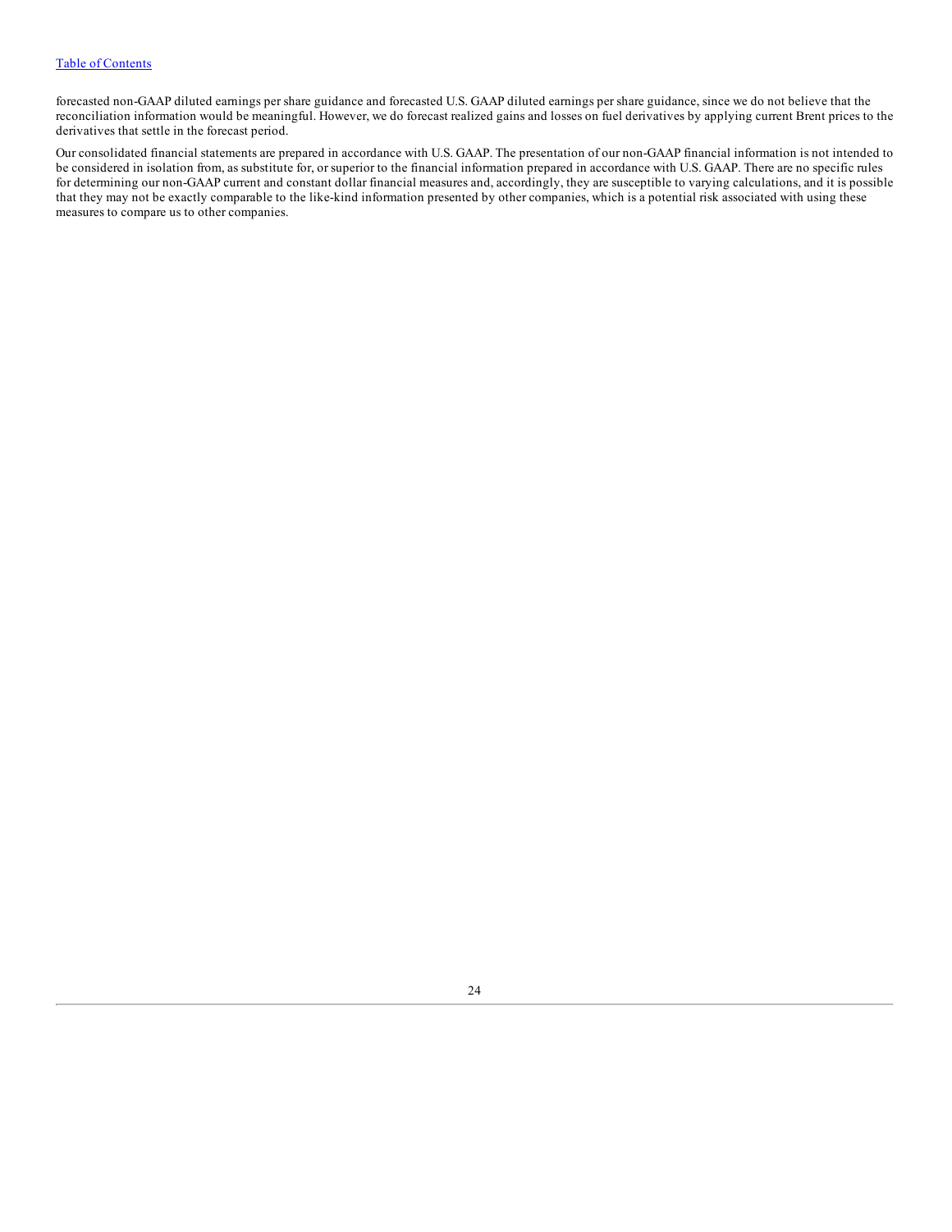forecasted non-GAAP diluted earnings per share guidance and forecasted U.S. GAAP diluted earnings per share guidance, since we do not believe that the reconciliation information would be meaningful. However, we do forecast realized gains and losses on fuel derivatives by applying current Brent prices to the derivatives that settle in the forecast period.

Our consolidated financial statements are prepared in accordance with U.S. GAAP. The presentation of our non-GAAP financial information is not intended to be considered in isolation from, as substitute for, or superior to the financial information prepared in accordance with U.S. GAAP. There are no specific rules for determining our non-GAAP current and constant dollar financial measures and, accordingly, they are susceptible to varying calculations, and it is possible that they may not be exactly comparable to the like-kind information presented by other companies, which is a potential risk associated with using these measures to compare us to other companies.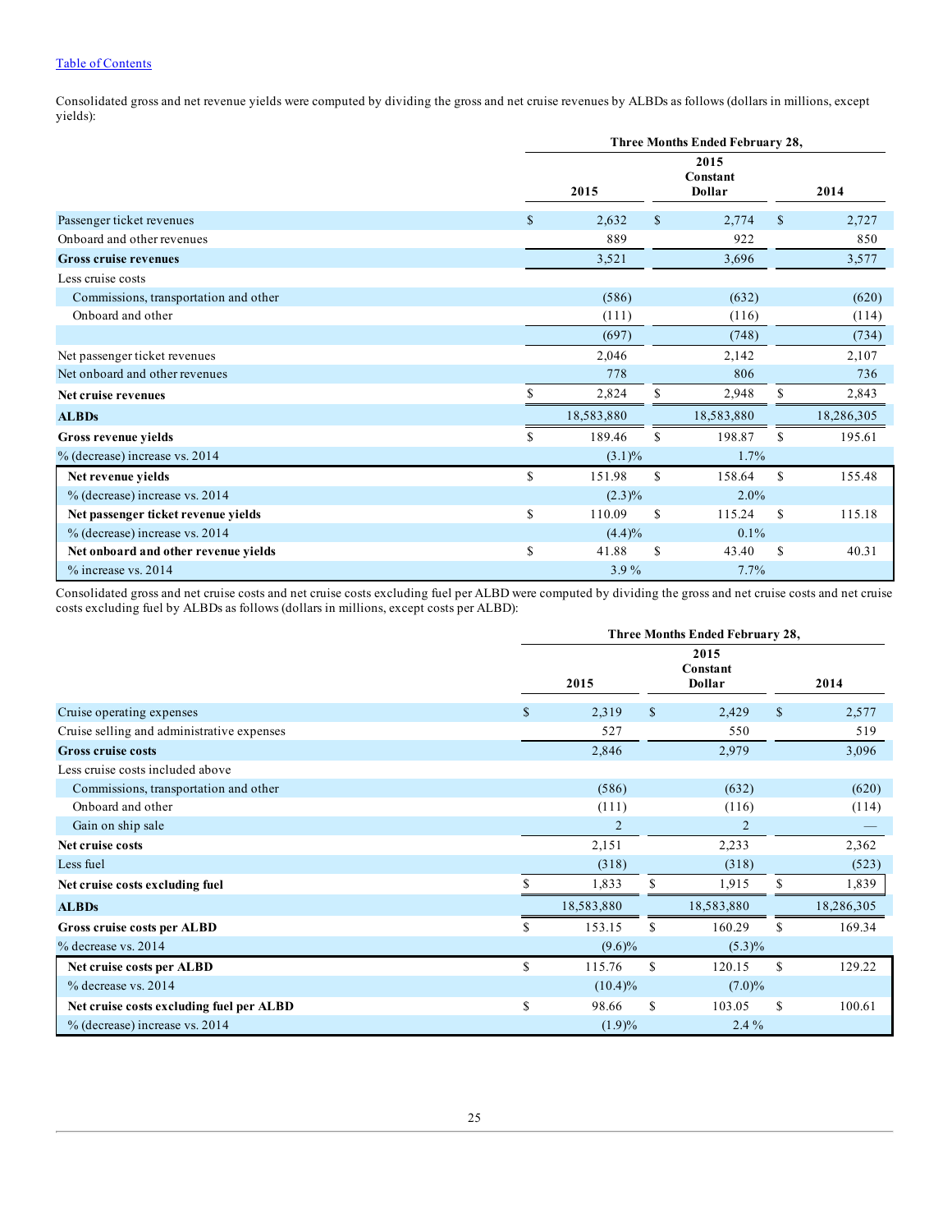# Table of [Contents](#page-1-0)

Consolidated gross and net revenue yields were computed by dividing the gross and net cruise revenues by ALBDs as follows (dollars in millions, except yields):

|                                       |              | Three Months Ended February 28, |               |                                   |               |            |  |  |
|---------------------------------------|--------------|---------------------------------|---------------|-----------------------------------|---------------|------------|--|--|
|                                       |              | 2015                            |               | 2015<br>Constant<br><b>Dollar</b> |               | 2014       |  |  |
| Passenger ticket revenues             | $\mathbb{S}$ | 2,632                           | $\mathbb{S}$  | 2,774                             | $\mathbb{S}$  | 2,727      |  |  |
| Onboard and other revenues            |              | 889                             |               | 922                               |               | 850        |  |  |
| <b>Gross cruise revenues</b>          |              | 3,521                           |               | 3,696                             |               | 3,577      |  |  |
| Less cruise costs                     |              |                                 |               |                                   |               |            |  |  |
| Commissions, transportation and other |              | (586)                           |               | (632)                             |               | (620)      |  |  |
| Onboard and other                     |              | (111)                           |               | (116)                             |               | (114)      |  |  |
|                                       |              | (697)                           |               | (748)                             |               | (734)      |  |  |
| Net passenger ticket revenues         |              | 2,046                           |               | 2,142                             |               | 2,107      |  |  |
| Net onboard and other revenues        |              | 778                             |               | 806                               |               | 736        |  |  |
| Net cruise revenues                   |              | 2,824                           | \$            | 2,948                             |               | 2,843      |  |  |
| <b>ALBDs</b>                          |              | 18,583,880                      |               | 18,583,880                        |               | 18,286,305 |  |  |
| Gross revenue yields                  | \$           | 189.46                          | $\mathcal{S}$ | 198.87                            | \$.           | 195.61     |  |  |
| % (decrease) increase vs. 2014        |              | $(3.1)\%$                       |               | 1.7%                              |               |            |  |  |
| Net revenue yields                    | \$           | 151.98                          | <sup>\$</sup> | 158.64                            | <sup>\$</sup> | 155.48     |  |  |
| % (decrease) increase vs. 2014        |              | $(2.3)\%$                       |               | 2.0%                              |               |            |  |  |
| Net passenger ticket revenue yields   | \$           | 110.09                          | \$            | 115.24                            | <sup>\$</sup> | 115.18     |  |  |
| % (decrease) increase vs. 2014        |              | (4.4)%                          |               | $0.1\%$                           |               |            |  |  |
| Net onboard and other revenue yields  | \$           | 41.88                           | <sup>\$</sup> | 43.40                             | <sup>\$</sup> | 40.31      |  |  |
| $%$ increase vs. 2014                 |              | 3.9%                            |               | 7.7%                              |               |            |  |  |

Consolidated gross and net cruise costs and net cruise costs excluding fuel per ALBD were computed by dividing the gross and net cruise costs and net cruise costs excluding fuel by ALBDs as follows (dollars in millions, except costs per ALBD):

|                                            | Three Months Ended February 28, |    |                            |              |            |  |  |  |
|--------------------------------------------|---------------------------------|----|----------------------------|--------------|------------|--|--|--|
|                                            | 2015                            |    | 2015<br>Constant<br>Dollar |              | 2014       |  |  |  |
| Cruise operating expenses                  | \$<br>2,319                     | \$ | 2,429                      | $\mathbb{S}$ | 2,577      |  |  |  |
| Cruise selling and administrative expenses | 527                             |    | 550                        |              | 519        |  |  |  |
| <b>Gross cruise costs</b>                  | 2,846                           |    | 2,979                      |              | 3,096      |  |  |  |
| Less cruise costs included above           |                                 |    |                            |              |            |  |  |  |
| Commissions, transportation and other      | (586)                           |    | (632)                      |              | (620)      |  |  |  |
| Onboard and other                          | (111)                           |    | (116)                      |              | (114)      |  |  |  |
| Gain on ship sale                          | $\overline{2}$                  |    | $\overline{2}$             |              |            |  |  |  |
| Net cruise costs                           | 2,151                           |    | 2,233                      |              | 2,362      |  |  |  |
| Less fuel                                  | (318)                           |    | (318)                      |              | (523)      |  |  |  |
| Net cruise costs excluding fuel            | 1,833                           | S  | 1,915                      |              | 1,839      |  |  |  |
| <b>ALBDs</b>                               | 18,583,880                      |    | 18,583,880                 |              | 18,286,305 |  |  |  |
| Gross cruise costs per ALBD                | \$<br>153.15                    | S  | 160.29                     | \$.          | 169.34     |  |  |  |
| % decrease vs. 2014                        | $(9.6)\%$                       |    | $(5.3)\%$                  |              |            |  |  |  |
| Net cruise costs per ALBD                  | \$<br>115.76                    | \$ | 120.15                     | \$.          | 129.22     |  |  |  |
| $%$ decrease vs. 2014                      | $(10.4)\%$                      |    | $(7.0)\%$                  |              |            |  |  |  |
| Net cruise costs excluding fuel per ALBD   | \$<br>98.66                     | \$ | 103.05                     | $\mathbb{S}$ | 100.61     |  |  |  |
| % (decrease) increase vs. 2014             | (1.9)%                          |    | $2.4\%$                    |              |            |  |  |  |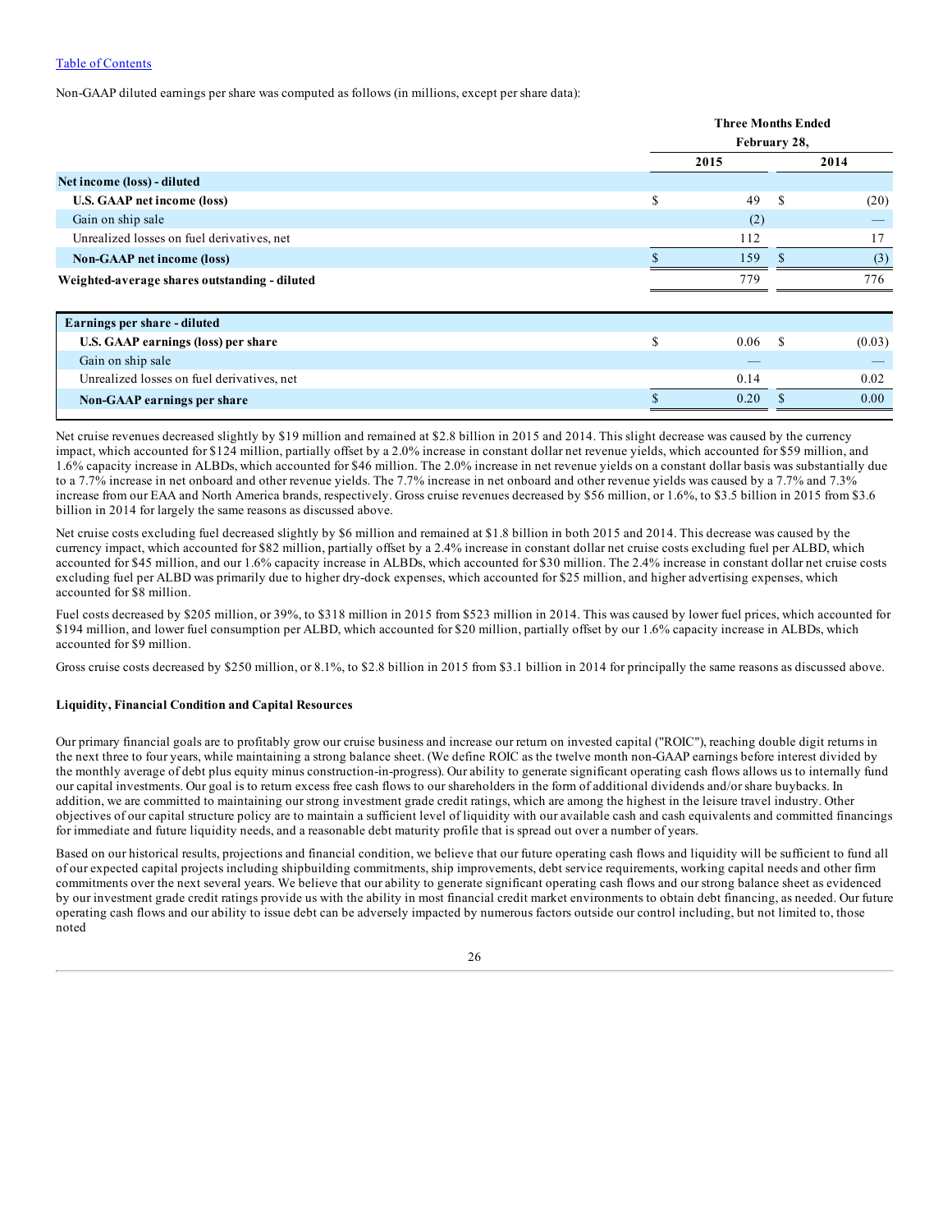### Table of [Contents](#page-1-0)

Non-GAAP diluted earnings per share was computed as follows (in millions, except per share data):

|                                               |               | <b>Three Months Ended</b><br>February 28, |        |  |  |
|-----------------------------------------------|---------------|-------------------------------------------|--------|--|--|
|                                               |               |                                           |        |  |  |
|                                               |               | 2015                                      | 2014   |  |  |
| Net income (loss) - diluted                   |               |                                           |        |  |  |
| <b>U.S. GAAP net income (loss)</b>            | S             | 49<br>S                                   | (20)   |  |  |
| Gain on ship sale                             |               | (2)                                       |        |  |  |
| Unrealized losses on fuel derivatives, net    |               | 112                                       | 17     |  |  |
| Non-GAAP net income (loss)                    |               | 159                                       | (3)    |  |  |
| Weighted-average shares outstanding - diluted |               | 779                                       | 776    |  |  |
|                                               |               |                                           |        |  |  |
| Earnings per share - diluted                  |               |                                           |        |  |  |
| U.S. GAAP earnings (loss) per share           | <sup>\$</sup> | 0.06<br><sup>\$</sup>                     | (0.03) |  |  |
| Gain on ship sale                             |               |                                           |        |  |  |
| Unrealized losses on fuel derivatives, net    |               | 0.14                                      | 0.02   |  |  |
| Non-GAAP earnings per share                   |               | 0.20                                      | 0.00   |  |  |
|                                               |               |                                           |        |  |  |

Net cruise revenues decreased slightly by \$19 million and remained at \$2.8 billion in 2015 and 2014. This slight decrease was caused by the currency impact, which accounted for \$124 million, partially offset by a 2.0% increase in constant dollar net revenue yields, which accounted for \$59 million, and 1.6% capacity increase in ALBDs, which accounted for \$46 million. The 2.0% increase in net revenue yields on a constant dollar basis was substantially due to a 7.7% increase in net onboard and other revenue yields. The 7.7% increase in net onboard and other revenue yields was caused by a 7.7% and 7.3% increase from our EAA and North America brands, respectively. Gross cruise revenues decreased by \$56 million, or 1.6%, to \$3.5 billion in 2015 from \$3.6 billion in 2014 for largely the same reasons as discussed above.

Net cruise costs excluding fuel decreased slightly by \$6 million and remained at \$1.8 billion in both 2015 and 2014. This decrease was caused by the currency impact, which accounted for \$82 million, partially offset by a 2.4% increase in constant dollar net cruise costs excluding fuel per ALBD, which accounted for \$45 million, and our 1.6% capacity increase in ALBDs, which accounted for \$30 million. The 2.4% increase in constant dollar net cruise costs excluding fuel per ALBD was primarily due to higher dry-dock expenses, which accounted for \$25 million, and higher advertising expenses, which accounted for \$8 million.

Fuel costs decreased by \$205 million, or 39%, to \$318 million in 2015 from \$523 million in 2014. This was caused by lower fuel prices, which accounted for \$194 million, and lower fuel consumption per ALBD, which accounted for \$20 million, partially offset by our 1.6% capacity increase in ALBDs, which accounted for \$9 million.

Gross cruise costs decreased by \$250 million, or 8.1%, to \$2.8 billion in 2015 from \$3.1 billion in 2014 for principally the same reasons as discussed above.

# **Liquidity, Financial Condition and Capital Resources**

Our primary financial goals are to profitably grow our cruise business and increase our return on invested capital ("ROIC"), reaching double digit returns in the next three to four years, while maintaining a strong balance sheet. (We define ROIC as the twelve month non-GAAP earnings before interest divided by the monthly average of debt plus equity minus construction-in-progress). Our ability to generate significant operating cash flows allows us to internally fund our capital investments. Our goal is to return excess free cash flows to our shareholders in the form of additional dividends and/or share buybacks. In addition, we are committed to maintaining our strong investment grade credit ratings, which are among the highest in the leisure travel industry. Other objectives of our capital structure policy are to maintain a sufficient level of liquidity with our available cash and cash equivalents and committed financings for immediate and future liquidity needs, and a reasonable debt maturity profile that is spread out over a number of years.

Based on our historical results, projections and financial condition, we believe that our future operating cash flows and liquidity will be sufficient to fund all of our expected capital projects including shipbuilding commitments, ship improvements, debt service requirements, working capital needs and other firm commitments over the next several years. We believe that our ability to generate significant operating cash flows and our strong balance sheet as evidenced by our investment grade credit ratings provide us with the ability in most financial credit market environments to obtain debt financing, as needed. Our future operating cash flows and our ability to issue debt can be adversely impacted by numerous factors outside our control including, but not limited to, those noted

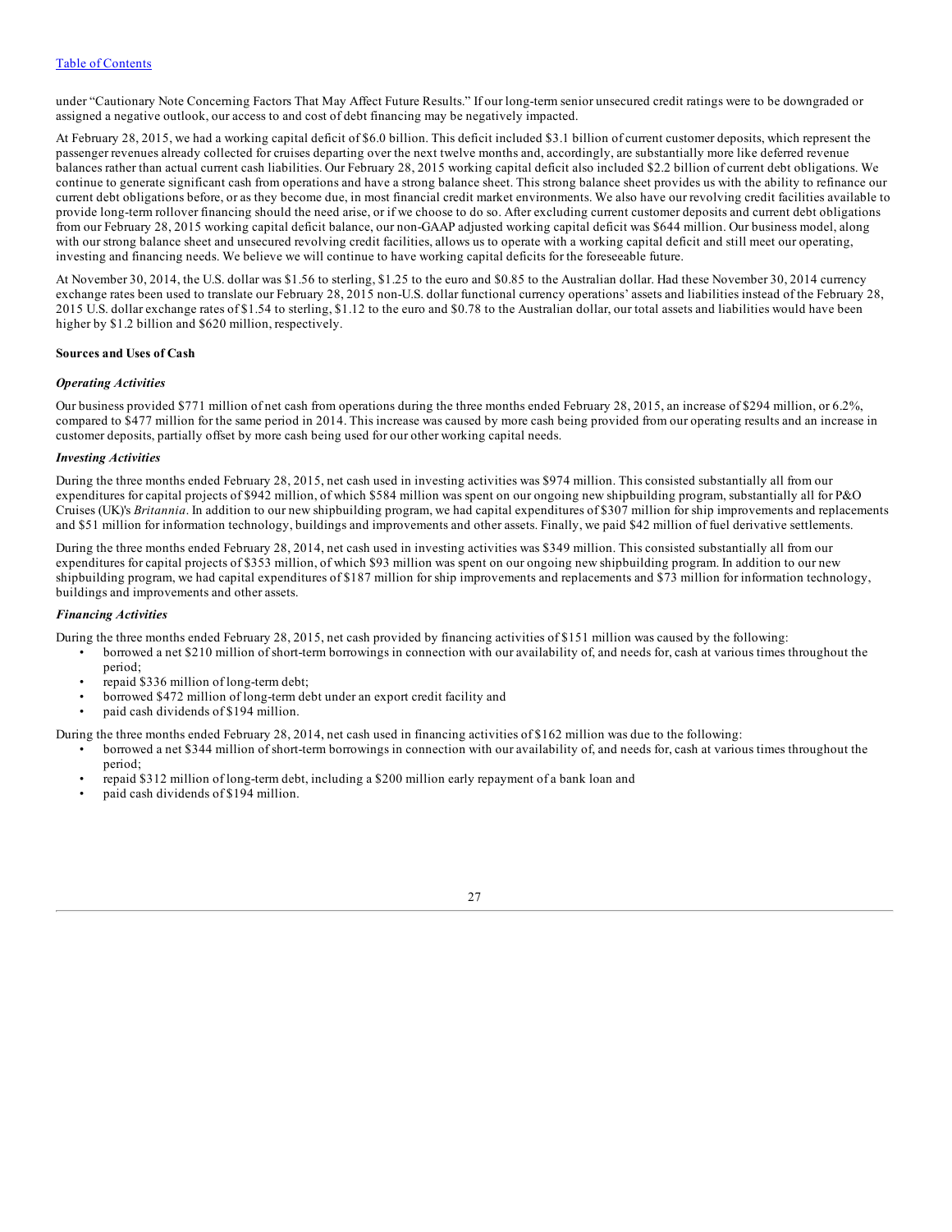under "Cautionary Note Concerning Factors That May Affect Future Results." If our long-term senior unsecured credit ratings were to be downgraded or assigned a negative outlook, our access to and cost of debt financing may be negatively impacted.

At February 28, 2015, we had a working capital deficit of \$6.0 billion. This deficit included \$3.1 billion of current customer deposits, which represent the passenger revenues already collected for cruises departing over the next twelve months and, accordingly, are substantially more like deferred revenue balances rather than actual current cash liabilities. Our February 28, 2015 working capital deficit also included \$2.2 billion of current debt obligations. We continue to generate significant cash from operations and have a strong balance sheet. This strong balance sheet provides us with the ability to refinance our current debt obligations before, or as they become due, in most financial credit market environments. We also have our revolving credit facilities available to provide long-term rollover financing should the need arise, or if we choose to do so. After excluding current customer deposits and current debt obligations from our February 28, 2015 working capital deficit balance, our non-GAAP adjusted working capital deficit was \$644 million. Our business model, along with our strong balance sheet and unsecured revolving credit facilities, allows us to operate with a working capital deficit and still meet our operating, investing and financing needs. We believe we will continue to have working capital deficits for the foreseeable future.

At November 30, 2014, the U.S. dollar was \$1.56 to sterling, \$1.25 to the euro and \$0.85 to the Australian dollar. Had these November 30, 2014 currency exchange rates been used to translate our February 28, 2015 non-U.S. dollar functional currency operations' assets and liabilities instead of the February 28, 2015 U.S. dollar exchange rates of \$1.54 to sterling, \$1.12 to the euro and \$0.78 to the Australian dollar, our total assets and liabilities would have been higher by \$1.2 billion and \$620 million, respectively.

#### **Sources and Uses of Cash**

#### *Operating Activities*

Our business provided \$771 million of net cash from operations during the three months ended February 28, 2015, an increase of \$294 million, or 6.2%, compared to \$477 million for the same period in 2014. This increase was caused by more cash being provided from our operating results and an increase in customer deposits, partially offset by more cash being used for our other working capital needs.

#### *Investing Activities*

During the three months ended February 28, 2015, net cash used in investing activities was \$974 million. This consisted substantially all from our expenditures for capital projects of \$942 million, of which \$584 million was spent on our ongoing new shipbuilding program, substantially all for P&O Cruises (UK)'s *Britannia*. In addition to our new shipbuilding program, we had capital expenditures of \$307 million for ship improvements and replacements and \$51 million for information technology, buildings and improvements and other assets. Finally, we paid \$42 million of fuel derivative settlements.

During the three months ended February 28, 2014, net cash used in investing activities was \$349 million. This consisted substantially all from our expenditures for capital projects of \$353 million, of which \$93 million was spent on our ongoing new shipbuilding program. In addition to our new shipbuilding program, we had capital expenditures of \$187 million for ship improvements and replacements and \$73 million for information technology, buildings and improvements and other assets.

### *Financing Activities*

During the three months ended February 28, 2015, net cash provided by financing activities of \$151 million was caused by the following:

- borrowed a net \$210 million of short-term borrowings in connection with our availability of, and needs for, cash at various times throughout the period;
- repaid \$336 million of long-term debt;
- borrowed \$472 million of long-term debt under an export credit facility and
- paid cash dividends of \$194 million.

During the three months ended February 28, 2014, net cash used in financing activities of \$162 million was due to the following:

- borrowed a net \$344 million of short-term borrowings in connection with our availability of, and needs for, cash at various times throughout the period;
- repaid \$312 million of long-term debt, including a \$200 million early repayment of a bank loan and
- paid cash dividends of \$194 million.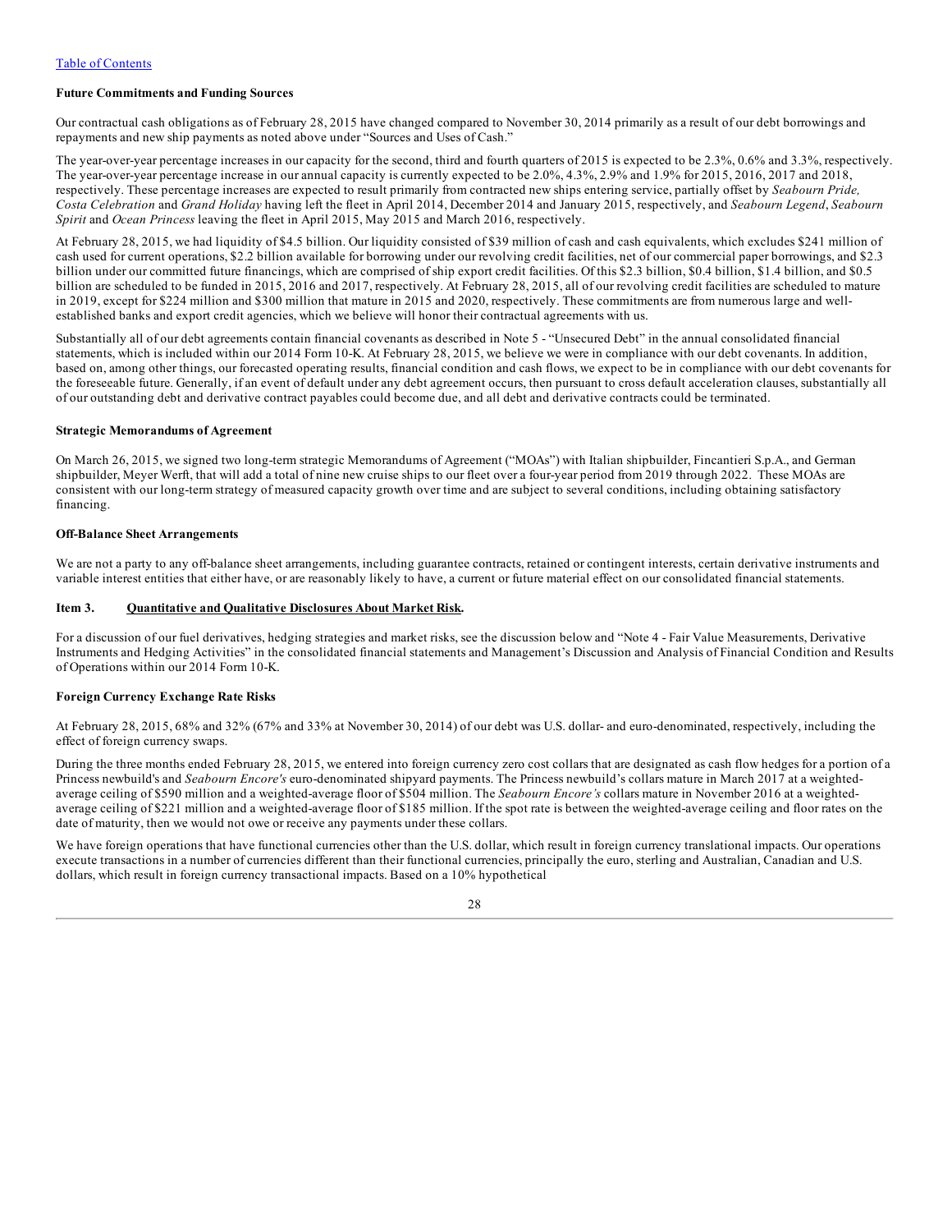#### <span id="page-28-0"></span>**Future Commitments and Funding Sources**

Our contractual cash obligations as of February 28, 2015 have changed compared to November 30, 2014 primarily as a result of our debt borrowings and repayments and new ship payments as noted above under "Sources and Uses of Cash."

The year-over-year percentage increases in our capacity for the second, third and fourth quarters of 2015 is expected to be 2.3%, 0.6% and 3.3%, respectively. The year-over-year percentage increase in our annual capacity is currently expected to be 2.0%, 4.3%, 2.9% and 1.9% for 2015, 2016, 2017 and 2018, respectively. These percentage increases are expected to result primarily from contracted new ships entering service, partially offset by *Seabourn Pride, Costa Celebration* and *Grand Holiday* having left the fleet in April 2014, December 2014 and January 2015, respectively, and *Seabourn Legend*, *Seabourn Spirit* and *Ocean Princess* leaving the fleet in April 2015, May 2015 and March 2016, respectively.

At February 28, 2015, we had liquidity of \$4.5 billion. Our liquidity consisted of \$39 million of cash and cash equivalents, which excludes \$241 million of cash used for current operations, \$2.2 billion available for borrowing under our revolving credit facilities, net of our commercial paper borrowings, and \$2.3 billion under our committed future financings, which are comprised of ship export credit facilities. Of this \$2.3 billion, \$0.4 billion, \$1.4 billion, and \$0.5 billion are scheduled to be funded in 2015, 2016 and 2017, respectively. At February 28, 2015, all of our revolving credit facilities are scheduled to mature in 2019, except for \$224 million and \$300 million that mature in 2015 and 2020, respectively. These commitments are from numerous large and wellestablished banks and export credit agencies, which we believe will honor their contractual agreements with us.

Substantially all of our debt agreements contain financial covenants as described in Note 5 - "Unsecured Debt" in the annual consolidated financial statements, which is included within our 2014 Form 10-K. At February 28, 2015, we believe we were in compliance with our debt covenants. In addition, based on, among other things, our forecasted operating results, financial condition and cash flows, we expect to be in compliance with our debt covenants for the foreseeable future. Generally, if an event of default under any debt agreement occurs, then pursuant to cross default acceleration clauses, substantially all of our outstanding debt and derivative contract payables could become due, and all debt and derivative contracts could be terminated.

#### **Strategic Memorandums of Agreement**

On March 26, 2015, we signed two long-term strategic Memorandums of Agreement ("MOAs") with Italian shipbuilder, Fincantieri S.p.A., and German shipbuilder, Meyer Werft, that will add a total of nine new cruise ships to our fleet over a four-year period from 2019 through 2022. These MOAs are consistent with our long-term strategy of measured capacity growth over time and are subject to several conditions, including obtaining satisfactory financing.

#### **Off-Balance Sheet Arrangements**

We are not a party to any off-balance sheet arrangements, including guarantee contracts, retained or contingent interests, certain derivative instruments and variable interest entities that either have, or are reasonably likely to have, a current or future material effect on our consolidated financial statements.

# **Item 3. Quantitative and Qualitative Disclosures About Market Risk.**

For a discussion of our fuel derivatives, hedging strategies and market risks, see the discussion below and "Note 4 - Fair Value Measurements, Derivative Instruments and Hedging Activities" in the consolidated financial statements and Management's Discussion and Analysis of Financial Condition and Results of Operations within our 2014 Form 10-K.

#### **Foreign Currency Exchange Rate Risks**

At February 28, 2015, 68% and 32% (67% and 33% at November 30, 2014) of our debt was U.S. dollar- and euro-denominated, respectively, including the effect of foreign currency swaps.

During the three months ended February 28, 2015, we entered into foreign currency zero cost collars that are designated as cash flow hedges for a portion of a Princess newbuild's and *Seabourn Encore's* euro-denominated shipyard payments. The Princess newbuild's collars mature in March 2017 at a weightedaverage ceiling of \$590 million and a weighted-average floor of \$504 million. The *Seabourn Encore's* collars mature in November 2016 at a weightedaverage ceiling of \$221 million and a weighted-average floor of \$185 million. If the spot rate is between the weighted-average ceiling and floor rates on the date of maturity, then we would not owe or receive any payments under these collars.

We have foreign operations that have functional currencies other than the U.S. dollar, which result in foreign currency translational impacts. Our operations execute transactions in a number of currencies different than their functional currencies, principally the euro, sterling and Australian, Canadian and U.S. dollars, which result in foreign currency transactional impacts. Based on a 10% hypothetical

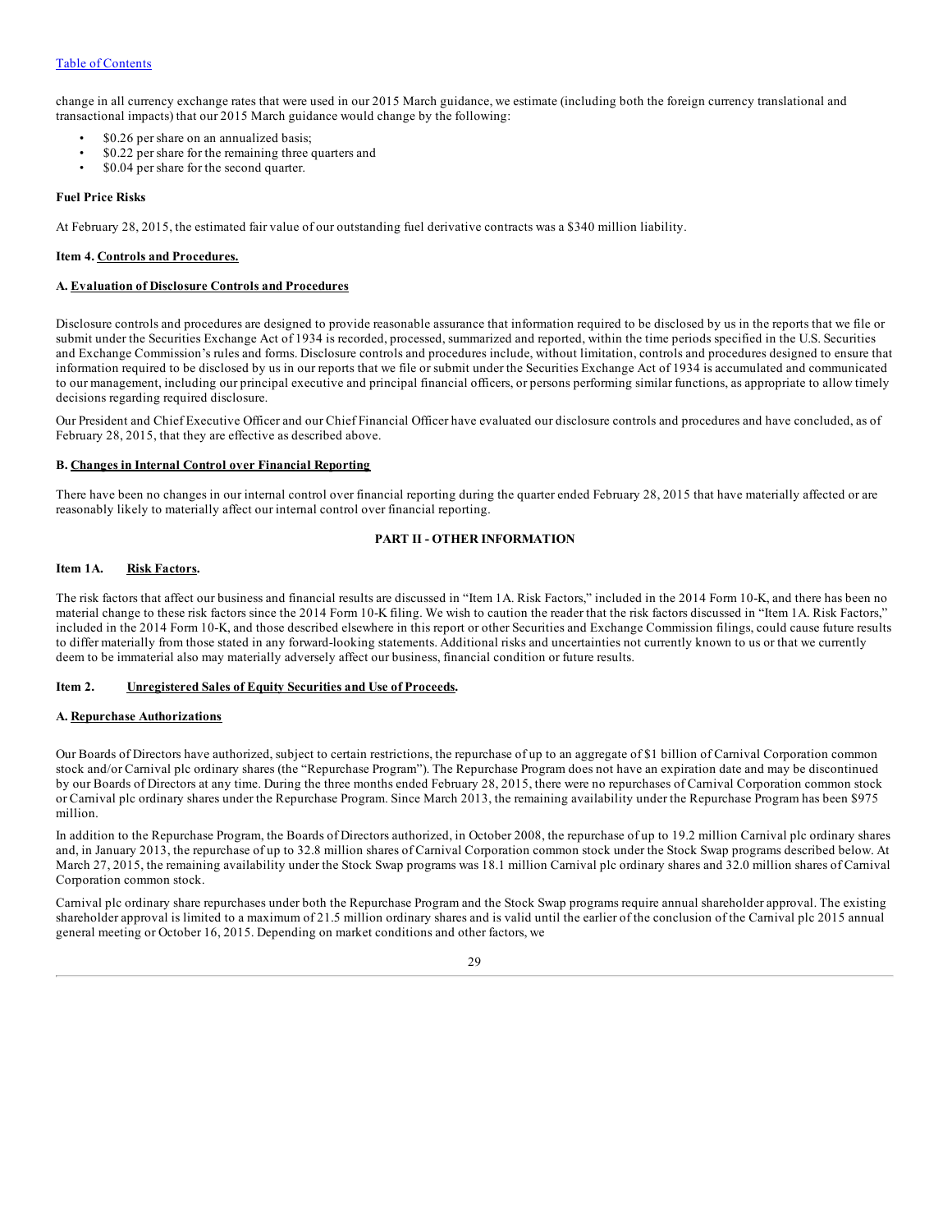<span id="page-29-0"></span>change in all currency exchange rates that were used in our 2015 March guidance, we estimate (including both the foreign currency translational and transactional impacts) that our 2015 March guidance would change by the following:

- \$0.26 per share on an annualized basis;
- \$0.22 per share for the remaining three quarters and
- \$0.04 per share for the second quarter.

### **Fuel Price Risks**

At February 28, 2015, the estimated fair value of our outstanding fuel derivative contracts was a \$340 million liability.

#### **Item 4. Controls and Procedures.**

#### **A. Evaluation of Disclosure Controls and Procedures**

Disclosure controls and procedures are designed to provide reasonable assurance that information required to be disclosed by us in the reports that we file or submit under the Securities Exchange Act of 1934 is recorded, processed, summarized and reported, within the time periods specified in the U.S. Securities and Exchange Commission's rules and forms. Disclosure controls and procedures include, without limitation, controls and procedures designed to ensure that information required to be disclosed by us in our reports that we file or submit under the Securities Exchange Act of 1934 is accumulated and communicated to our management, including our principal executive and principal financial officers, or persons performing similar functions, as appropriate to allow timely decisions regarding required disclosure.

Our President and Chief Executive Officer and our Chief Financial Officer have evaluated our disclosure controls and procedures and have concluded, as of February 28, 2015, that they are effective as described above.

#### **B. Changes in Internal Control over Financial Reporting**

There have been no changes in our internal control over financial reporting during the quarter ended February 28, 2015 that have materially affected or are reasonably likely to materially affect our internal control over financial reporting.

# **PART II - OTHER INFORMATION**

# **Item 1A. Risk Factors.**

The risk factors that affect our business and financial results are discussed in "Item 1A. Risk Factors," included in the 2014 Form 10-K, and there has been no material change to these risk factors since the 2014 Form 10-K filing. We wish to caution the reader that the risk factors discussed in "Item 1A. Risk Factors," included in the 2014 Form 10-K, and those described elsewhere in this report or other Securities and Exchange Commission filings, could cause future results to differ materially from those stated in any forward-looking statements. Additional risks and uncertainties not currently known to us or that we currently deem to be immaterial also may materially adversely affect our business, financial condition or future results.

# **Item 2. Unregistered Sales of Equity Securities and Use of Proceeds.**

#### **A. Repurchase Authorizations**

Our Boards of Directors have authorized, subject to certain restrictions, the repurchase of up to an aggregate of \$1 billion of Carnival Corporation common stock and/or Carnival plc ordinary shares (the "Repurchase Program"). The Repurchase Program does not have an expiration date and may be discontinued by our Boards of Directors at any time. During the three months ended February 28, 2015, there were no repurchases of Carnival Corporation common stock or Carnival plc ordinary shares under the Repurchase Program. Since March 2013, the remaining availability under the Repurchase Program has been \$975 million.

In addition to the Repurchase Program, the Boards of Directors authorized, in October 2008, the repurchase of up to 19.2 million Carnival plc ordinary shares and, in January 2013, the repurchase of up to 32.8 million shares of Carnival Corporation common stock under the Stock Swap programs described below. At March 27, 2015, the remaining availability under the Stock Swap programs was 18.1 million Carnival plc ordinary shares and 32.0 million shares of Carnival Corporation common stock.

Carnival plc ordinary share repurchases under both the Repurchase Program and the Stock Swap programs require annual shareholder approval. The existing shareholder approval is limited to a maximum of 21.5 million ordinary shares and is valid until the earlier of the conclusion of the Carnival plc 2015 annual general meeting or October 16, 2015. Depending on market conditions and other factors, we

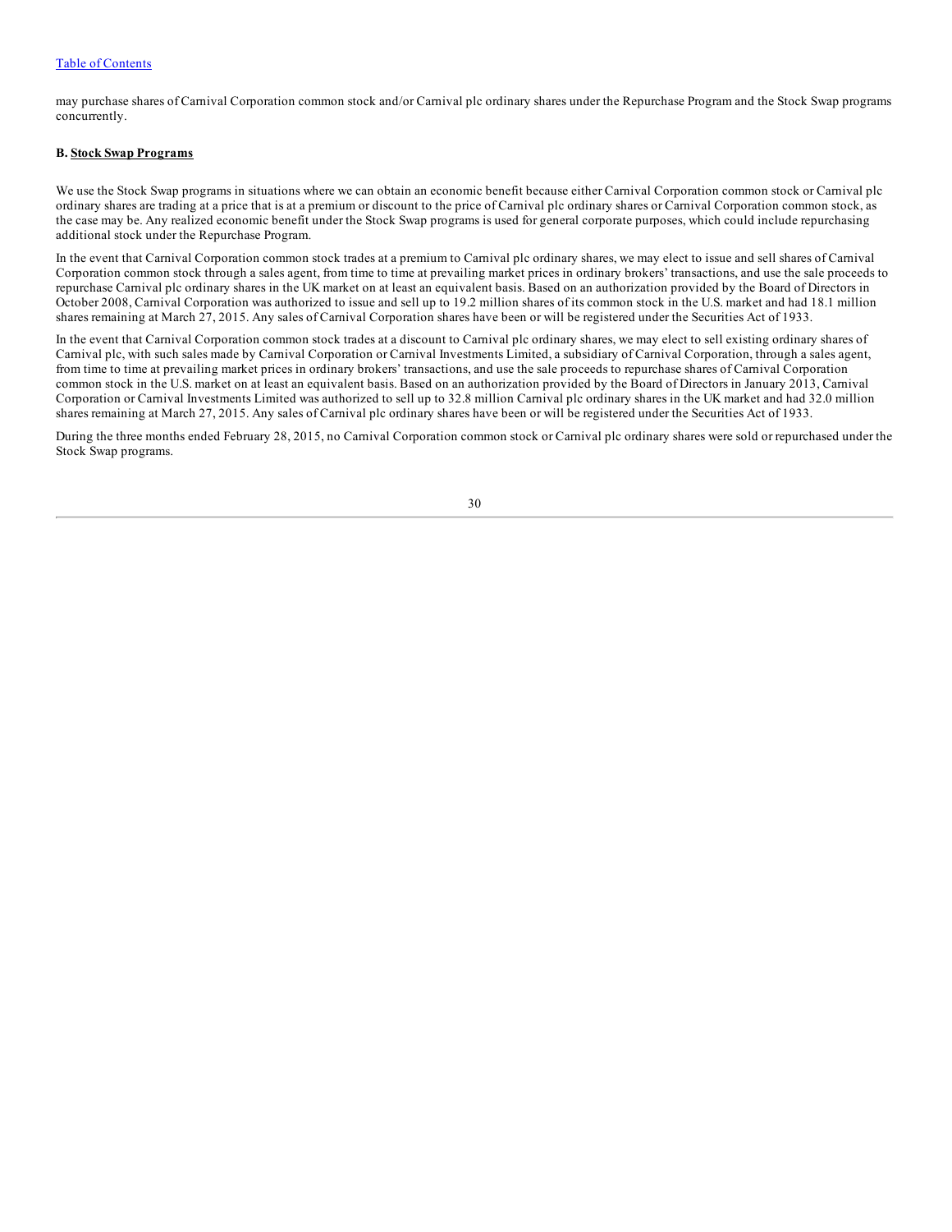<span id="page-30-0"></span>may purchase shares of Carnival Corporation common stock and/or Carnival plc ordinary shares under the Repurchase Program and the Stock Swap programs concurrently.

# **B. Stock Swap Programs**

We use the Stock Swap programs in situations where we can obtain an economic benefit because either Carnival Corporation common stock or Carnival plc ordinary shares are trading at a price that is at a premium or discount to the price of Carnival plc ordinary shares or Carnival Corporation common stock, as the case may be. Any realized economic benefit under the Stock Swap programs is used for general corporate purposes, which could include repurchasing additional stock under the Repurchase Program.

In the event that Carnival Corporation common stock trades at a premium to Carnival plc ordinary shares, we may elect to issue and sell shares of Carnival Corporation common stock through a sales agent, from time to time at prevailing market prices in ordinary brokers' transactions, and use the sale proceeds to repurchase Carnival plc ordinary shares in the UK market on at least an equivalent basis. Based on an authorization provided by the Board of Directors in October 2008, Carnival Corporation was authorized to issue and sell up to 19.2 million shares of its common stock in the U.S. market and had 18.1 million shares remaining at March 27, 2015. Any sales of Carnival Corporation shares have been or will be registered under the Securities Act of 1933.

In the event that Carnival Corporation common stock trades at a discount to Carnival plc ordinary shares, we may elect to sell existing ordinary shares of Carnival plc, with such sales made by Carnival Corporation or Carnival Investments Limited, a subsidiary of Carnival Corporation, through a sales agent, from time to time at prevailing market prices in ordinary brokers' transactions, and use the sale proceeds to repurchase shares of Carnival Corporation common stock in the U.S. market on at least an equivalent basis. Based on an authorization provided by the Board of Directors in January 2013, Carnival Corporation or Carnival Investments Limited was authorized to sell up to 32.8 million Carnival plc ordinary shares in the UK market and had 32.0 million shares remaining at March 27, 2015. Any sales of Carnival plc ordinary shares have been or will be registered under the Securities Act of 1933.

During the three months ended February 28, 2015, no Carnival Corporation common stock or Carnival plc ordinary shares were sold or repurchased under the Stock Swap programs.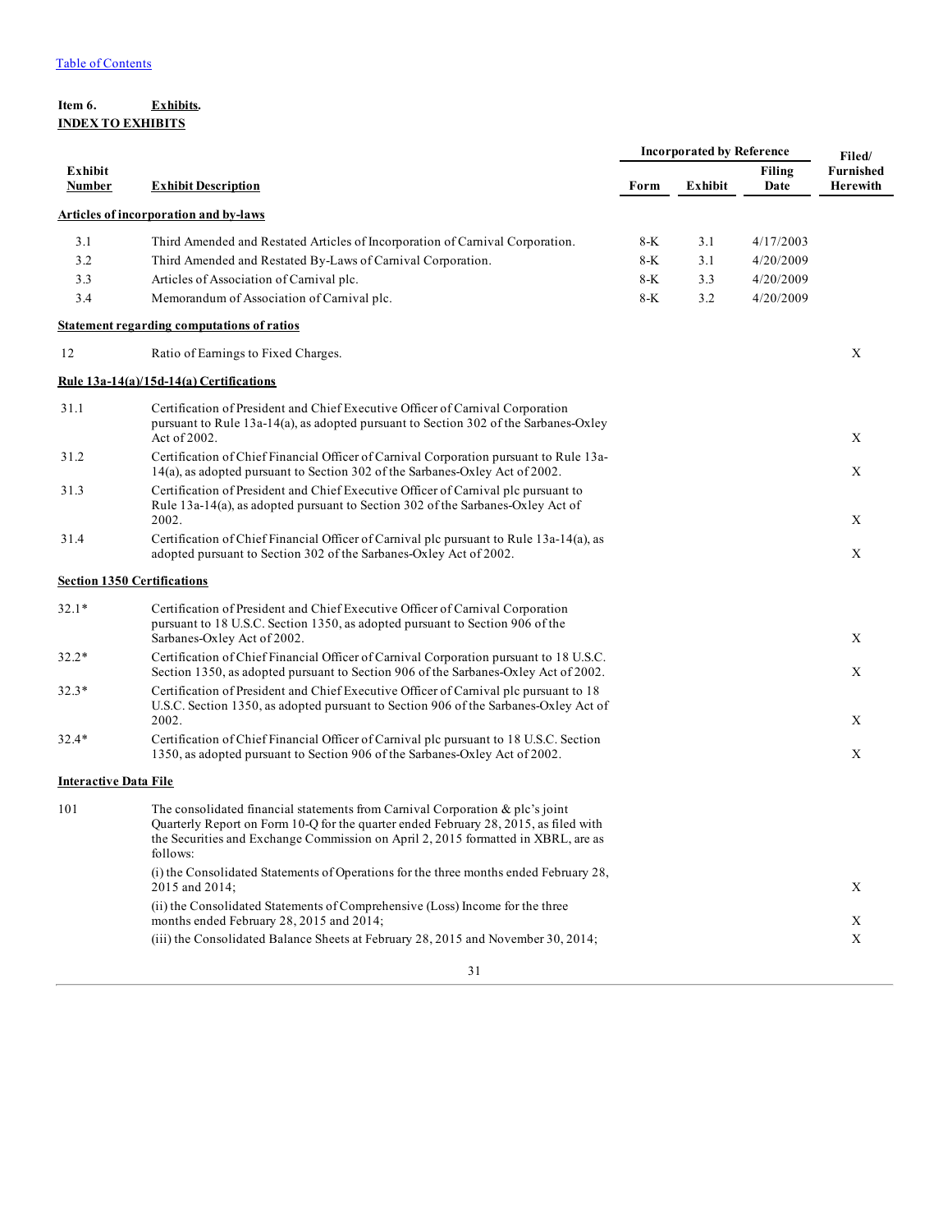# **Item 6. Exhibits. INDEX TO EXHIBITS**

|                                    | <b>Exhibit Description</b>                                                                                                                                                                                                                                                | <b>Incorporated by Reference</b> |         |                | Filed/                |
|------------------------------------|---------------------------------------------------------------------------------------------------------------------------------------------------------------------------------------------------------------------------------------------------------------------------|----------------------------------|---------|----------------|-----------------------|
| Exhibit<br><b>Number</b>           |                                                                                                                                                                                                                                                                           | Form                             | Exhibit | Filing<br>Date | Furnished<br>Herewith |
|                                    | Articles of incorporation and by-laws                                                                                                                                                                                                                                     |                                  |         |                |                       |
| 3.1                                | Third Amended and Restated Articles of Incorporation of Carnival Corporation.                                                                                                                                                                                             | 8-K                              | 3.1     | 4/17/2003      |                       |
| 3.2                                | Third Amended and Restated By-Laws of Carnival Corporation.                                                                                                                                                                                                               | $8-K$                            | 3.1     | 4/20/2009      |                       |
| 3.3                                | Articles of Association of Carnival plc.                                                                                                                                                                                                                                  | $8-K$                            | 3.3     | 4/20/2009      |                       |
| 3.4                                | Memorandum of Association of Carnival plc.                                                                                                                                                                                                                                | $8-K$                            | 3.2     | 4/20/2009      |                       |
|                                    | Statement regarding computations of ratios                                                                                                                                                                                                                                |                                  |         |                |                       |
| 12                                 | Ratio of Earnings to Fixed Charges.                                                                                                                                                                                                                                       |                                  |         |                | $\mathbf X$           |
|                                    | Rule $13a-14(a)/15d-14(a)$ Certifications                                                                                                                                                                                                                                 |                                  |         |                |                       |
| 31.1                               | Certification of President and Chief Executive Officer of Carnival Corporation<br>pursuant to Rule 13a-14(a), as adopted pursuant to Section 302 of the Sarbanes-Oxley<br>Act of 2002.                                                                                    |                                  |         |                | X                     |
| 31.2                               | Certification of Chief Financial Officer of Carnival Corporation pursuant to Rule 13a-<br>14(a), as adopted pursuant to Section 302 of the Sarbanes-Oxley Act of 2002.                                                                                                    |                                  |         |                | X                     |
| 31.3                               | Certification of President and Chief Executive Officer of Carnival plc pursuant to<br>Rule 13a-14(a), as adopted pursuant to Section 302 of the Sarbanes-Oxley Act of<br>2002.                                                                                            |                                  |         |                | X                     |
| 31.4                               | Certification of Chief Financial Officer of Carnival plc pursuant to Rule 13a-14(a), as<br>adopted pursuant to Section 302 of the Sarbanes-Oxley Act of 2002.                                                                                                             |                                  |         |                | X                     |
| <b>Section 1350 Certifications</b> |                                                                                                                                                                                                                                                                           |                                  |         |                |                       |
| $32.1*$                            | Certification of President and Chief Executive Officer of Carnival Corporation<br>pursuant to 18 U.S.C. Section 1350, as adopted pursuant to Section 906 of the<br>Sarbanes-Oxley Act of 2002.                                                                            |                                  |         |                | X                     |
| $32.2*$                            | Certification of Chief Financial Officer of Carnival Corporation pursuant to 18 U.S.C.<br>Section 1350, as adopted pursuant to Section 906 of the Sarbanes-Oxley Act of 2002.                                                                                             |                                  |         |                | X                     |
| $32.3*$                            | Certification of President and Chief Executive Officer of Carnival plc pursuant to 18<br>U.S.C. Section 1350, as adopted pursuant to Section 906 of the Sarbanes-Oxley Act of<br>2002.                                                                                    |                                  |         |                | X                     |
| $32.4*$                            | Certification of Chief Financial Officer of Carnival plc pursuant to 18 U.S.C. Section<br>1350, as adopted pursuant to Section 906 of the Sarbanes-Oxley Act of 2002.                                                                                                     |                                  |         |                | $\mathbf X$           |
| <b>Interactive Data File</b>       |                                                                                                                                                                                                                                                                           |                                  |         |                |                       |
|                                    |                                                                                                                                                                                                                                                                           |                                  |         |                |                       |
| 101                                | The consolidated financial statements from Carnival Corporation $\&$ plc's joint<br>Quarterly Report on Form 10-Q for the quarter ended February 28, 2015, as filed with<br>the Securities and Exchange Commission on April 2, 2015 formatted in XBRL, are as<br>follows: |                                  |         |                |                       |
|                                    | (i) the Consolidated Statements of Operations for the three months ended February 28,<br>2015 and 2014;                                                                                                                                                                   |                                  |         |                | X                     |
|                                    | (ii) the Consolidated Statements of Comprehensive (Loss) Income for the three<br>months ended February 28, 2015 and 2014;                                                                                                                                                 |                                  |         |                | X                     |
|                                    | (iii) the Consolidated Balance Sheets at February 28, 2015 and November 30, 2014;                                                                                                                                                                                         |                                  |         |                | X                     |
|                                    | 31                                                                                                                                                                                                                                                                        |                                  |         |                |                       |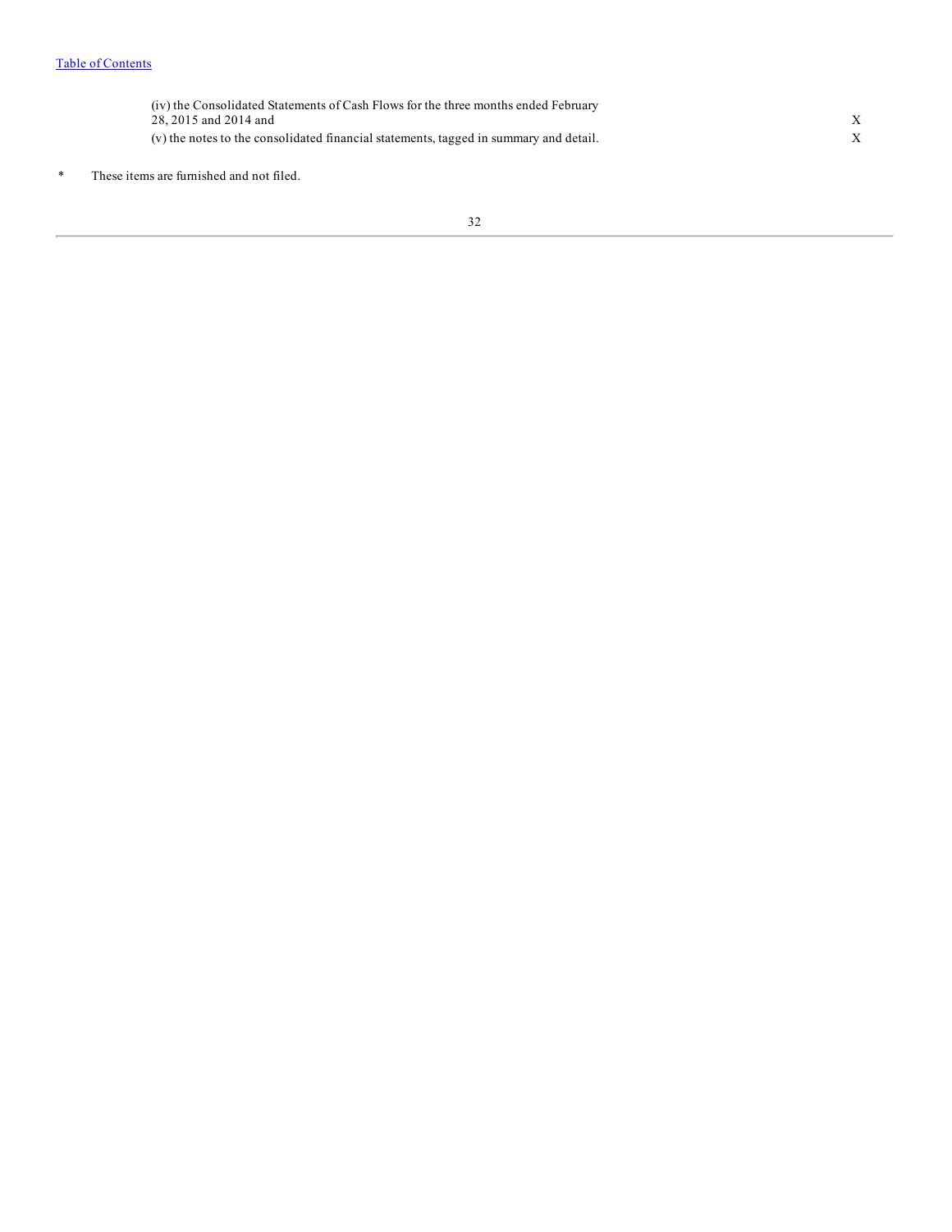<span id="page-32-0"></span>(iv) the Consolidated Statements of Cash Flows for the three months ended February  $28, 2015$  and  $2014$  and  $X$ (v) the notes to the consolidated financial statements, tagged in summary and detail. X

\* These items are furnished and not filed.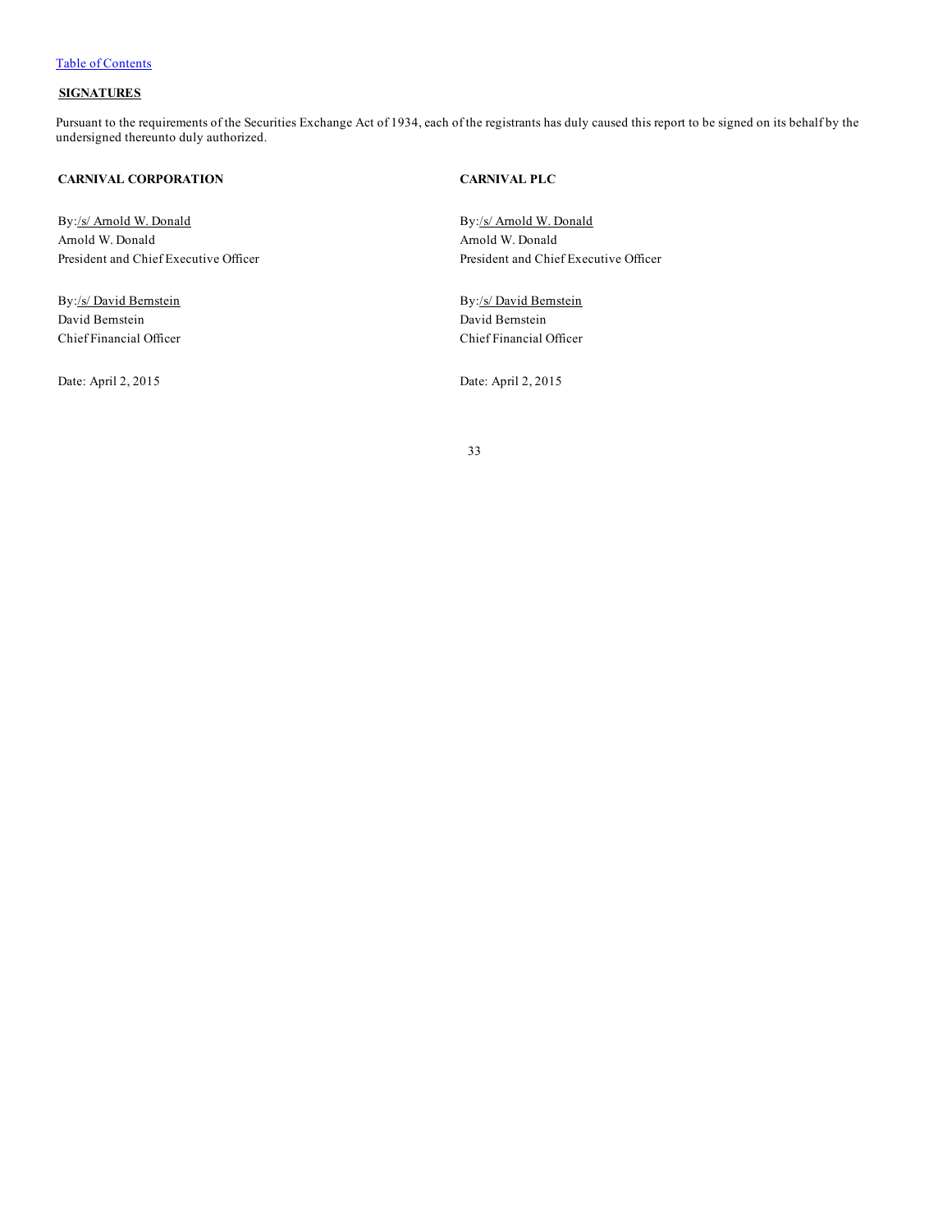#### **SIGNATURES**

Pursuant to the requirements of the Securities Exchange Act of 1934, each of the registrants has duly caused this report to be signed on its behalf by the undersigned thereunto duly authorized.

# **CARNIVAL CORPORATION CARNIVAL PLC**

By:/s/ Arnold W. Donald By:/s/ Arnold W. Donald Arnold W. Donald Arnold W. Donald

By:/s/ David Bernstein By:/s/ David Bernstein David Bernstein David Bernstein Chief Financial Officer Chief Financial Officer

President and Chief Executive Officer President and Chief Executive Officer

Date: April 2, 2015 Date: April 2, 2015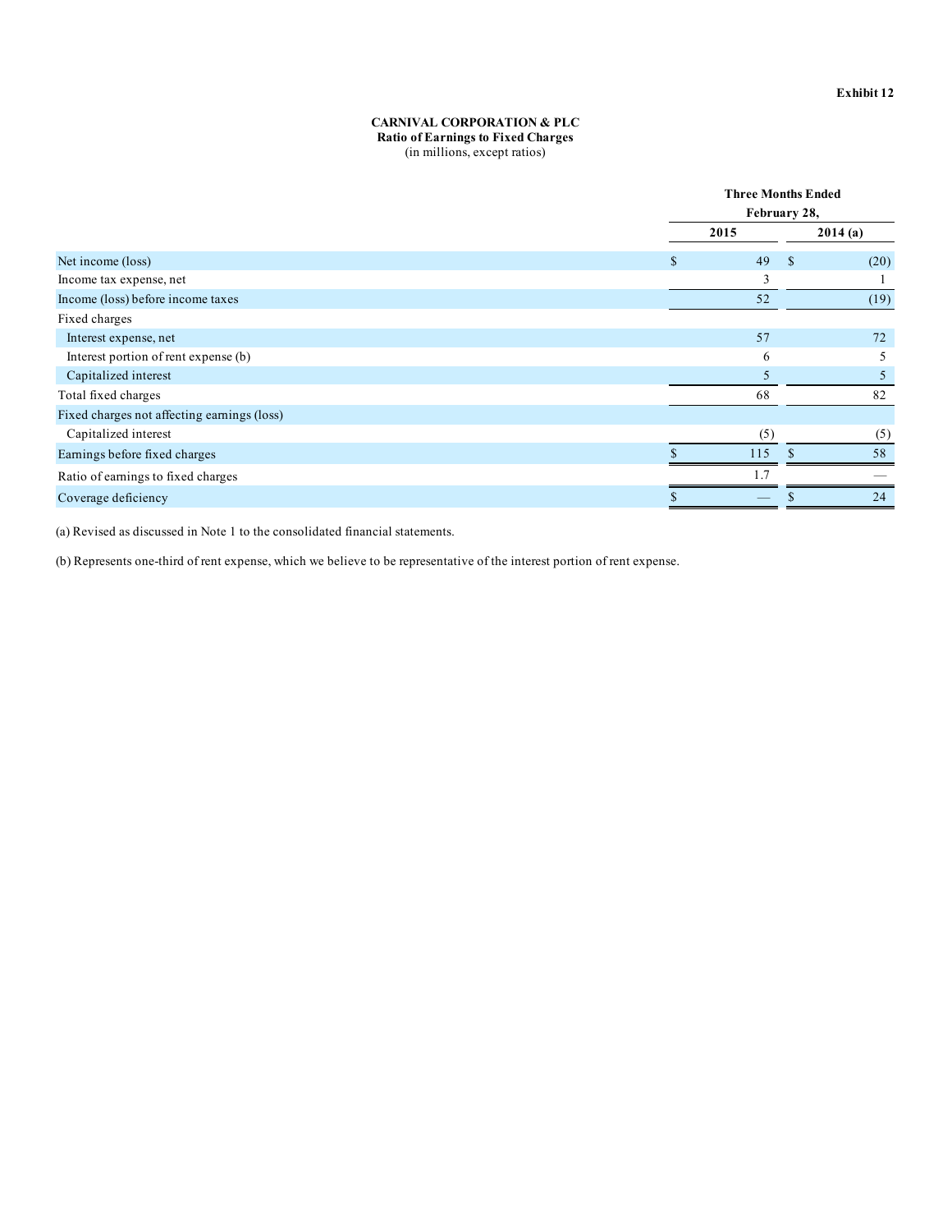# **Exhibit 12**

# **CARNIVAL CORPORATION & PLC Ratio of Earnings to Fixed Charges**

| (in millions, except ratios) |  |
|------------------------------|--|
|------------------------------|--|

|                                             |      | <b>Three Months Ended</b><br>February 28, |               |         |  |  |
|---------------------------------------------|------|-------------------------------------------|---------------|---------|--|--|
|                                             |      |                                           |               |         |  |  |
|                                             | 2015 |                                           |               | 2014(a) |  |  |
| Net income (loss)                           | \$   | 49                                        | <sup>\$</sup> | (20)    |  |  |
| Income tax expense, net                     |      | 3                                         |               |         |  |  |
| Income (loss) before income taxes           |      | 52                                        |               | (19)    |  |  |
| Fixed charges                               |      |                                           |               |         |  |  |
| Interest expense, net                       |      | 57                                        |               | 72      |  |  |
| Interest portion of rent expense (b)        |      | 6                                         |               | 5       |  |  |
| Capitalized interest                        |      | 5                                         |               | 5       |  |  |
| Total fixed charges                         |      | 68                                        |               | 82      |  |  |
| Fixed charges not affecting earnings (loss) |      |                                           |               |         |  |  |
| Capitalized interest                        |      | (5)                                       |               | (5)     |  |  |
| Earnings before fixed charges               |      | 115                                       |               | 58      |  |  |
| Ratio of earnings to fixed charges          |      | 1.7                                       |               |         |  |  |
| Coverage deficiency                         |      |                                           |               | 24      |  |  |
|                                             |      |                                           |               |         |  |  |

(a) Revised as discussed in Note 1 to the consolidated financial statements.

(b) Represents one-third of rent expense, which we believe to be representative of the interest portion of rent expense.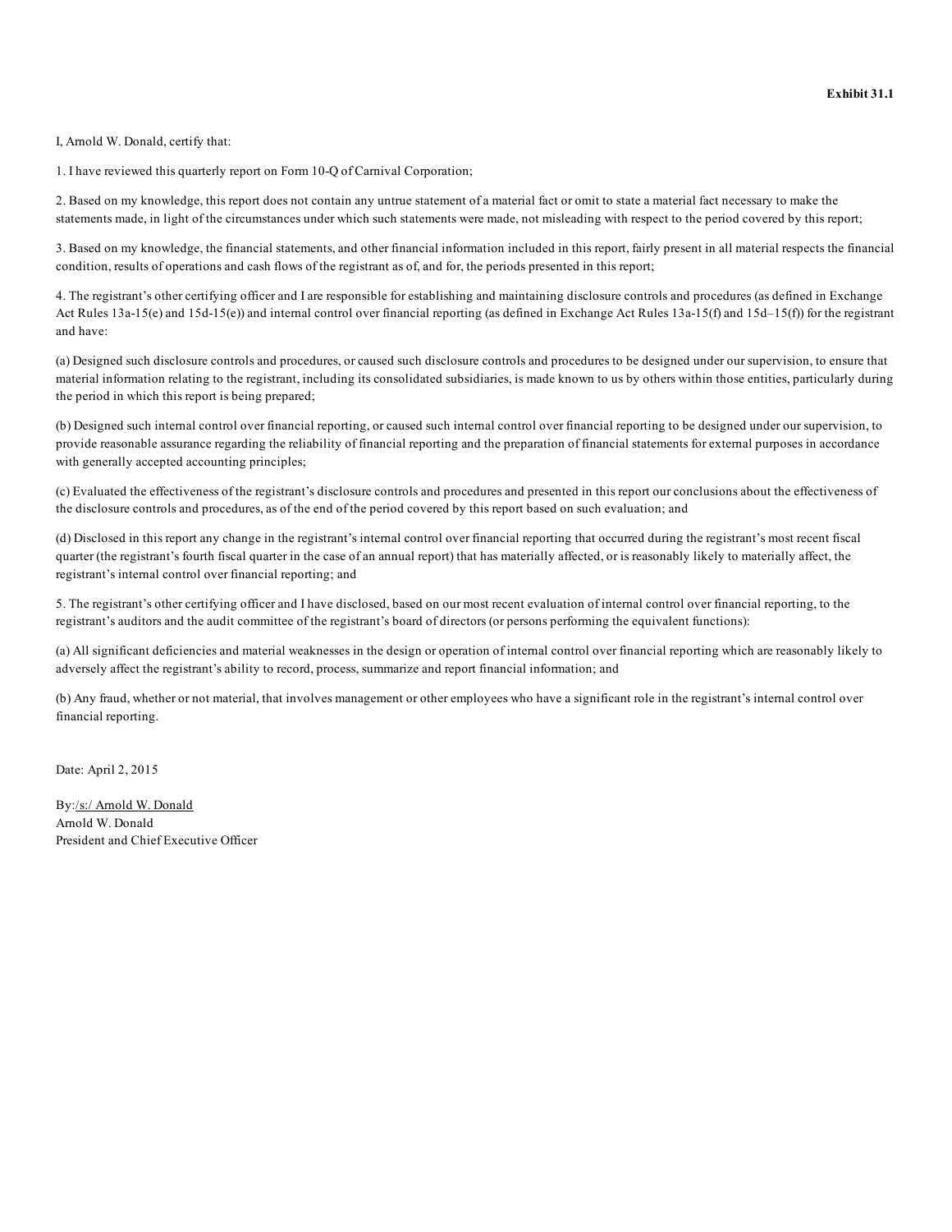I, Arnold W. Donald, certify that:

1. I have reviewed this quarterly report on Form 10-Q of Carnival Corporation;

2. Based on my knowledge, this report does not contain any untrue statement of a material fact or omit to state a material fact necessary to make the statements made, in light of the circumstances under which such statements were made, not misleading with respect to the period covered by this report;

3. Based on my knowledge, the financial statements, and other financial information included in this report, fairly present in all material respects the financial condition, results of operations and cash flows of the registrant as of, and for, the periods presented in this report;

4. The registrant's other certifying officer and I are responsible for establishing and maintaining disclosure controls and procedures (as defined in Exchange Act Rules 13a-15(e) and 15d-15(e)) and internal control over financial reporting (as defined in Exchange Act Rules 13a-15(f) and 15d–15(f)) for the registrant and have:

(a) Designed such disclosure controls and procedures, or caused such disclosure controls and procedures to be designed under our supervision, to ensure that material information relating to the registrant, including its consolidated subsidiaries, is made known to us by others within those entities, particularly during the period in which this report is being prepared;

(b) Designed such internal control over financial reporting, or caused such internal control over financial reporting to be designed under our supervision, to provide reasonable assurance regarding the reliability of financial reporting and the preparation of financial statements for external purposes in accordance with generally accepted accounting principles;

(c) Evaluated the effectiveness of the registrant's disclosure controls and procedures and presented in this report our conclusions about the effectiveness of the disclosure controls and procedures, as of the end of the period covered by this report based on such evaluation; and

(d) Disclosed in this report any change in the registrant's internal control over financial reporting that occurred during the registrant's most recent fiscal quarter (the registrant's fourth fiscal quarter in the case of an annual report) that has materially affected, or is reasonably likely to materially affect, the registrant's internal control over financial reporting; and

5. The registrant's other certifying officer and I have disclosed, based on our most recent evaluation of internal control over financial reporting, to the registrant's auditors and the audit committee of the registrant's board of directors (or persons performing the equivalent functions):

(a) All significant deficiencies and material weaknesses in the design or operation of internal control over financial reporting which are reasonably likely to adversely affect the registrant's ability to record, process, summarize and report financial information; and

(b) Any fraud, whether or not material, that involves management or other employees who have a significant role in the registrant's internal control over financial reporting.

Date: April 2, 2015

By:/s:/ Arnold W. Donald Arnold W. Donald President and Chief Executive Officer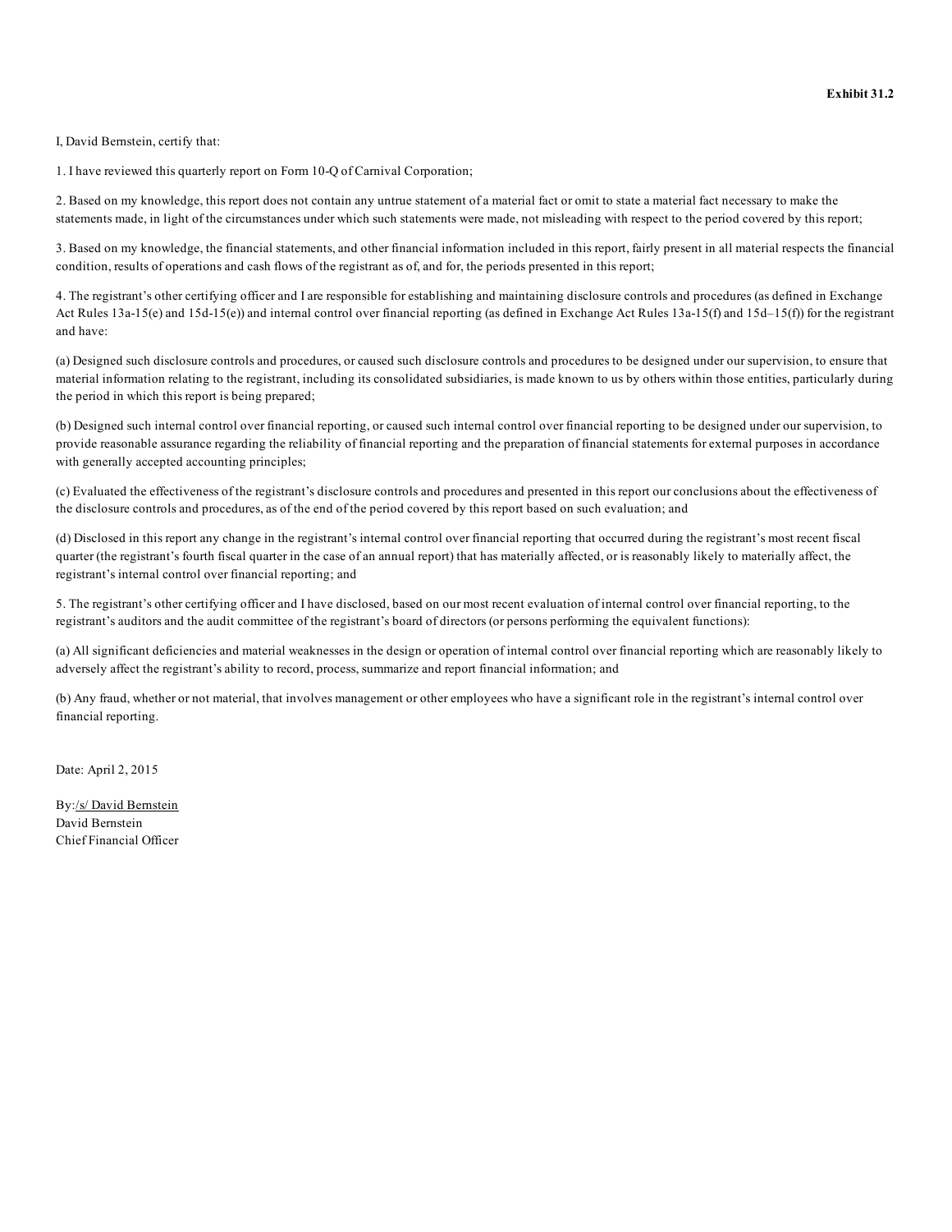I, David Bernstein, certify that:

1. I have reviewed this quarterly report on Form 10-Q of Carnival Corporation;

2. Based on my knowledge, this report does not contain any untrue statement of a material fact or omit to state a material fact necessary to make the statements made, in light of the circumstances under which such statements were made, not misleading with respect to the period covered by this report;

3. Based on my knowledge, the financial statements, and other financial information included in this report, fairly present in all material respects the financial condition, results of operations and cash flows of the registrant as of, and for, the periods presented in this report;

4. The registrant's other certifying officer and I are responsible for establishing and maintaining disclosure controls and procedures (as defined in Exchange Act Rules 13a-15(e) and 15d-15(e)) and internal control over financial reporting (as defined in Exchange Act Rules 13a-15(f) and 15d–15(f)) for the registrant and have:

(a) Designed such disclosure controls and procedures, or caused such disclosure controls and procedures to be designed under our supervision, to ensure that material information relating to the registrant, including its consolidated subsidiaries, is made known to us by others within those entities, particularly during the period in which this report is being prepared;

(b) Designed such internal control over financial reporting, or caused such internal control over financial reporting to be designed under our supervision, to provide reasonable assurance regarding the reliability of financial reporting and the preparation of financial statements for external purposes in accordance with generally accepted accounting principles;

(c) Evaluated the effectiveness of the registrant's disclosure controls and procedures and presented in this report our conclusions about the effectiveness of the disclosure controls and procedures, as of the end of the period covered by this report based on such evaluation; and

(d) Disclosed in this report any change in the registrant's internal control over financial reporting that occurred during the registrant's most recent fiscal quarter (the registrant's fourth fiscal quarter in the case of an annual report) that has materially affected, or is reasonably likely to materially affect, the registrant's internal control over financial reporting; and

5. The registrant's other certifying officer and I have disclosed, based on our most recent evaluation of internal control over financial reporting, to the registrant's auditors and the audit committee of the registrant's board of directors (or persons performing the equivalent functions):

(a) All significant deficiencies and material weaknesses in the design or operation of internal control over financial reporting which are reasonably likely to adversely affect the registrant's ability to record, process, summarize and report financial information; and

(b) Any fraud, whether or not material, that involves management or other employees who have a significant role in the registrant's internal control over financial reporting.

Date: April 2, 2015

By:/s/ David Bernstein David Bernstein Chief Financial Officer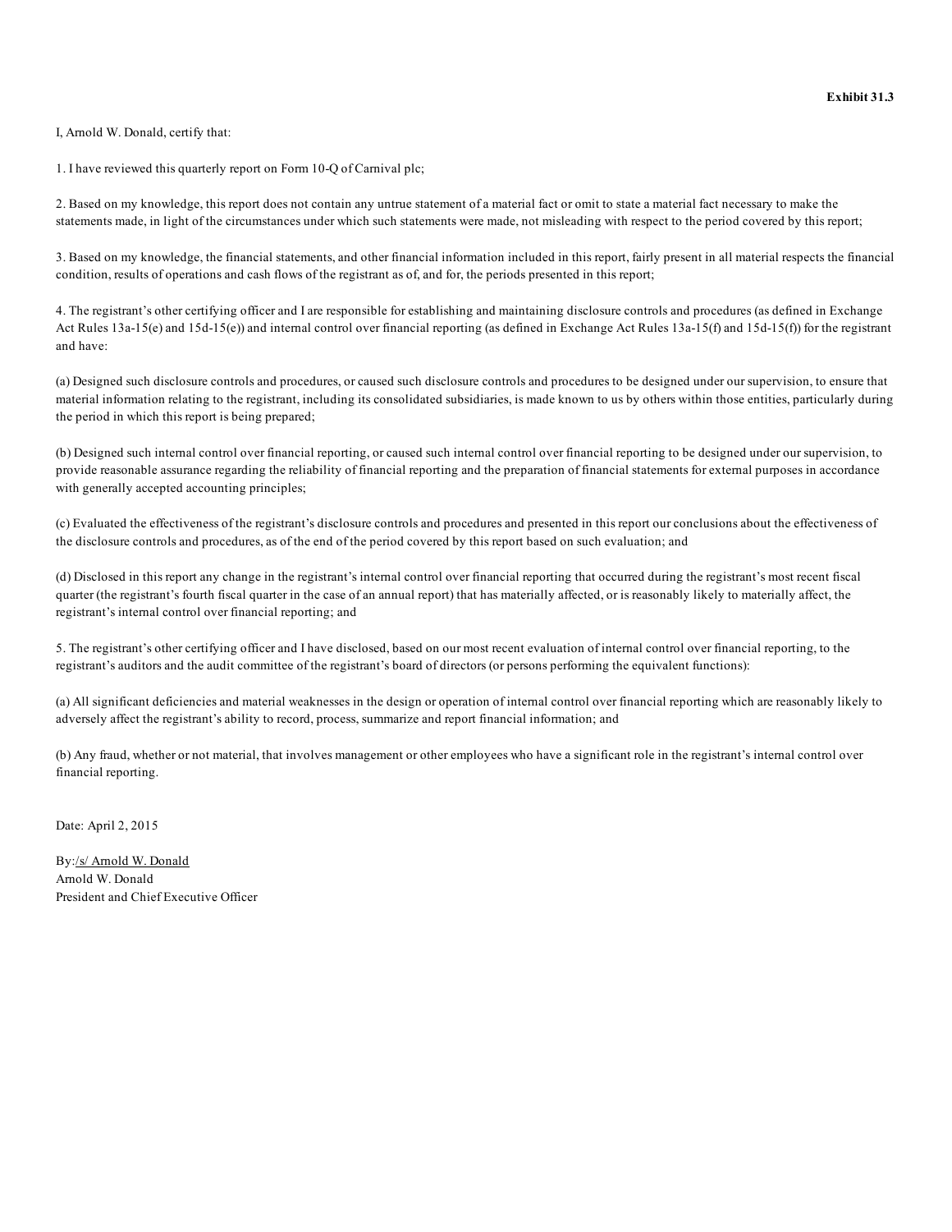I, Arnold W. Donald, certify that:

1. I have reviewed this quarterly report on Form 10-Q of Carnival plc;

2. Based on my knowledge, this report does not contain any untrue statement of a material fact or omit to state a material fact necessary to make the statements made, in light of the circumstances under which such statements were made, not misleading with respect to the period covered by this report;

3. Based on my knowledge, the financial statements, and other financial information included in this report, fairly present in all material respects the financial condition, results of operations and cash flows of the registrant as of, and for, the periods presented in this report;

4. The registrant's other certifying officer and I are responsible for establishing and maintaining disclosure controls and procedures (as defined in Exchange Act Rules 13a-15(e) and 15d-15(e)) and internal control over financial reporting (as defined in Exchange Act Rules 13a-15(f) and 15d-15(f)) for the registrant and have:

(a) Designed such disclosure controls and procedures, or caused such disclosure controls and procedures to be designed under our supervision, to ensure that material information relating to the registrant, including its consolidated subsidiaries, is made known to us by others within those entities, particularly during the period in which this report is being prepared;

(b) Designed such internal control over financial reporting, or caused such internal control over financial reporting to be designed under our supervision, to provide reasonable assurance regarding the reliability of financial reporting and the preparation of financial statements for external purposes in accordance with generally accepted accounting principles;

(c) Evaluated the effectiveness of the registrant's disclosure controls and procedures and presented in this report our conclusions about the effectiveness of the disclosure controls and procedures, as of the end of the period covered by this report based on such evaluation; and

(d) Disclosed in this report any change in the registrant's internal control over financial reporting that occurred during the registrant's most recent fiscal quarter (the registrant's fourth fiscal quarter in the case of an annual report) that has materially affected, or is reasonably likely to materially affect, the registrant's internal control over financial reporting; and

5. The registrant's other certifying officer and I have disclosed, based on our most recent evaluation of internal control over financial reporting, to the registrant's auditors and the audit committee of the registrant's board of directors (or persons performing the equivalent functions):

(a) All significant deficiencies and material weaknesses in the design or operation of internal control over financial reporting which are reasonably likely to adversely affect the registrant's ability to record, process, summarize and report financial information; and

(b) Any fraud, whether or not material, that involves management or other employees who have a significant role in the registrant's internal control over financial reporting.

Date: April 2, 2015

By:/s/ Arnold W. Donald Arnold W. Donald President and Chief Executive Officer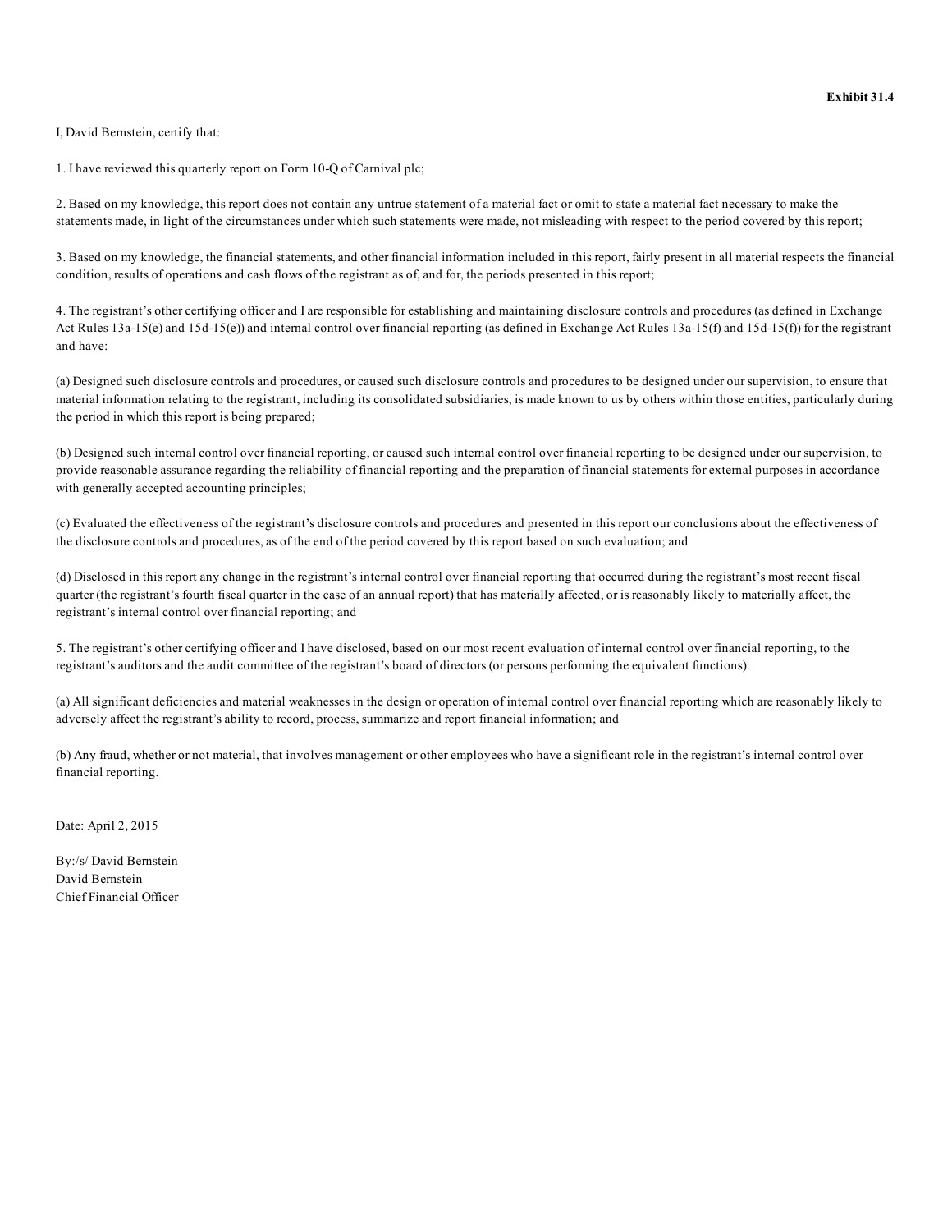I, David Bernstein, certify that:

1. I have reviewed this quarterly report on Form 10-Q of Carnival plc;

2. Based on my knowledge, this report does not contain any untrue statement of a material fact or omit to state a material fact necessary to make the statements made, in light of the circumstances under which such statements were made, not misleading with respect to the period covered by this report;

3. Based on my knowledge, the financial statements, and other financial information included in this report, fairly present in all material respects the financial condition, results of operations and cash flows of the registrant as of, and for, the periods presented in this report;

4. The registrant's other certifying officer and I are responsible for establishing and maintaining disclosure controls and procedures (as defined in Exchange Act Rules 13a-15(e) and 15d-15(e)) and internal control over financial reporting (as defined in Exchange Act Rules 13a-15(f) and 15d-15(f)) for the registrant and have:

(a) Designed such disclosure controls and procedures, or caused such disclosure controls and procedures to be designed under our supervision, to ensure that material information relating to the registrant, including its consolidated subsidiaries, is made known to us by others within those entities, particularly during the period in which this report is being prepared;

(b) Designed such internal control over financial reporting, or caused such internal control over financial reporting to be designed under our supervision, to provide reasonable assurance regarding the reliability of financial reporting and the preparation of financial statements for external purposes in accordance with generally accepted accounting principles;

(c) Evaluated the effectiveness of the registrant's disclosure controls and procedures and presented in this report our conclusions about the effectiveness of the disclosure controls and procedures, as of the end of the period covered by this report based on such evaluation; and

(d) Disclosed in this report any change in the registrant's internal control over financial reporting that occurred during the registrant's most recent fiscal quarter (the registrant's fourth fiscal quarter in the case of an annual report) that has materially affected, or is reasonably likely to materially affect, the registrant's internal control over financial reporting; and

5. The registrant's other certifying officer and I have disclosed, based on our most recent evaluation of internal control over financial reporting, to the registrant's auditors and the audit committee of the registrant's board of directors (or persons performing the equivalent functions):

(a) All significant deficiencies and material weaknesses in the design or operation of internal control over financial reporting which are reasonably likely to adversely affect the registrant's ability to record, process, summarize and report financial information; and

(b) Any fraud, whether or not material, that involves management or other employees who have a significant role in the registrant's internal control over financial reporting.

Date: April 2, 2015

By:/s/ David Bernstein David Bernstein Chief Financial Officer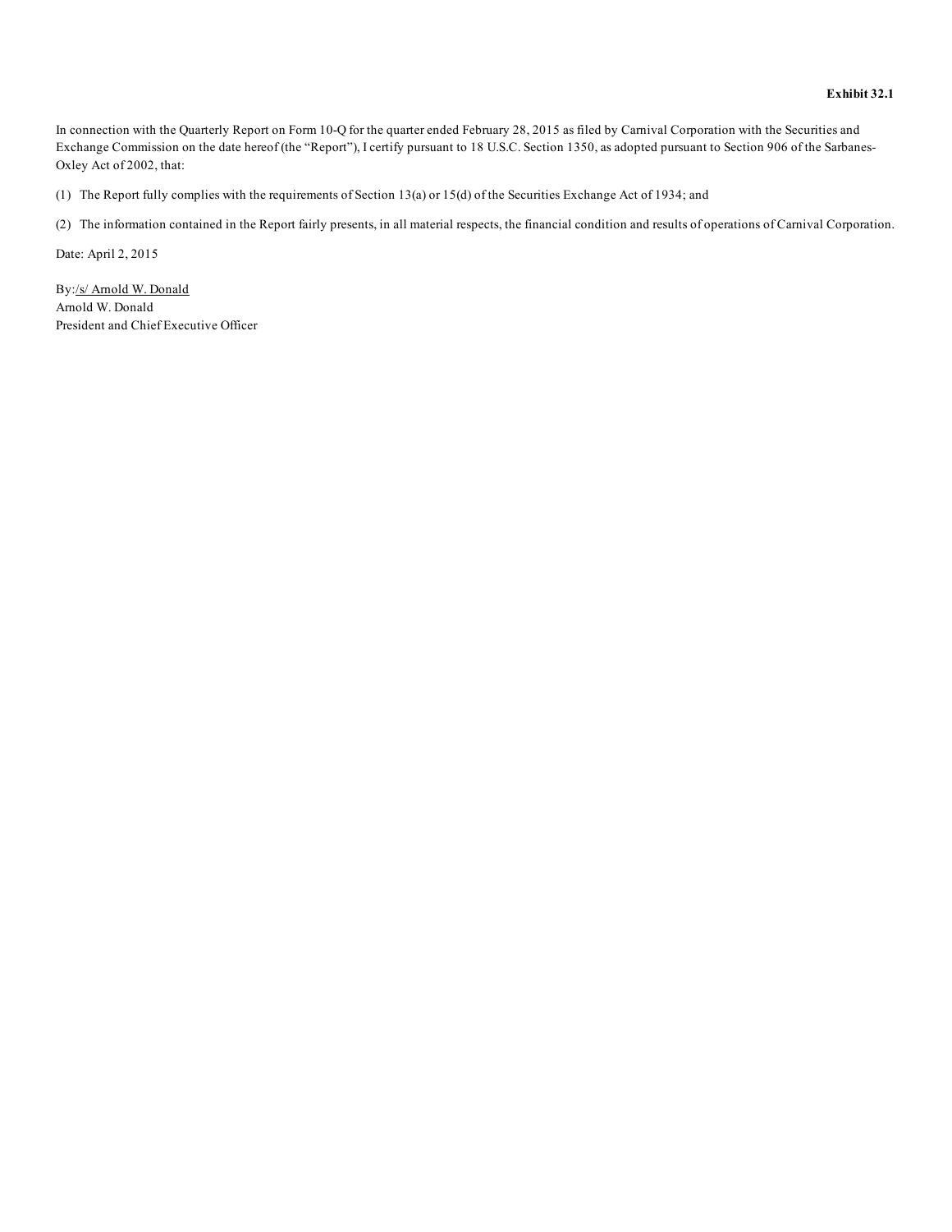In connection with the Quarterly Report on Form 10-Q for the quarter ended February 28, 2015 as filed by Carnival Corporation with the Securities and Exchange Commission on the date hereof (the "Report"), I certify pursuant to 18 U.S.C. Section 1350, as adopted pursuant to Section 906 of the Sarbanes-Oxley Act of 2002, that:

(1) The Report fully complies with the requirements of Section 13(a) or 15(d) of the Securities Exchange Act of 1934; and

(2) The information contained in the Report fairly presents, in all material respects, the financial condition and results of operations of Carnival Corporation.

Date: April 2, 2015

By:/s/ Arnold W. Donald Arnold W. Donald President and Chief Executive Officer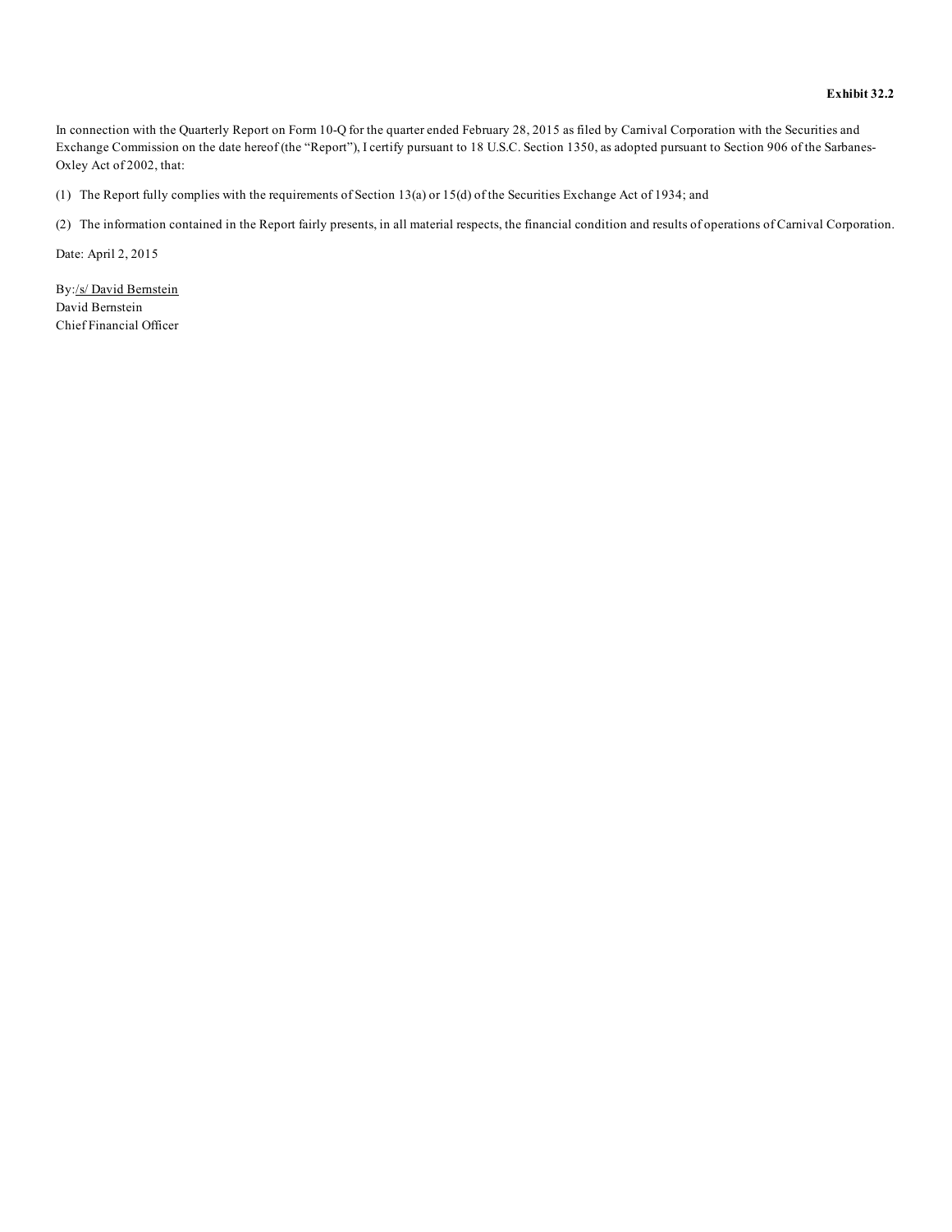In connection with the Quarterly Report on Form 10-Q for the quarter ended February 28, 2015 as filed by Carnival Corporation with the Securities and Exchange Commission on the date hereof (the "Report"), I certify pursuant to 18 U.S.C. Section 1350, as adopted pursuant to Section 906 of the Sarbanes-Oxley Act of 2002, that:

(1) The Report fully complies with the requirements of Section 13(a) or 15(d) of the Securities Exchange Act of 1934; and

(2) The information contained in the Report fairly presents, in all material respects, the financial condition and results of operations of Carnival Corporation.

Date: April 2, 2015

By:/s/ David Bernstein David Bernstein Chief Financial Officer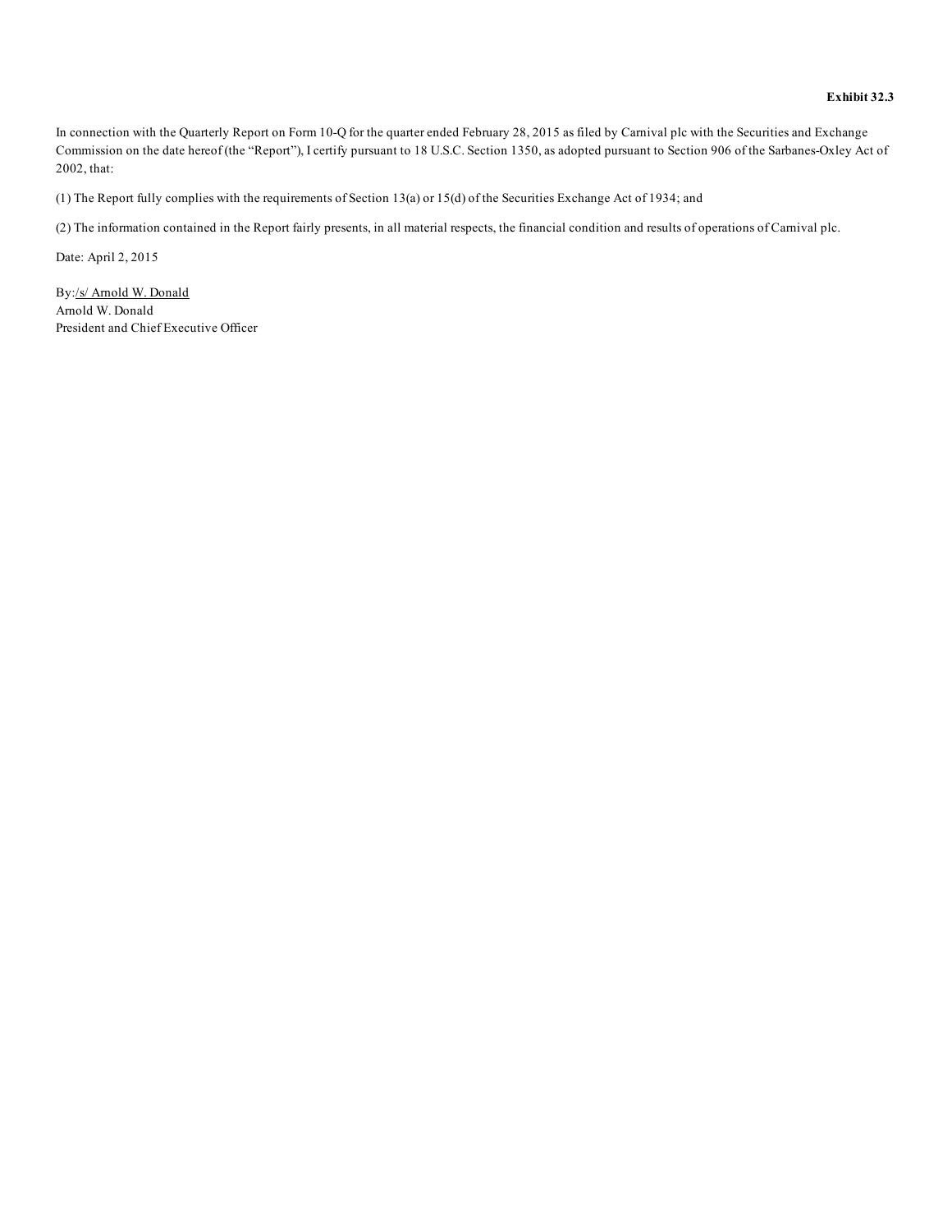In connection with the Quarterly Report on Form 10-Q for the quarter ended February 28, 2015 as filed by Carnival plc with the Securities and Exchange Commission on the date hereof (the "Report"), I certify pursuant to 18 U.S.C. Section 1350, as adopted pursuant to Section 906 of the Sarbanes-Oxley Act of 2002, that:

(1) The Report fully complies with the requirements of Section 13(a) or 15(d) of the Securities Exchange Act of 1934; and

(2) The information contained in the Report fairly presents, in all material respects, the financial condition and results of operations of Carnival plc.

Date: April 2, 2015

By:/s/ Arnold W. Donald Arnold W. Donald President and Chief Executive Officer